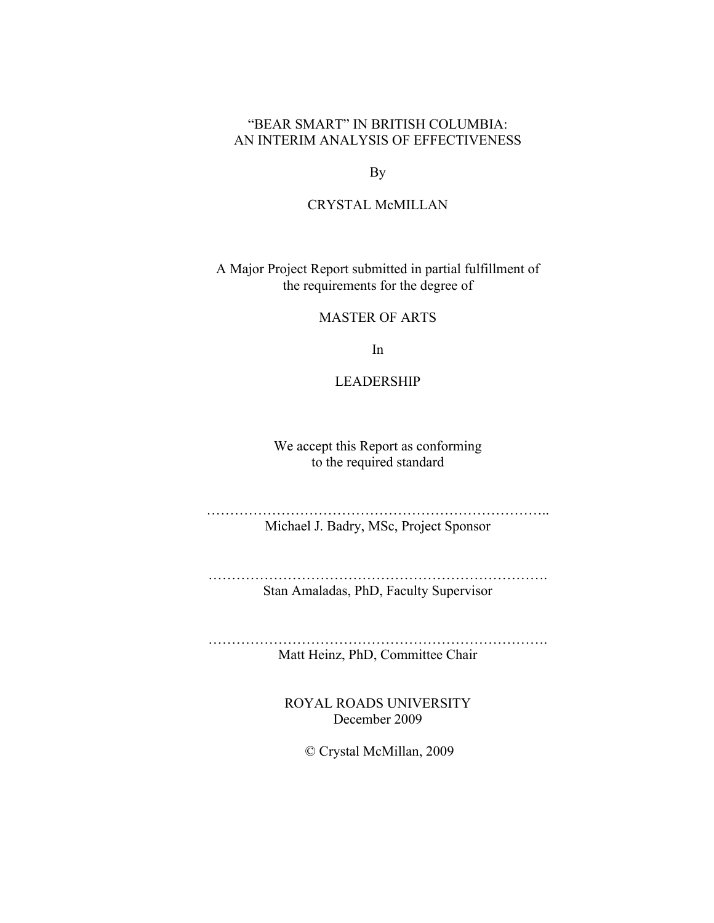# "BEAR SMART" IN BRITISH COLUMBIA: AN INTERIM ANALYSIS OF EFFECTIVENESS

By

## CRYSTAL McMILLAN

A Major Project Report submitted in partial fulfillment of the requirements for the degree of

MASTER OF ARTS

In

LEADERSHIP

We accept this Report as conforming to the required standard

……………………………………………………………….. Michael J. Badry, MSc, Project Sponsor

………………………………………………………………. Stan Amaladas, PhD, Faculty Supervisor

………………………………………………………………. Matt Heinz, PhD, Committee Chair

> ROYAL ROADS UNIVERSITY December 2009

> > © Crystal McMillan, 2009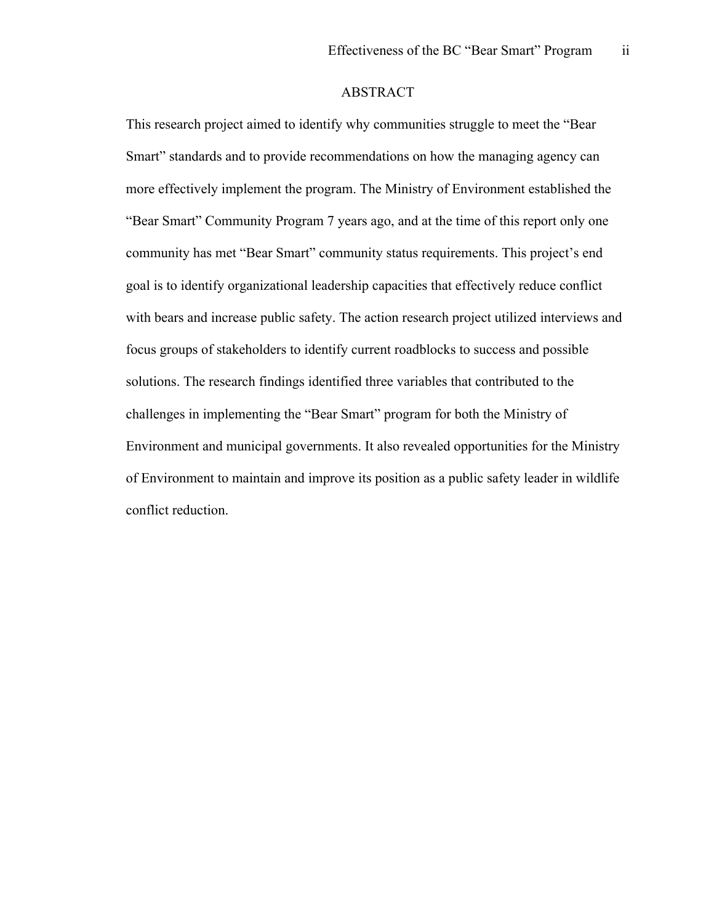## ABSTRACT

This research project aimed to identify why communities struggle to meet the "Bear Smart" standards and to provide recommendations on how the managing agency can more effectively implement the program. The Ministry of Environment established the "Bear Smart" Community Program 7 years ago, and at the time of this report only one community has met "Bear Smart" community status requirements. This project's end goal is to identify organizational leadership capacities that effectively reduce conflict with bears and increase public safety. The action research project utilized interviews and focus groups of stakeholders to identify current roadblocks to success and possible solutions. The research findings identified three variables that contributed to the challenges in implementing the "Bear Smart" program for both the Ministry of Environment and municipal governments. It also revealed opportunities for the Ministry of Environment to maintain and improve its position as a public safety leader in wildlife conflict reduction.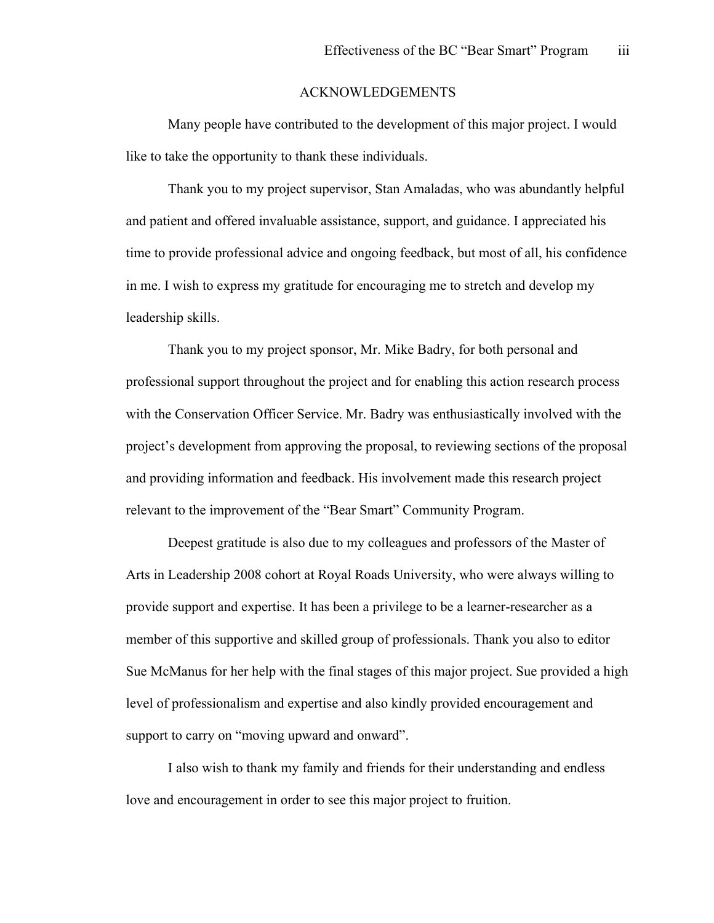#### ACKNOWLEDGEMENTS

Many people have contributed to the development of this major project. I would like to take the opportunity to thank these individuals.

Thank you to my project supervisor, Stan Amaladas, who was abundantly helpful and patient and offered invaluable assistance, support, and guidance. I appreciated his time to provide professional advice and ongoing feedback, but most of all, his confidence in me. I wish to express my gratitude for encouraging me to stretch and develop my leadership skills.

Thank you to my project sponsor, Mr. Mike Badry, for both personal and professional support throughout the project and for enabling this action research process with the Conservation Officer Service. Mr. Badry was enthusiastically involved with the project's development from approving the proposal, to reviewing sections of the proposal and providing information and feedback. His involvement made this research project relevant to the improvement of the "Bear Smart" Community Program.

Deepest gratitude is also due to my colleagues and professors of the Master of Arts in Leadership 2008 cohort at Royal Roads University, who were always willing to provide support and expertise. It has been a privilege to be a learner-researcher as a member of this supportive and skilled group of professionals. Thank you also to editor Sue McManus for her help with the final stages of this major project. Sue provided a high level of professionalism and expertise and also kindly provided encouragement and support to carry on "moving upward and onward".

I also wish to thank my family and friends for their understanding and endless love and encouragement in order to see this major project to fruition.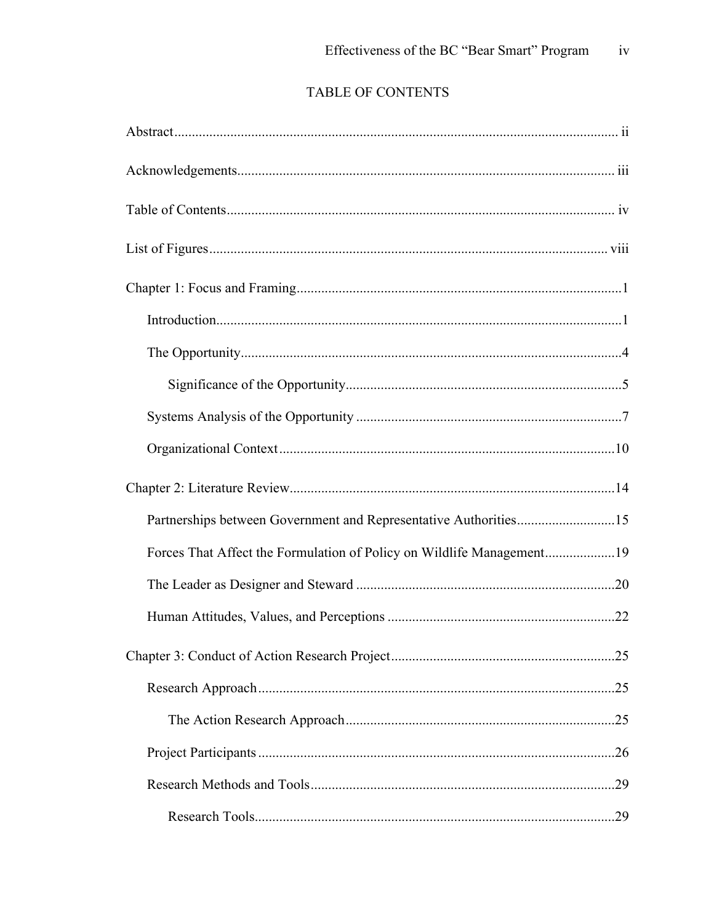# TABLE OF CONTENTS

| Partnerships between Government and Representative Authorities15      |     |
|-----------------------------------------------------------------------|-----|
| Forces That Affect the Formulation of Policy on Wildlife Management19 |     |
|                                                                       |     |
|                                                                       |     |
|                                                                       |     |
|                                                                       |     |
|                                                                       |     |
|                                                                       |     |
|                                                                       | .29 |
|                                                                       |     |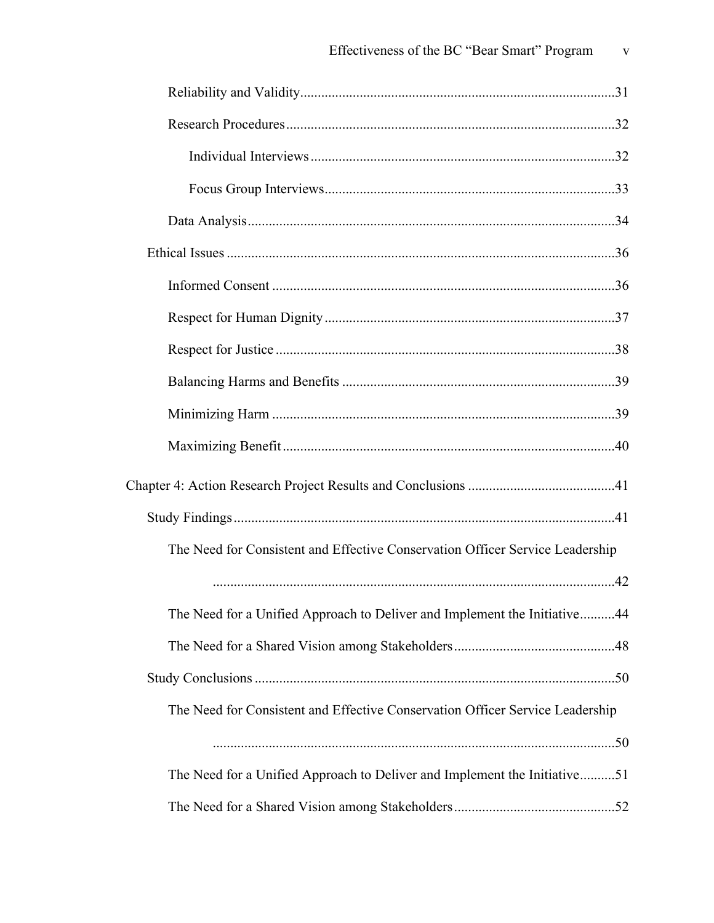| The Need for Consistent and Effective Conservation Officer Service Leadership |  |
|-------------------------------------------------------------------------------|--|
|                                                                               |  |
| The Need for a Unified Approach to Deliver and Implement the Initiative44     |  |
|                                                                               |  |
|                                                                               |  |
| The Need for Consistent and Effective Conservation Officer Service Leadership |  |
|                                                                               |  |
| The Need for a Unified Approach to Deliver and Implement the Initiative51     |  |
|                                                                               |  |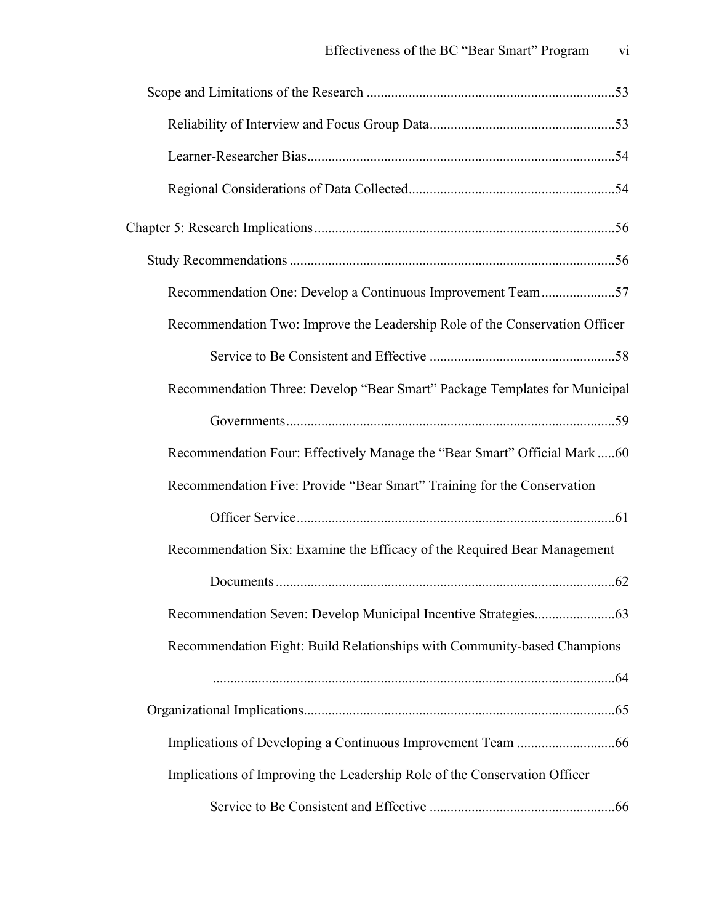| Recommendation One: Develop a Continuous Improvement Team57                 |  |
|-----------------------------------------------------------------------------|--|
| Recommendation Two: Improve the Leadership Role of the Conservation Officer |  |
|                                                                             |  |
| Recommendation Three: Develop "Bear Smart" Package Templates for Municipal  |  |
|                                                                             |  |
| Recommendation Four: Effectively Manage the "Bear Smart" Official Mark60    |  |
| Recommendation Five: Provide "Bear Smart" Training for the Conservation     |  |
|                                                                             |  |
| Recommendation Six: Examine the Efficacy of the Required Bear Management    |  |
|                                                                             |  |
|                                                                             |  |
| Recommendation Eight: Build Relationships with Community-based Champions    |  |
|                                                                             |  |
|                                                                             |  |
|                                                                             |  |
| Implications of Improving the Leadership Role of the Conservation Officer   |  |
|                                                                             |  |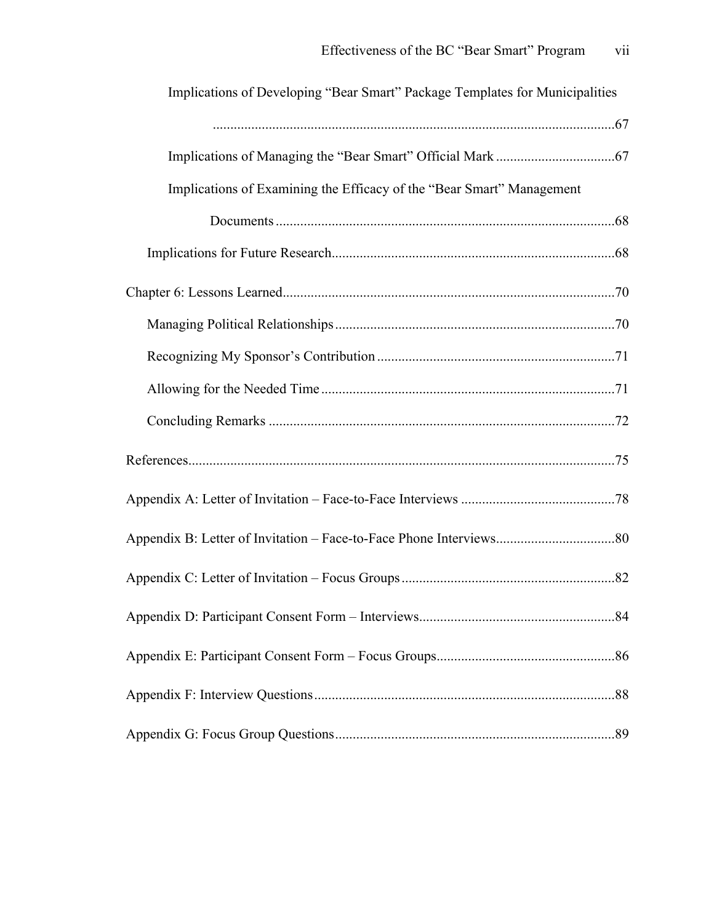| Implications of Developing "Bear Smart" Package Templates for Municipalities |  |
|------------------------------------------------------------------------------|--|
|                                                                              |  |
|                                                                              |  |
| Implications of Examining the Efficacy of the "Bear Smart" Management        |  |
|                                                                              |  |
|                                                                              |  |
|                                                                              |  |
|                                                                              |  |
|                                                                              |  |
|                                                                              |  |
|                                                                              |  |
|                                                                              |  |
|                                                                              |  |
|                                                                              |  |
|                                                                              |  |
|                                                                              |  |
|                                                                              |  |
|                                                                              |  |
|                                                                              |  |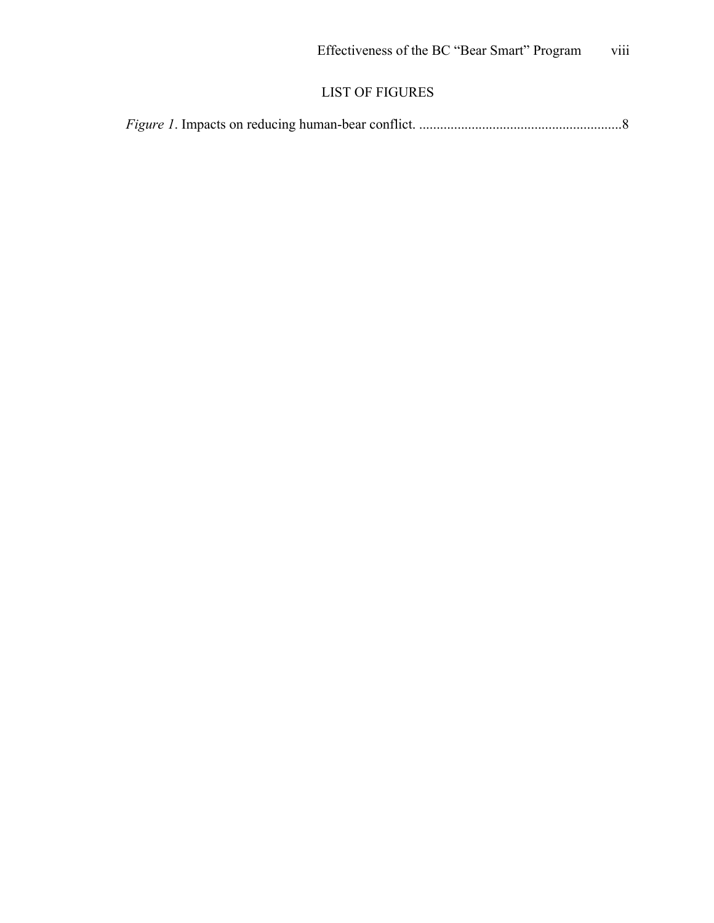# LIST OF FIGURES

|--|--|--|--|--|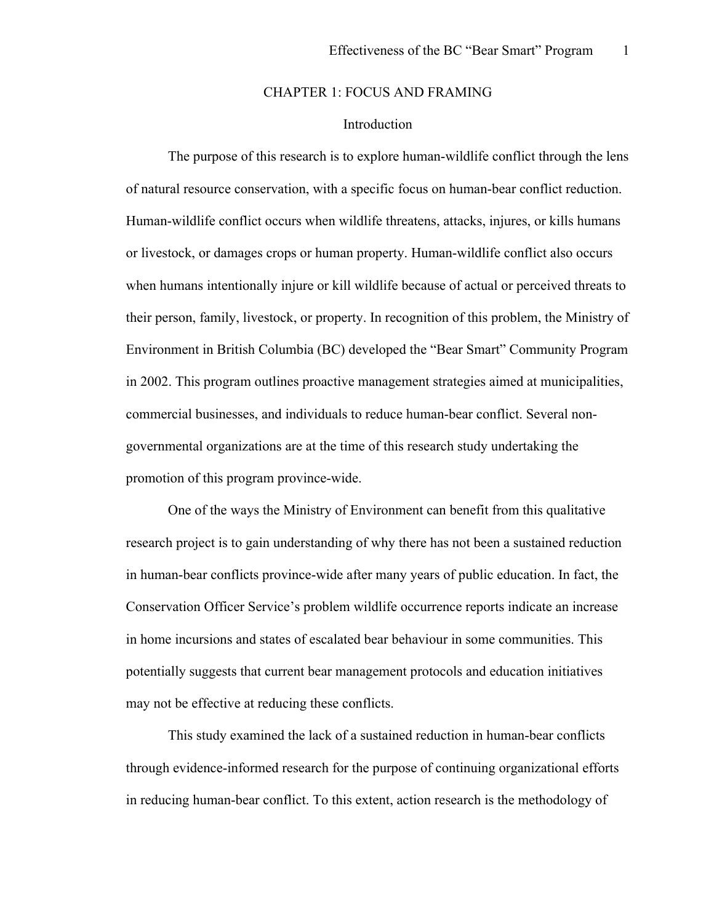### CHAPTER 1: FOCUS AND FRAMING

## Introduction

The purpose of this research is to explore human-wildlife conflict through the lens of natural resource conservation, with a specific focus on human-bear conflict reduction. Human-wildlife conflict occurs when wildlife threatens, attacks, injures, or kills humans or livestock, or damages crops or human property. Human-wildlife conflict also occurs when humans intentionally injure or kill wildlife because of actual or perceived threats to their person, family, livestock, or property. In recognition of this problem, the Ministry of Environment in British Columbia (BC) developed the "Bear Smart" Community Program in 2002. This program outlines proactive management strategies aimed at municipalities, commercial businesses, and individuals to reduce human-bear conflict. Several nongovernmental organizations are at the time of this research study undertaking the promotion of this program province-wide.

One of the ways the Ministry of Environment can benefit from this qualitative research project is to gain understanding of why there has not been a sustained reduction in human-bear conflicts province-wide after many years of public education. In fact, the Conservation Officer Service's problem wildlife occurrence reports indicate an increase in home incursions and states of escalated bear behaviour in some communities. This potentially suggests that current bear management protocols and education initiatives may not be effective at reducing these conflicts.

This study examined the lack of a sustained reduction in human-bear conflicts through evidence-informed research for the purpose of continuing organizational efforts in reducing human-bear conflict. To this extent, action research is the methodology of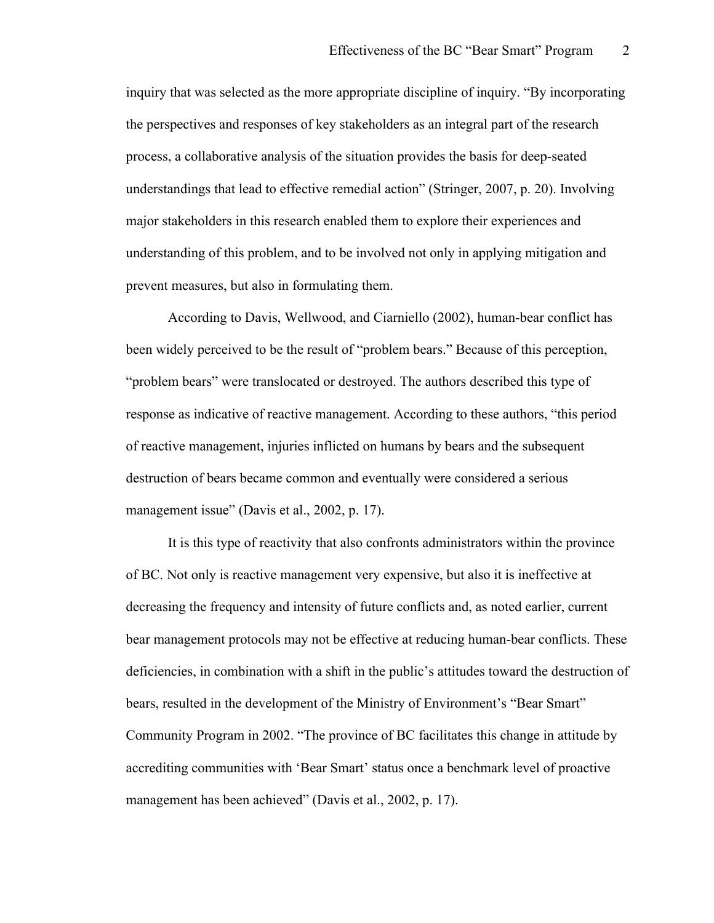inquiry that was selected as the more appropriate discipline of inquiry. "By incorporating the perspectives and responses of key stakeholders as an integral part of the research process, a collaborative analysis of the situation provides the basis for deep-seated understandings that lead to effective remedial action" (Stringer, 2007, p. 20). Involving major stakeholders in this research enabled them to explore their experiences and understanding of this problem, and to be involved not only in applying mitigation and prevent measures, but also in formulating them.

According to Davis, Wellwood, and Ciarniello (2002), human-bear conflict has been widely perceived to be the result of "problem bears." Because of this perception, "problem bears" were translocated or destroyed. The authors described this type of response as indicative of reactive management. According to these authors, "this period of reactive management, injuries inflicted on humans by bears and the subsequent destruction of bears became common and eventually were considered a serious management issue" (Davis et al., 2002, p. 17).

It is this type of reactivity that also confronts administrators within the province of BC. Not only is reactive management very expensive, but also it is ineffective at decreasing the frequency and intensity of future conflicts and, as noted earlier, current bear management protocols may not be effective at reducing human-bear conflicts. These deficiencies, in combination with a shift in the public's attitudes toward the destruction of bears, resulted in the development of the Ministry of Environment's "Bear Smart" Community Program in 2002. "The province of BC facilitates this change in attitude by accrediting communities with 'Bear Smart' status once a benchmark level of proactive management has been achieved" (Davis et al., 2002, p. 17).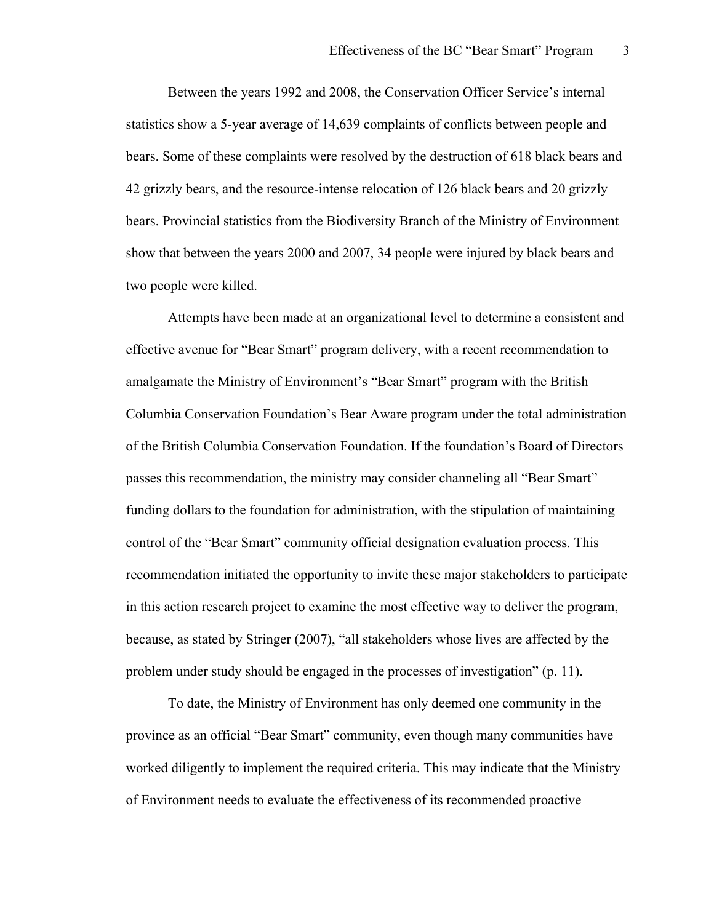Between the years 1992 and 2008, the Conservation Officer Service's internal statistics show a 5-year average of 14,639 complaints of conflicts between people and bears. Some of these complaints were resolved by the destruction of 618 black bears and 42 grizzly bears, and the resource-intense relocation of 126 black bears and 20 grizzly bears. Provincial statistics from the Biodiversity Branch of the Ministry of Environment show that between the years 2000 and 2007, 34 people were injured by black bears and two people were killed.

Attempts have been made at an organizational level to determine a consistent and effective avenue for "Bear Smart" program delivery, with a recent recommendation to amalgamate the Ministry of Environment's "Bear Smart" program with the British Columbia Conservation Foundation's Bear Aware program under the total administration of the British Columbia Conservation Foundation. If the foundation's Board of Directors passes this recommendation, the ministry may consider channeling all "Bear Smart" funding dollars to the foundation for administration, with the stipulation of maintaining control of the "Bear Smart" community official designation evaluation process. This recommendation initiated the opportunity to invite these major stakeholders to participate in this action research project to examine the most effective way to deliver the program, because, as stated by Stringer (2007), "all stakeholders whose lives are affected by the problem under study should be engaged in the processes of investigation" (p. 11).

To date, the Ministry of Environment has only deemed one community in the province as an official "Bear Smart" community, even though many communities have worked diligently to implement the required criteria. This may indicate that the Ministry of Environment needs to evaluate the effectiveness of its recommended proactive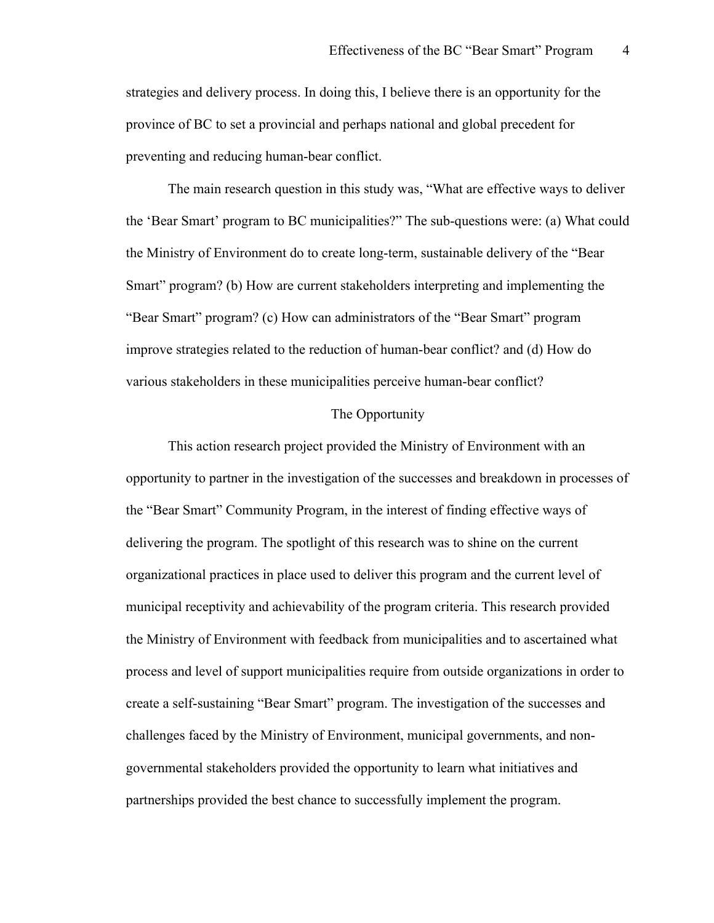strategies and delivery process. In doing this, I believe there is an opportunity for the province of BC to set a provincial and perhaps national and global precedent for preventing and reducing human-bear conflict.

The main research question in this study was, "What are effective ways to deliver the 'Bear Smart' program to BC municipalities?" The sub-questions were: (a) What could the Ministry of Environment do to create long-term, sustainable delivery of the "Bear Smart" program? (b) How are current stakeholders interpreting and implementing the "Bear Smart" program? (c) How can administrators of the "Bear Smart" program improve strategies related to the reduction of human-bear conflict? and (d) How do various stakeholders in these municipalities perceive human-bear conflict?

### The Opportunity

This action research project provided the Ministry of Environment with an opportunity to partner in the investigation of the successes and breakdown in processes of the "Bear Smart" Community Program, in the interest of finding effective ways of delivering the program. The spotlight of this research was to shine on the current organizational practices in place used to deliver this program and the current level of municipal receptivity and achievability of the program criteria. This research provided the Ministry of Environment with feedback from municipalities and to ascertained what process and level of support municipalities require from outside organizations in order to create a self-sustaining "Bear Smart" program. The investigation of the successes and challenges faced by the Ministry of Environment, municipal governments, and nongovernmental stakeholders provided the opportunity to learn what initiatives and partnerships provided the best chance to successfully implement the program.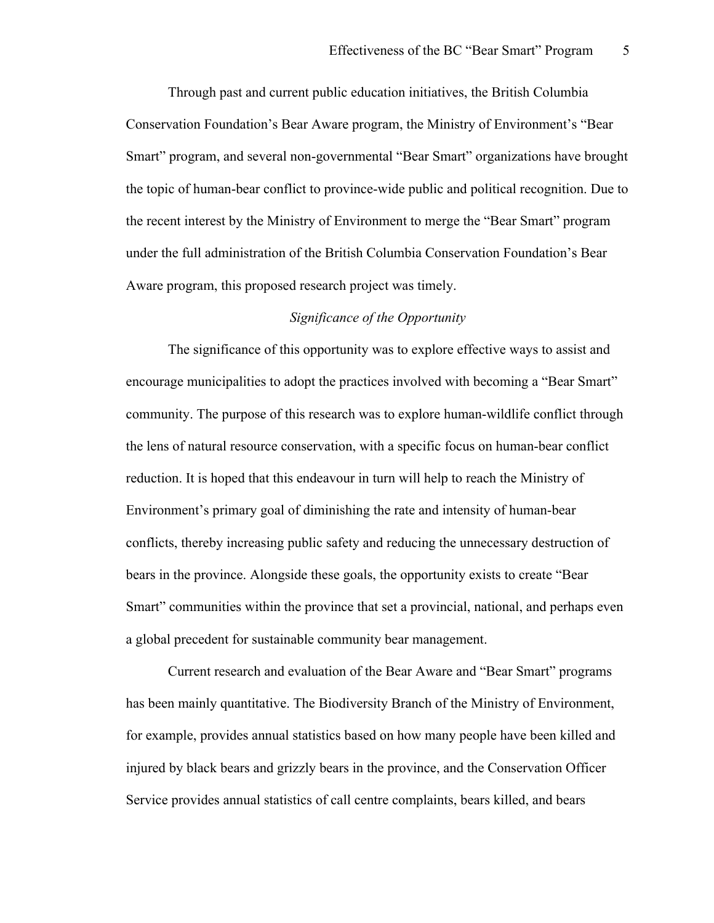Through past and current public education initiatives, the British Columbia Conservation Foundation's Bear Aware program, the Ministry of Environment's "Bear Smart" program, and several non-governmental "Bear Smart" organizations have brought the topic of human-bear conflict to province-wide public and political recognition. Due to the recent interest by the Ministry of Environment to merge the "Bear Smart" program under the full administration of the British Columbia Conservation Foundation's Bear Aware program, this proposed research project was timely.

### *Significance of the Opportunity*

The significance of this opportunity was to explore effective ways to assist and encourage municipalities to adopt the practices involved with becoming a "Bear Smart" community. The purpose of this research was to explore human-wildlife conflict through the lens of natural resource conservation, with a specific focus on human-bear conflict reduction. It is hoped that this endeavour in turn will help to reach the Ministry of Environment's primary goal of diminishing the rate and intensity of human-bear conflicts, thereby increasing public safety and reducing the unnecessary destruction of bears in the province. Alongside these goals, the opportunity exists to create "Bear Smart" communities within the province that set a provincial, national, and perhaps even a global precedent for sustainable community bear management.

Current research and evaluation of the Bear Aware and "Bear Smart" programs has been mainly quantitative. The Biodiversity Branch of the Ministry of Environment, for example, provides annual statistics based on how many people have been killed and injured by black bears and grizzly bears in the province, and the Conservation Officer Service provides annual statistics of call centre complaints, bears killed, and bears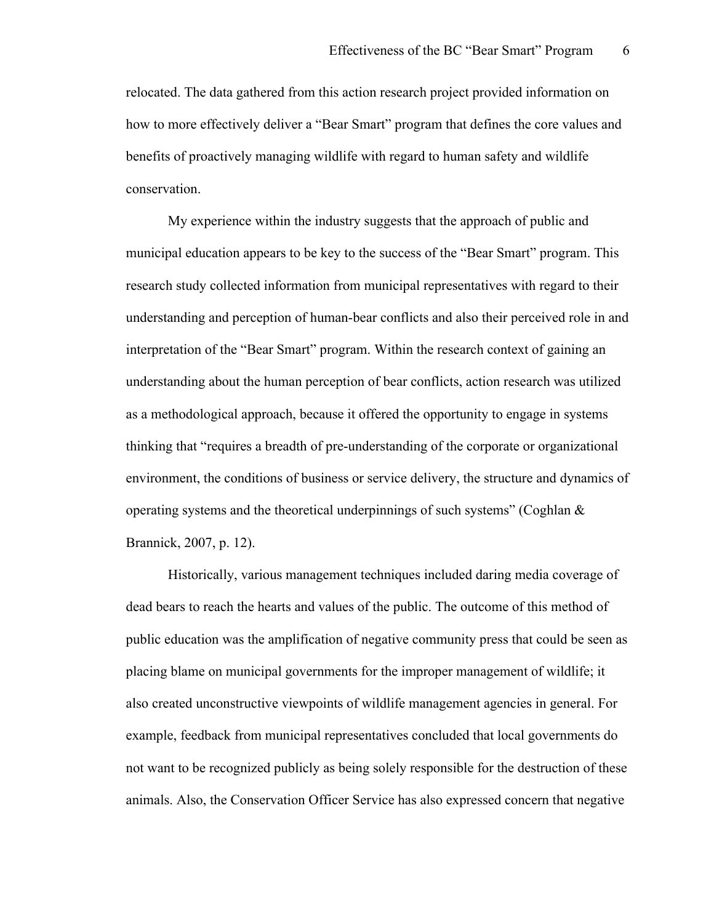relocated. The data gathered from this action research project provided information on how to more effectively deliver a "Bear Smart" program that defines the core values and benefits of proactively managing wildlife with regard to human safety and wildlife conservation.

My experience within the industry suggests that the approach of public and municipal education appears to be key to the success of the "Bear Smart" program. This research study collected information from municipal representatives with regard to their understanding and perception of human-bear conflicts and also their perceived role in and interpretation of the "Bear Smart" program. Within the research context of gaining an understanding about the human perception of bear conflicts, action research was utilized as a methodological approach, because it offered the opportunity to engage in systems thinking that "requires a breadth of pre-understanding of the corporate or organizational environment, the conditions of business or service delivery, the structure and dynamics of operating systems and the theoretical underpinnings of such systems" (Coghlan & Brannick, 2007, p. 12).

Historically, various management techniques included daring media coverage of dead bears to reach the hearts and values of the public. The outcome of this method of public education was the amplification of negative community press that could be seen as placing blame on municipal governments for the improper management of wildlife; it also created unconstructive viewpoints of wildlife management agencies in general. For example, feedback from municipal representatives concluded that local governments do not want to be recognized publicly as being solely responsible for the destruction of these animals. Also, the Conservation Officer Service has also expressed concern that negative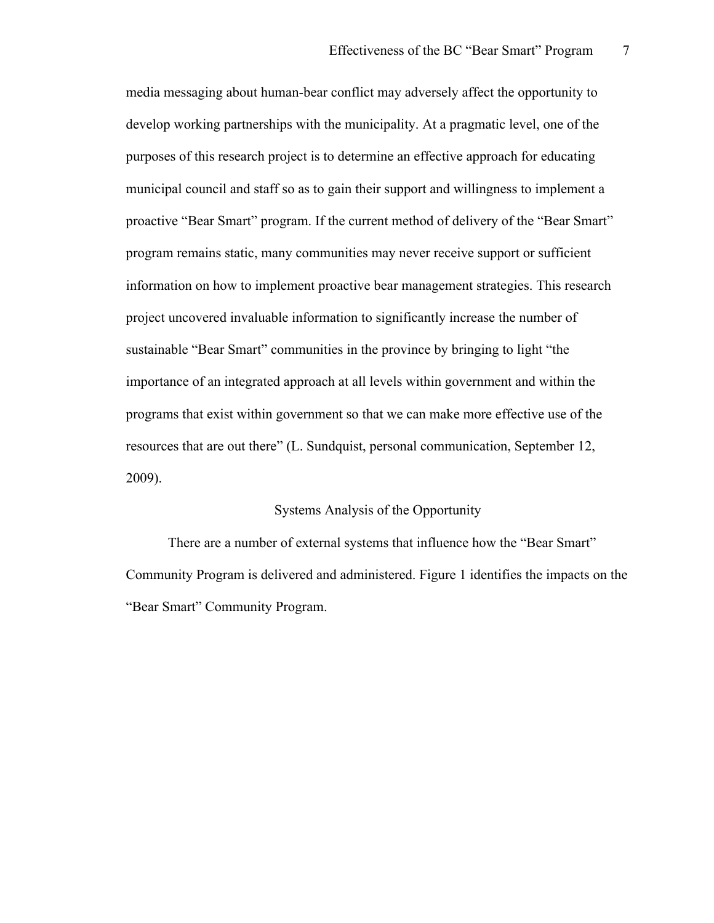media messaging about human-bear conflict may adversely affect the opportunity to develop working partnerships with the municipality. At a pragmatic level, one of the purposes of this research project is to determine an effective approach for educating municipal council and staff so as to gain their support and willingness to implement a proactive "Bear Smart" program. If the current method of delivery of the "Bear Smart" program remains static, many communities may never receive support or sufficient information on how to implement proactive bear management strategies. This research project uncovered invaluable information to significantly increase the number of sustainable "Bear Smart" communities in the province by bringing to light "the importance of an integrated approach at all levels within government and within the programs that exist within government so that we can make more effective use of the resources that are out there" (L. Sundquist, personal communication, September 12, 2009).

#### Systems Analysis of the Opportunity

There are a number of external systems that influence how the "Bear Smart" Community Program is delivered and administered. Figure 1 identifies the impacts on the "Bear Smart" Community Program.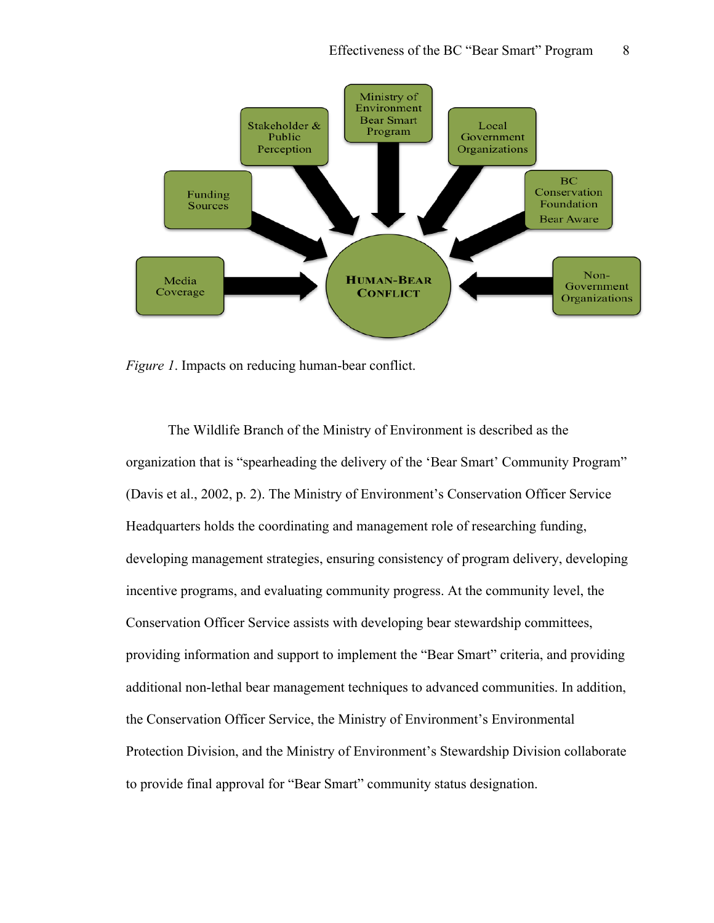

*Figure 1*. Impacts on reducing human-bear conflict.

The Wildlife Branch of the Ministry of Environment is described as the organization that is "spearheading the delivery of the 'Bear Smart' Community Program" (Davis et al., 2002, p. 2). The Ministry of Environment's Conservation Officer Service Headquarters holds the coordinating and management role of researching funding, developing management strategies, ensuring consistency of program delivery, developing incentive programs, and evaluating community progress. At the community level, the Conservation Officer Service assists with developing bear stewardship committees, providing information and support to implement the "Bear Smart" criteria, and providing additional non-lethal bear management techniques to advanced communities. In addition, the Conservation Officer Service, the Ministry of Environment's Environmental Protection Division, and the Ministry of Environment's Stewardship Division collaborate to provide final approval for "Bear Smart" community status designation.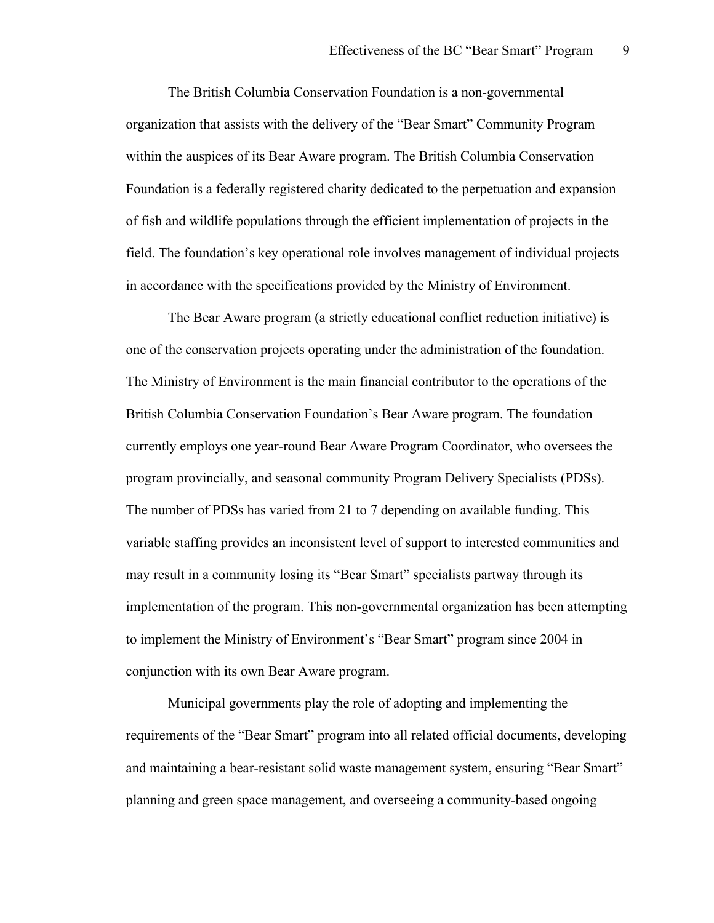The British Columbia Conservation Foundation is a non-governmental organization that assists with the delivery of the "Bear Smart" Community Program within the auspices of its Bear Aware program. The British Columbia Conservation Foundation is a federally registered charity dedicated to the perpetuation and expansion of fish and wildlife populations through the efficient implementation of projects in the field. The foundation's key operational role involves management of individual projects in accordance with the specifications provided by the Ministry of Environment.

The Bear Aware program (a strictly educational conflict reduction initiative) is one of the conservation projects operating under the administration of the foundation. The Ministry of Environment is the main financial contributor to the operations of the British Columbia Conservation Foundation's Bear Aware program. The foundation currently employs one year-round Bear Aware Program Coordinator, who oversees the program provincially, and seasonal community Program Delivery Specialists (PDSs). The number of PDSs has varied from 21 to 7 depending on available funding. This variable staffing provides an inconsistent level of support to interested communities and may result in a community losing its "Bear Smart" specialists partway through its implementation of the program. This non-governmental organization has been attempting to implement the Ministry of Environment's "Bear Smart" program since 2004 in conjunction with its own Bear Aware program.

Municipal governments play the role of adopting and implementing the requirements of the "Bear Smart" program into all related official documents, developing and maintaining a bear-resistant solid waste management system, ensuring "Bear Smart" planning and green space management, and overseeing a community-based ongoing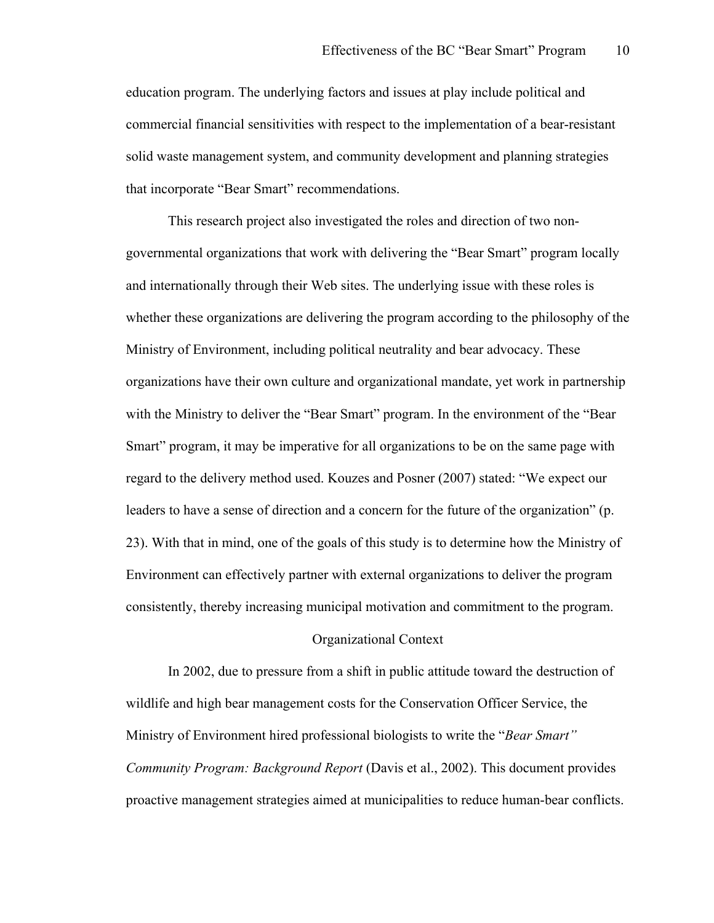education program. The underlying factors and issues at play include political and commercial financial sensitivities with respect to the implementation of a bear-resistant solid waste management system, and community development and planning strategies that incorporate "Bear Smart" recommendations.

This research project also investigated the roles and direction of two nongovernmental organizations that work with delivering the "Bear Smart" program locally and internationally through their Web sites. The underlying issue with these roles is whether these organizations are delivering the program according to the philosophy of the Ministry of Environment, including political neutrality and bear advocacy. These organizations have their own culture and organizational mandate, yet work in partnership with the Ministry to deliver the "Bear Smart" program. In the environment of the "Bear Smart" program, it may be imperative for all organizations to be on the same page with regard to the delivery method used. Kouzes and Posner (2007) stated: "We expect our leaders to have a sense of direction and a concern for the future of the organization" (p. 23). With that in mind, one of the goals of this study is to determine how the Ministry of Environment can effectively partner with external organizations to deliver the program consistently, thereby increasing municipal motivation and commitment to the program.

#### Organizational Context

In 2002, due to pressure from a shift in public attitude toward the destruction of wildlife and high bear management costs for the Conservation Officer Service, the Ministry of Environment hired professional biologists to write the "*Bear Smart" Community Program: Background Report* (Davis et al., 2002). This document provides proactive management strategies aimed at municipalities to reduce human-bear conflicts.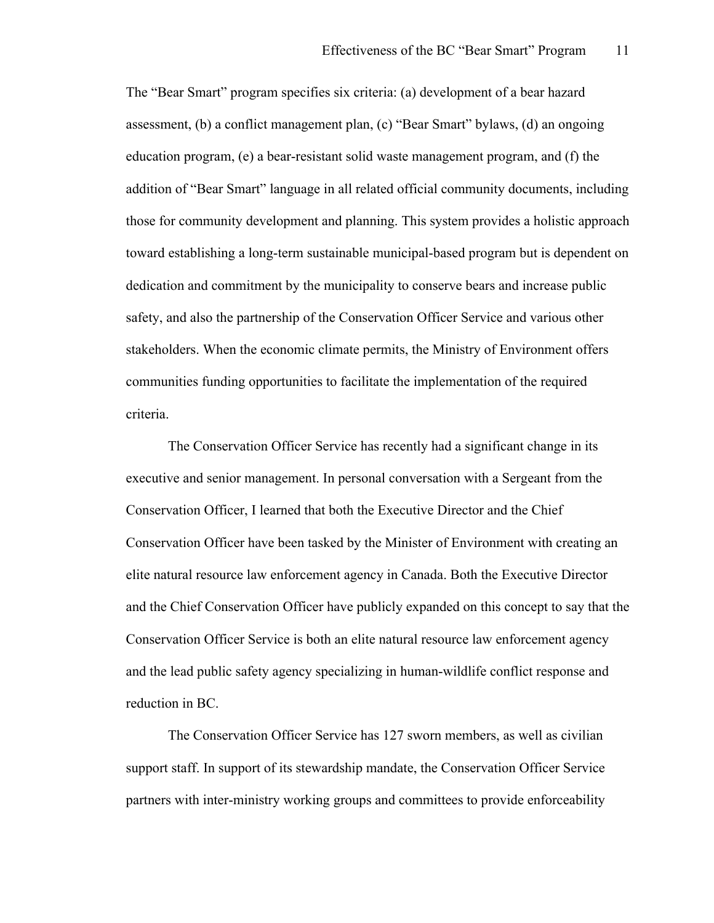The "Bear Smart" program specifies six criteria: (a) development of a bear hazard assessment, (b) a conflict management plan, (c) "Bear Smart" bylaws, (d) an ongoing education program, (e) a bear-resistant solid waste management program, and (f) the addition of "Bear Smart" language in all related official community documents, including those for community development and planning. This system provides a holistic approach toward establishing a long-term sustainable municipal-based program but is dependent on dedication and commitment by the municipality to conserve bears and increase public safety, and also the partnership of the Conservation Officer Service and various other stakeholders. When the economic climate permits, the Ministry of Environment offers communities funding opportunities to facilitate the implementation of the required criteria.

The Conservation Officer Service has recently had a significant change in its executive and senior management. In personal conversation with a Sergeant from the Conservation Officer, I learned that both the Executive Director and the Chief Conservation Officer have been tasked by the Minister of Environment with creating an elite natural resource law enforcement agency in Canada. Both the Executive Director and the Chief Conservation Officer have publicly expanded on this concept to say that the Conservation Officer Service is both an elite natural resource law enforcement agency and the lead public safety agency specializing in human-wildlife conflict response and reduction in BC.

The Conservation Officer Service has 127 sworn members, as well as civilian support staff. In support of its stewardship mandate, the Conservation Officer Service partners with inter-ministry working groups and committees to provide enforceability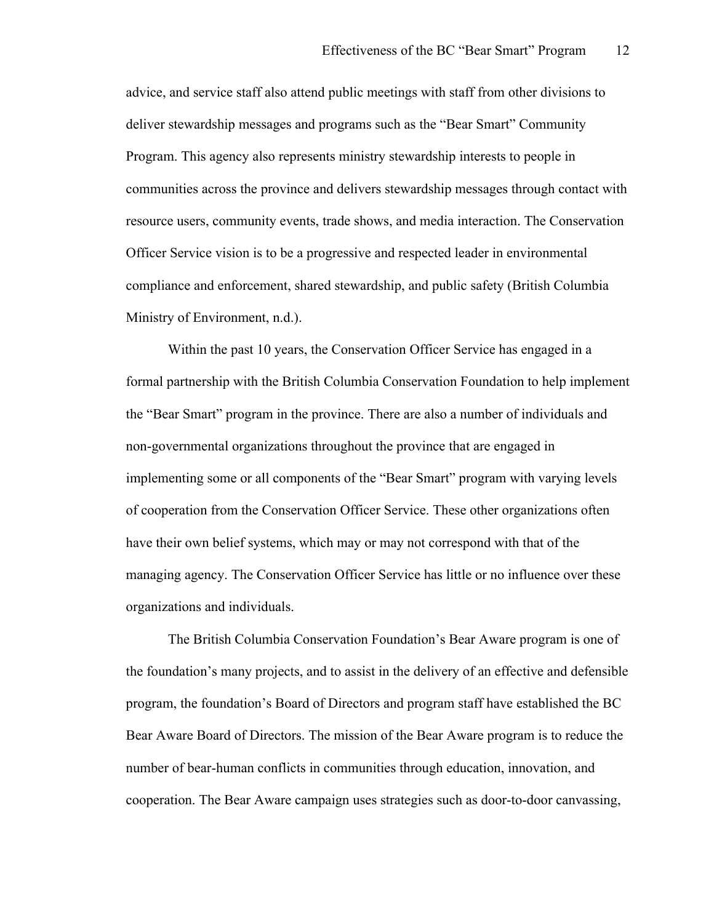advice, and service staff also attend public meetings with staff from other divisions to deliver stewardship messages and programs such as the "Bear Smart" Community Program. This agency also represents ministry stewardship interests to people in communities across the province and delivers stewardship messages through contact with resource users, community events, trade shows, and media interaction. The Conservation Officer Service vision is to be a progressive and respected leader in environmental compliance and enforcement, shared stewardship, and public safety (British Columbia Ministry of Environment, n.d.).

Within the past 10 years, the Conservation Officer Service has engaged in a formal partnership with the British Columbia Conservation Foundation to help implement the "Bear Smart" program in the province. There are also a number of individuals and non-governmental organizations throughout the province that are engaged in implementing some or all components of the "Bear Smart" program with varying levels of cooperation from the Conservation Officer Service. These other organizations often have their own belief systems, which may or may not correspond with that of the managing agency. The Conservation Officer Service has little or no influence over these organizations and individuals.

The British Columbia Conservation Foundation's Bear Aware program is one of the foundation's many projects, and to assist in the delivery of an effective and defensible program, the foundation's Board of Directors and program staff have established the BC Bear Aware Board of Directors. The mission of the Bear Aware program is to reduce the number of bear-human conflicts in communities through education, innovation, and cooperation. The Bear Aware campaign uses strategies such as door-to-door canvassing,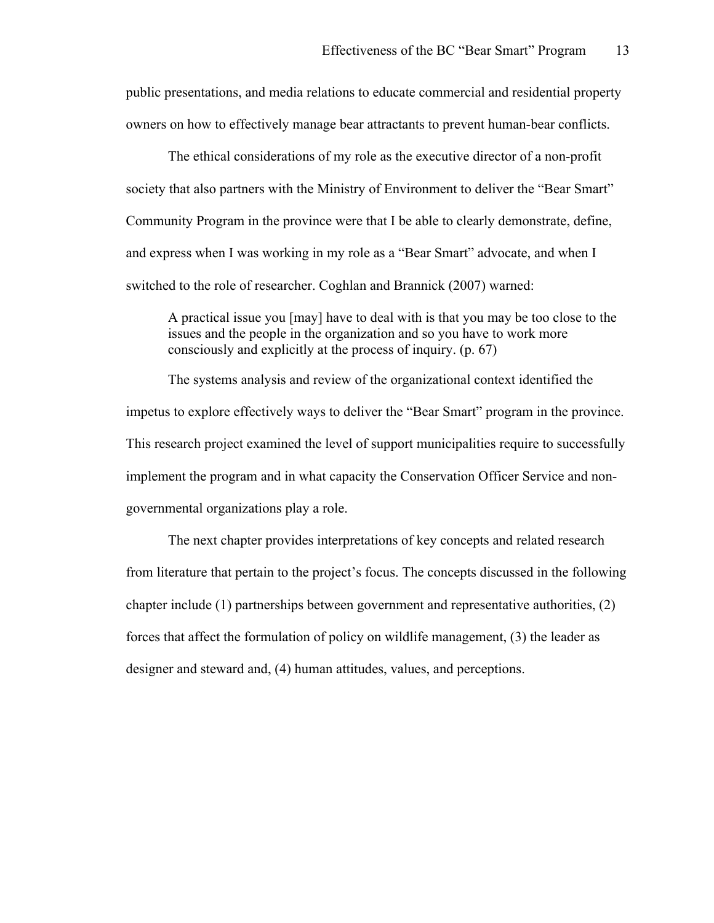public presentations, and media relations to educate commercial and residential property owners on how to effectively manage bear attractants to prevent human-bear conflicts.

The ethical considerations of my role as the executive director of a non-profit society that also partners with the Ministry of Environment to deliver the "Bear Smart" Community Program in the province were that I be able to clearly demonstrate, define, and express when I was working in my role as a "Bear Smart" advocate, and when I switched to the role of researcher. Coghlan and Brannick (2007) warned:

A practical issue you [may] have to deal with is that you may be too close to the issues and the people in the organization and so you have to work more consciously and explicitly at the process of inquiry. (p. 67)

The systems analysis and review of the organizational context identified the impetus to explore effectively ways to deliver the "Bear Smart" program in the province. This research project examined the level of support municipalities require to successfully implement the program and in what capacity the Conservation Officer Service and nongovernmental organizations play a role.

The next chapter provides interpretations of key concepts and related research from literature that pertain to the project's focus. The concepts discussed in the following chapter include (1) partnerships between government and representative authorities, (2) forces that affect the formulation of policy on wildlife management, (3) the leader as designer and steward and, (4) human attitudes, values, and perceptions.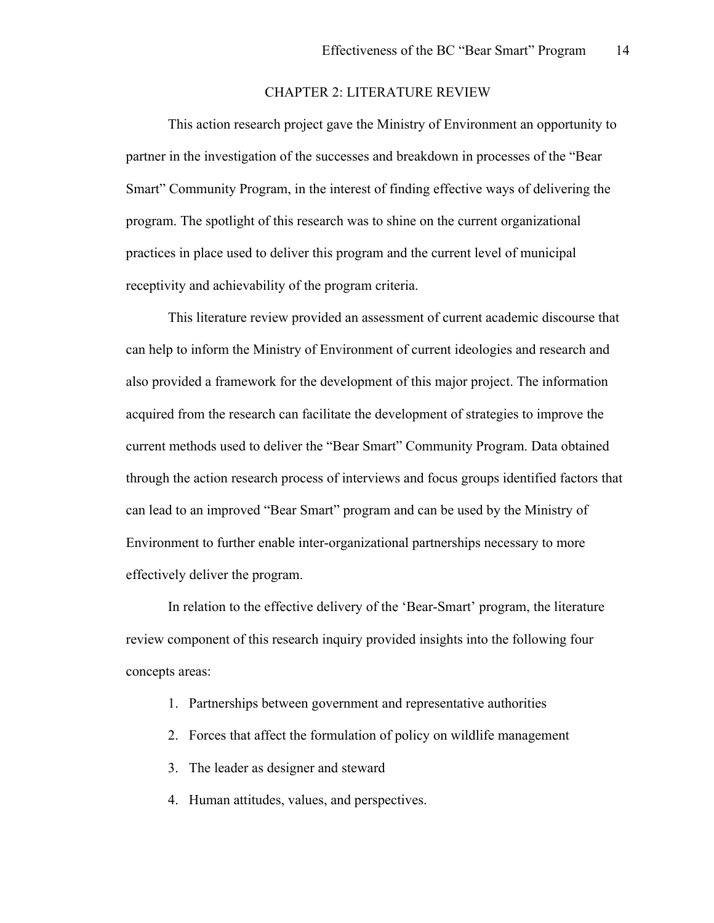#### CHAPTER 2: LITERATURE REVIEW

This action research project gave the Ministry of Environment an opportunity to partner in the investigation of the successes and breakdown in processes of the "Bear Smart" Community Program, in the interest of finding effective ways of delivering the program. The spotlight of this research was to shine on the current organizational practices in place used to deliver this program and the current level of municipal receptivity and achievability of the program criteria.

This literature review provided an assessment of current academic discourse that can help to inform the Ministry of Environment of current ideologies and research and also provided a framework for the development of this major project. The information acquired from the research can facilitate the development of strategies to improve the current methods used to deliver the "Bear Smart" Community Program. Data obtained through the action research process of interviews and focus groups identified factors that can lead to an improved "Bear Smart" program and can be used by the Ministry of Environment to further enable inter-organizational partnerships necessary to more effectively deliver the program.

In relation to the effective delivery of the 'Bear-Smart' program, the literature review component of this research inquiry provided insights into the following four concepts areas:

- 1. Partnerships between government and representative authorities
- 2. Forces that affect the formulation of policy on wildlife management
- 3. The leader as designer and steward
- 4. Human attitudes, values, and perspectives.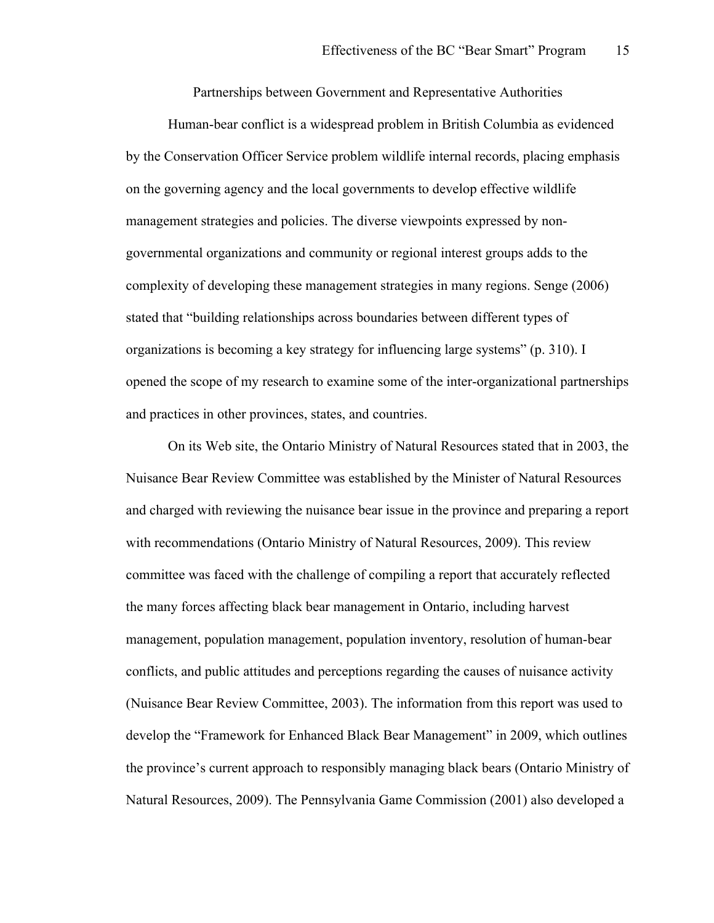Partnerships between Government and Representative Authorities

Human-bear conflict is a widespread problem in British Columbia as evidenced by the Conservation Officer Service problem wildlife internal records, placing emphasis on the governing agency and the local governments to develop effective wildlife management strategies and policies. The diverse viewpoints expressed by nongovernmental organizations and community or regional interest groups adds to the complexity of developing these management strategies in many regions. Senge (2006) stated that "building relationships across boundaries between different types of organizations is becoming a key strategy for influencing large systems" (p. 310). I opened the scope of my research to examine some of the inter-organizational partnerships and practices in other provinces, states, and countries.

On its Web site, the Ontario Ministry of Natural Resources stated that in 2003, the Nuisance Bear Review Committee was established by the Minister of Natural Resources and charged with reviewing the nuisance bear issue in the province and preparing a report with recommendations (Ontario Ministry of Natural Resources, 2009). This review committee was faced with the challenge of compiling a report that accurately reflected the many forces affecting black bear management in Ontario, including harvest management, population management, population inventory, resolution of human-bear conflicts, and public attitudes and perceptions regarding the causes of nuisance activity (Nuisance Bear Review Committee, 2003). The information from this report was used to develop the "Framework for Enhanced Black Bear Management" in 2009, which outlines the province's current approach to responsibly managing black bears (Ontario Ministry of Natural Resources, 2009). The Pennsylvania Game Commission (2001) also developed a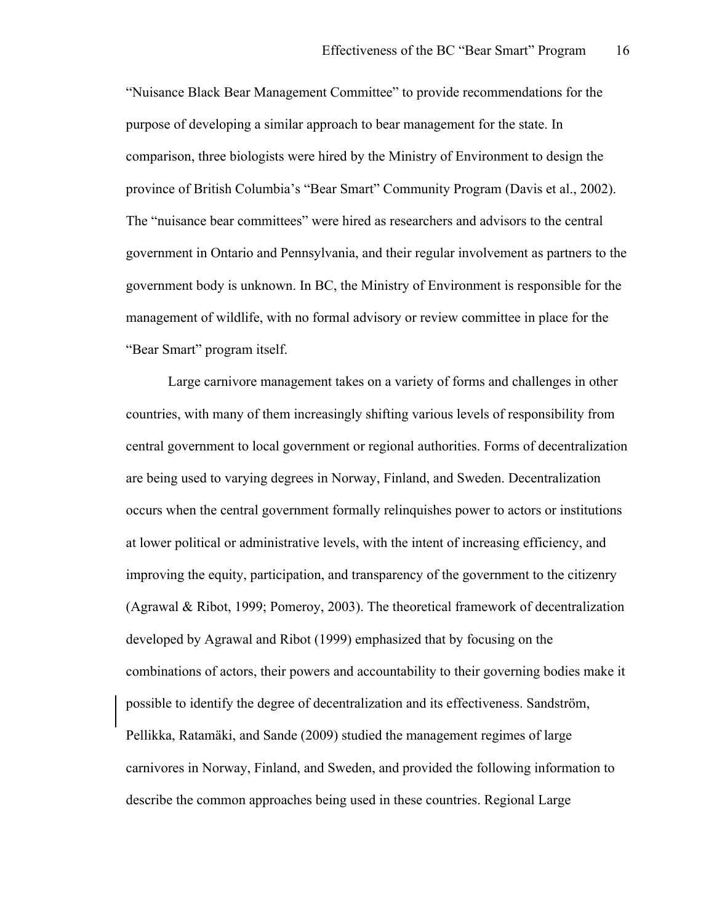"Nuisance Black Bear Management Committee" to provide recommendations for the purpose of developing a similar approach to bear management for the state. In comparison, three biologists were hired by the Ministry of Environment to design the province of British Columbia's "Bear Smart" Community Program (Davis et al., 2002). The "nuisance bear committees" were hired as researchers and advisors to the central government in Ontario and Pennsylvania, and their regular involvement as partners to the government body is unknown. In BC, the Ministry of Environment is responsible for the management of wildlife, with no formal advisory or review committee in place for the "Bear Smart" program itself.

Large carnivore management takes on a variety of forms and challenges in other countries, with many of them increasingly shifting various levels of responsibility from central government to local government or regional authorities. Forms of decentralization are being used to varying degrees in Norway, Finland, and Sweden. Decentralization occurs when the central government formally relinquishes power to actors or institutions at lower political or administrative levels, with the intent of increasing efficiency, and improving the equity, participation, and transparency of the government to the citizenry (Agrawal & Ribot, 1999; Pomeroy, 2003). The theoretical framework of decentralization developed by Agrawal and Ribot (1999) emphasized that by focusing on the combinations of actors, their powers and accountability to their governing bodies make it possible to identify the degree of decentralization and its effectiveness. Sandström, Pellikka, Ratamäki, and Sande (2009) studied the management regimes of large carnivores in Norway, Finland, and Sweden, and provided the following information to describe the common approaches being used in these countries. Regional Large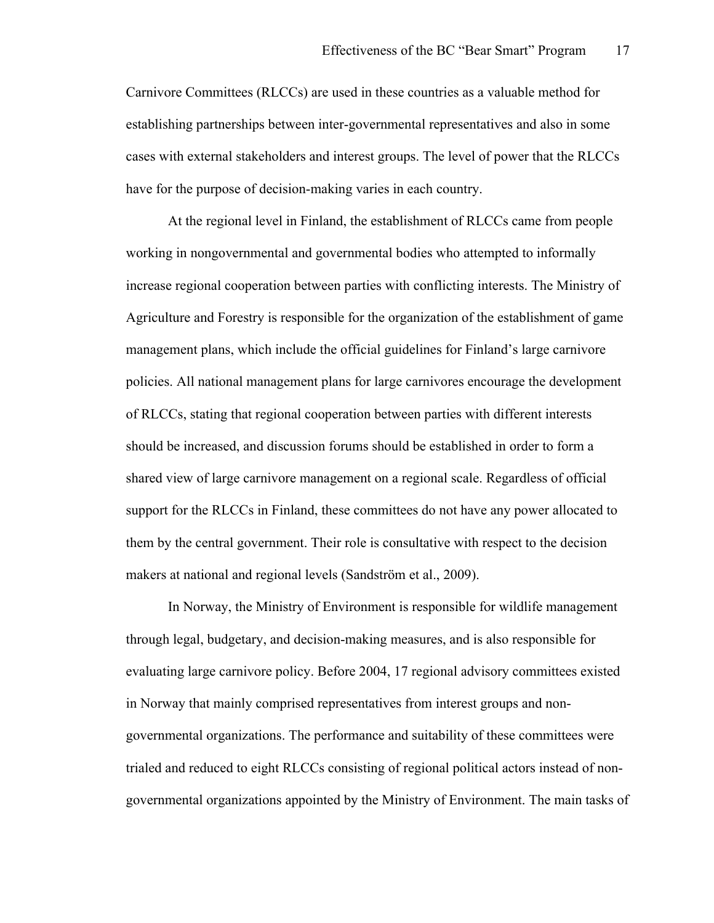Carnivore Committees (RLCCs) are used in these countries as a valuable method for establishing partnerships between inter-governmental representatives and also in some cases with external stakeholders and interest groups. The level of power that the RLCCs have for the purpose of decision-making varies in each country.

At the regional level in Finland, the establishment of RLCCs came from people working in nongovernmental and governmental bodies who attempted to informally increase regional cooperation between parties with conflicting interests. The Ministry of Agriculture and Forestry is responsible for the organization of the establishment of game management plans, which include the official guidelines for Finland's large carnivore policies. All national management plans for large carnivores encourage the development of RLCCs, stating that regional cooperation between parties with different interests should be increased, and discussion forums should be established in order to form a shared view of large carnivore management on a regional scale. Regardless of official support for the RLCCs in Finland, these committees do not have any power allocated to them by the central government. Their role is consultative with respect to the decision makers at national and regional levels (Sandström et al., 2009).

In Norway, the Ministry of Environment is responsible for wildlife management through legal, budgetary, and decision-making measures, and is also responsible for evaluating large carnivore policy. Before 2004, 17 regional advisory committees existed in Norway that mainly comprised representatives from interest groups and nongovernmental organizations. The performance and suitability of these committees were trialed and reduced to eight RLCCs consisting of regional political actors instead of nongovernmental organizations appointed by the Ministry of Environment. The main tasks of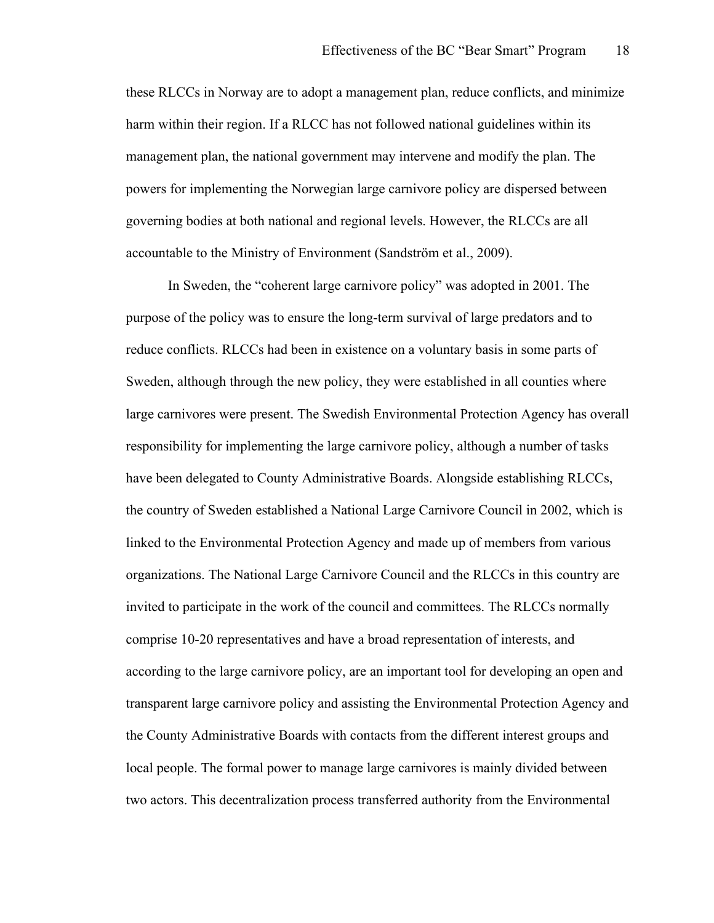these RLCCs in Norway are to adopt a management plan, reduce conflicts, and minimize harm within their region. If a RLCC has not followed national guidelines within its management plan, the national government may intervene and modify the plan. The powers for implementing the Norwegian large carnivore policy are dispersed between governing bodies at both national and regional levels. However, the RLCCs are all accountable to the Ministry of Environment (Sandström et al., 2009).

In Sweden, the "coherent large carnivore policy" was adopted in 2001. The purpose of the policy was to ensure the long-term survival of large predators and to reduce conflicts. RLCCs had been in existence on a voluntary basis in some parts of Sweden, although through the new policy, they were established in all counties where large carnivores were present. The Swedish Environmental Protection Agency has overall responsibility for implementing the large carnivore policy, although a number of tasks have been delegated to County Administrative Boards. Alongside establishing RLCCs, the country of Sweden established a National Large Carnivore Council in 2002, which is linked to the Environmental Protection Agency and made up of members from various organizations. The National Large Carnivore Council and the RLCCs in this country are invited to participate in the work of the council and committees. The RLCCs normally comprise 10-20 representatives and have a broad representation of interests, and according to the large carnivore policy, are an important tool for developing an open and transparent large carnivore policy and assisting the Environmental Protection Agency and the County Administrative Boards with contacts from the different interest groups and local people. The formal power to manage large carnivores is mainly divided between two actors. This decentralization process transferred authority from the Environmental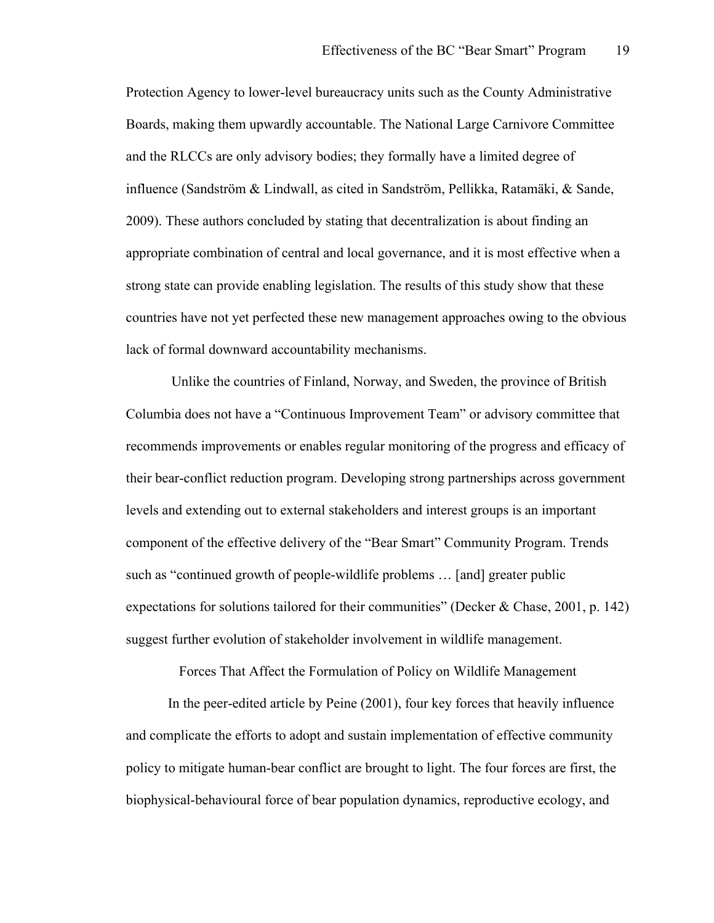Protection Agency to lower-level bureaucracy units such as the County Administrative Boards, making them upwardly accountable. The National Large Carnivore Committee and the RLCCs are only advisory bodies; they formally have a limited degree of influence (Sandström & Lindwall, as cited in Sandström, Pellikka, Ratamäki, & Sande, 2009). These authors concluded by stating that decentralization is about finding an appropriate combination of central and local governance, and it is most effective when a strong state can provide enabling legislation. The results of this study show that these countries have not yet perfected these new management approaches owing to the obvious lack of formal downward accountability mechanisms.

 Unlike the countries of Finland, Norway, and Sweden, the province of British Columbia does not have a "Continuous Improvement Team" or advisory committee that recommends improvements or enables regular monitoring of the progress and efficacy of their bear-conflict reduction program. Developing strong partnerships across government levels and extending out to external stakeholders and interest groups is an important component of the effective delivery of the "Bear Smart" Community Program. Trends such as "continued growth of people-wildlife problems … [and] greater public expectations for solutions tailored for their communities" (Decker & Chase, 2001, p. 142) suggest further evolution of stakeholder involvement in wildlife management.

Forces That Affect the Formulation of Policy on Wildlife Management

In the peer-edited article by Peine (2001), four key forces that heavily influence and complicate the efforts to adopt and sustain implementation of effective community policy to mitigate human-bear conflict are brought to light. The four forces are first, the biophysical-behavioural force of bear population dynamics, reproductive ecology, and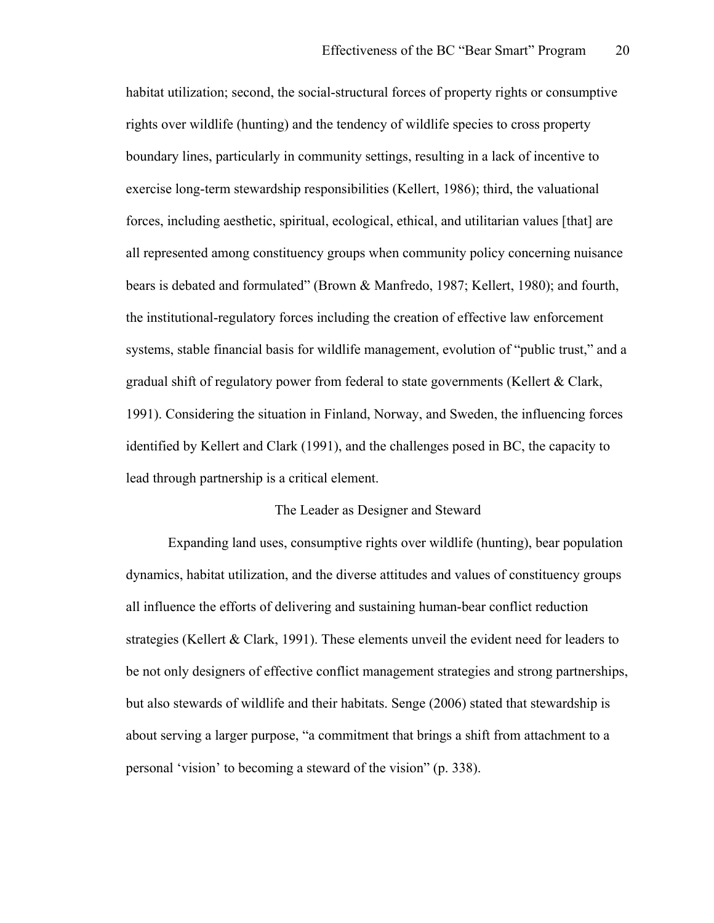habitat utilization; second, the social-structural forces of property rights or consumptive rights over wildlife (hunting) and the tendency of wildlife species to cross property boundary lines, particularly in community settings, resulting in a lack of incentive to exercise long-term stewardship responsibilities (Kellert, 1986); third, the valuational forces, including aesthetic, spiritual, ecological, ethical, and utilitarian values [that] are all represented among constituency groups when community policy concerning nuisance bears is debated and formulated" (Brown & Manfredo, 1987; Kellert, 1980); and fourth, the institutional-regulatory forces including the creation of effective law enforcement systems, stable financial basis for wildlife management, evolution of "public trust," and a gradual shift of regulatory power from federal to state governments (Kellert & Clark, 1991). Considering the situation in Finland, Norway, and Sweden, the influencing forces identified by Kellert and Clark (1991), and the challenges posed in BC, the capacity to lead through partnership is a critical element.

#### The Leader as Designer and Steward

Expanding land uses, consumptive rights over wildlife (hunting), bear population dynamics, habitat utilization, and the diverse attitudes and values of constituency groups all influence the efforts of delivering and sustaining human-bear conflict reduction strategies (Kellert & Clark, 1991). These elements unveil the evident need for leaders to be not only designers of effective conflict management strategies and strong partnerships, but also stewards of wildlife and their habitats. Senge (2006) stated that stewardship is about serving a larger purpose, "a commitment that brings a shift from attachment to a personal 'vision' to becoming a steward of the vision" (p. 338).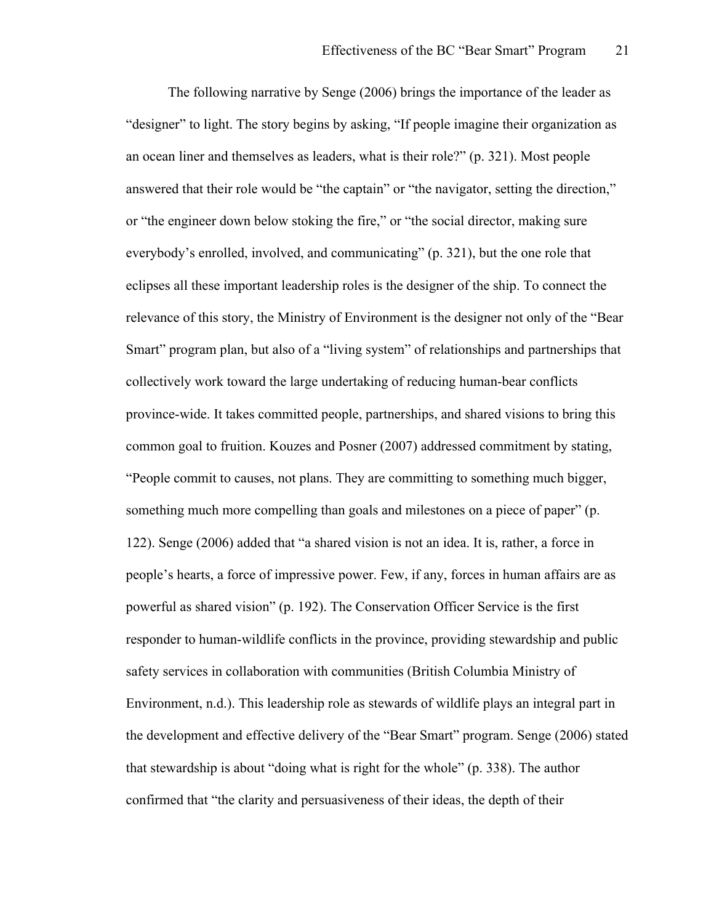The following narrative by Senge (2006) brings the importance of the leader as "designer" to light. The story begins by asking, "If people imagine their organization as an ocean liner and themselves as leaders, what is their role?" (p. 321). Most people answered that their role would be "the captain" or "the navigator, setting the direction," or "the engineer down below stoking the fire," or "the social director, making sure everybody's enrolled, involved, and communicating" (p. 321), but the one role that eclipses all these important leadership roles is the designer of the ship. To connect the relevance of this story, the Ministry of Environment is the designer not only of the "Bear Smart" program plan, but also of a "living system" of relationships and partnerships that collectively work toward the large undertaking of reducing human-bear conflicts province-wide. It takes committed people, partnerships, and shared visions to bring this common goal to fruition. Kouzes and Posner (2007) addressed commitment by stating, "People commit to causes, not plans. They are committing to something much bigger, something much more compelling than goals and milestones on a piece of paper" (p. 122). Senge (2006) added that "a shared vision is not an idea. It is, rather, a force in people's hearts, a force of impressive power. Few, if any, forces in human affairs are as powerful as shared vision" (p. 192). The Conservation Officer Service is the first responder to human-wildlife conflicts in the province, providing stewardship and public safety services in collaboration with communities (British Columbia Ministry of Environment, n.d.). This leadership role as stewards of wildlife plays an integral part in the development and effective delivery of the "Bear Smart" program. Senge (2006) stated that stewardship is about "doing what is right for the whole" (p. 338). The author confirmed that "the clarity and persuasiveness of their ideas, the depth of their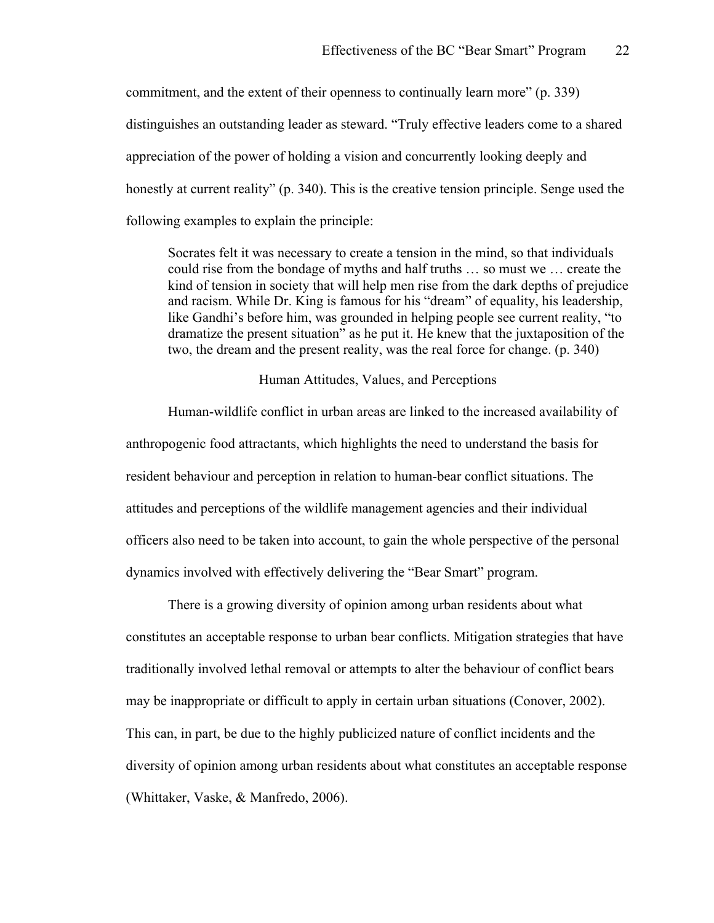commitment, and the extent of their openness to continually learn more" (p. 339) distinguishes an outstanding leader as steward. "Truly effective leaders come to a shared appreciation of the power of holding a vision and concurrently looking deeply and honestly at current reality" (p. 340). This is the creative tension principle. Senge used the following examples to explain the principle:

Socrates felt it was necessary to create a tension in the mind, so that individuals could rise from the bondage of myths and half truths … so must we … create the kind of tension in society that will help men rise from the dark depths of prejudice and racism. While Dr. King is famous for his "dream" of equality, his leadership, like Gandhi's before him, was grounded in helping people see current reality, "to dramatize the present situation" as he put it. He knew that the juxtaposition of the two, the dream and the present reality, was the real force for change. (p. 340)

#### Human Attitudes, Values, and Perceptions

Human-wildlife conflict in urban areas are linked to the increased availability of anthropogenic food attractants, which highlights the need to understand the basis for resident behaviour and perception in relation to human-bear conflict situations. The attitudes and perceptions of the wildlife management agencies and their individual officers also need to be taken into account, to gain the whole perspective of the personal dynamics involved with effectively delivering the "Bear Smart" program.

There is a growing diversity of opinion among urban residents about what constitutes an acceptable response to urban bear conflicts. Mitigation strategies that have traditionally involved lethal removal or attempts to alter the behaviour of conflict bears may be inappropriate or difficult to apply in certain urban situations (Conover, 2002). This can, in part, be due to the highly publicized nature of conflict incidents and the diversity of opinion among urban residents about what constitutes an acceptable response (Whittaker, Vaske, & Manfredo, 2006).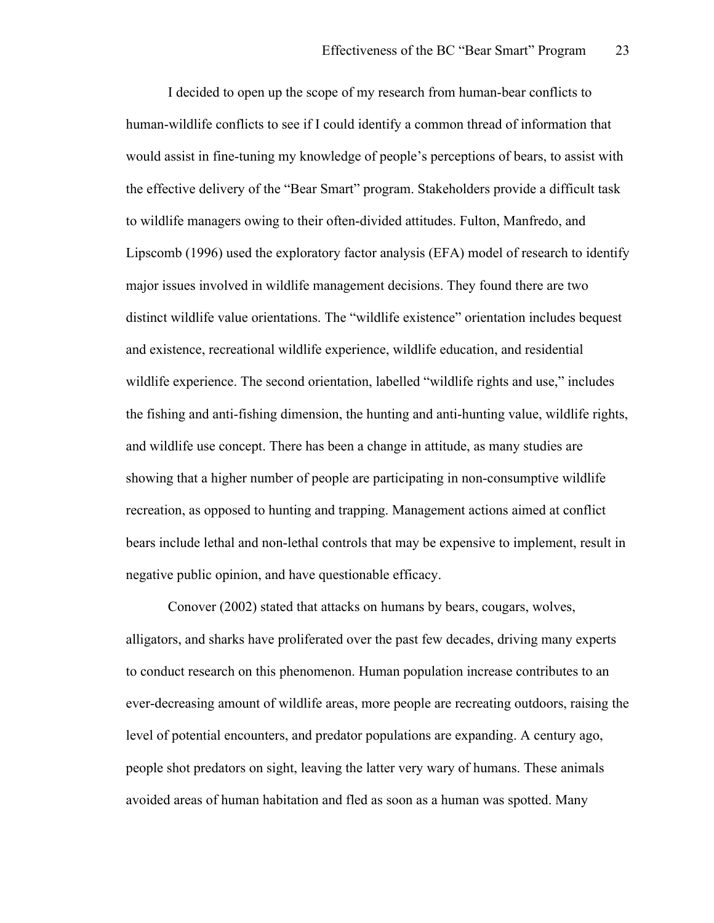I decided to open up the scope of my research from human-bear conflicts to human-wildlife conflicts to see if I could identify a common thread of information that would assist in fine-tuning my knowledge of people's perceptions of bears, to assist with the effective delivery of the "Bear Smart" program. Stakeholders provide a difficult task to wildlife managers owing to their often-divided attitudes. Fulton, Manfredo, and Lipscomb (1996) used the exploratory factor analysis (EFA) model of research to identify major issues involved in wildlife management decisions. They found there are two distinct wildlife value orientations. The "wildlife existence" orientation includes bequest and existence, recreational wildlife experience, wildlife education, and residential wildlife experience. The second orientation, labelled "wildlife rights and use," includes the fishing and anti-fishing dimension, the hunting and anti-hunting value, wildlife rights, and wildlife use concept. There has been a change in attitude, as many studies are showing that a higher number of people are participating in non-consumptive wildlife recreation, as opposed to hunting and trapping. Management actions aimed at conflict bears include lethal and non-lethal controls that may be expensive to implement, result in negative public opinion, and have questionable efficacy.

Conover (2002) stated that attacks on humans by bears, cougars, wolves, alligators, and sharks have proliferated over the past few decades, driving many experts to conduct research on this phenomenon. Human population increase contributes to an ever-decreasing amount of wildlife areas, more people are recreating outdoors, raising the level of potential encounters, and predator populations are expanding. A century ago, people shot predators on sight, leaving the latter very wary of humans. These animals avoided areas of human habitation and fled as soon as a human was spotted. Many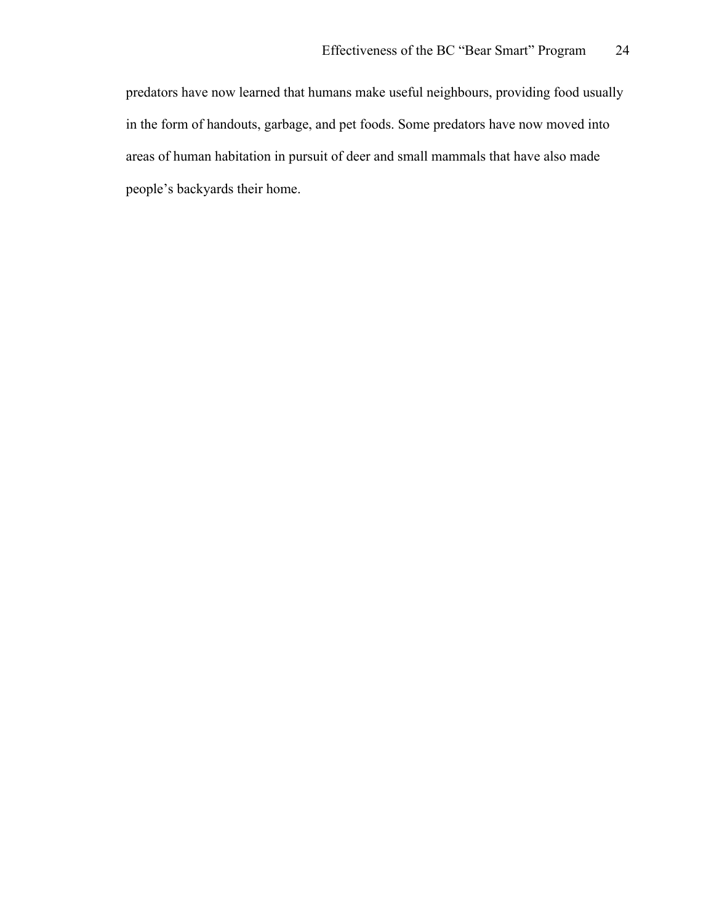predators have now learned that humans make useful neighbours, providing food usually in the form of handouts, garbage, and pet foods. Some predators have now moved into areas of human habitation in pursuit of deer and small mammals that have also made people's backyards their home.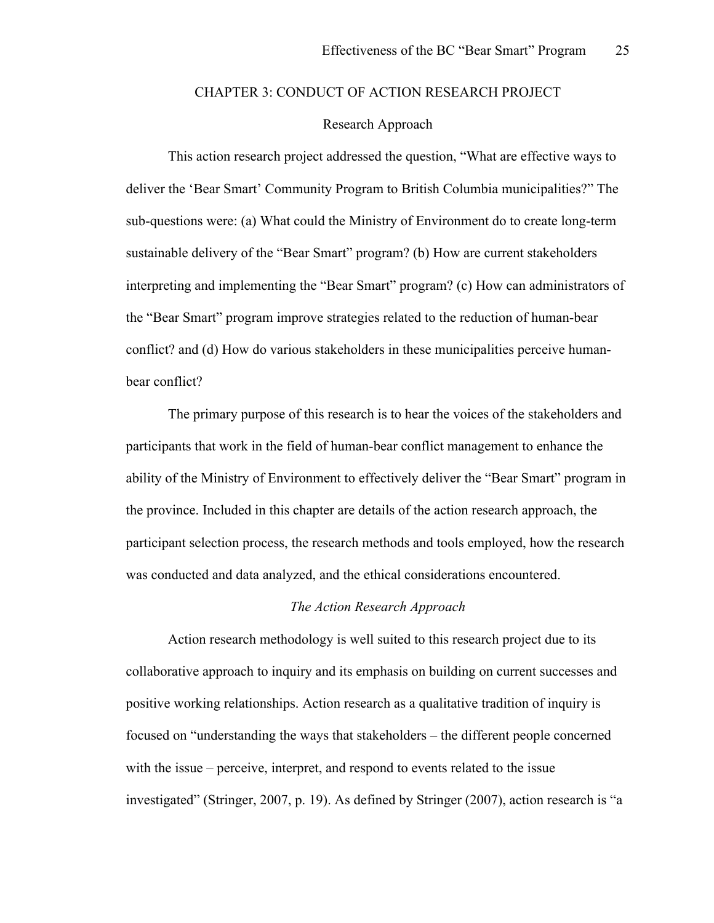## CHAPTER 3: CONDUCT OF ACTION RESEARCH PROJECT

## Research Approach

This action research project addressed the question, "What are effective ways to deliver the 'Bear Smart' Community Program to British Columbia municipalities?" The sub-questions were: (a) What could the Ministry of Environment do to create long-term sustainable delivery of the "Bear Smart" program? (b) How are current stakeholders interpreting and implementing the "Bear Smart" program? (c) How can administrators of the "Bear Smart" program improve strategies related to the reduction of human-bear conflict? and (d) How do various stakeholders in these municipalities perceive humanbear conflict?

The primary purpose of this research is to hear the voices of the stakeholders and participants that work in the field of human-bear conflict management to enhance the ability of the Ministry of Environment to effectively deliver the "Bear Smart" program in the province. Included in this chapter are details of the action research approach, the participant selection process, the research methods and tools employed, how the research was conducted and data analyzed, and the ethical considerations encountered.

#### *The Action Research Approach*

Action research methodology is well suited to this research project due to its collaborative approach to inquiry and its emphasis on building on current successes and positive working relationships. Action research as a qualitative tradition of inquiry is focused on "understanding the ways that stakeholders – the different people concerned with the issue – perceive, interpret, and respond to events related to the issue investigated" (Stringer, 2007, p. 19). As defined by Stringer (2007), action research is "a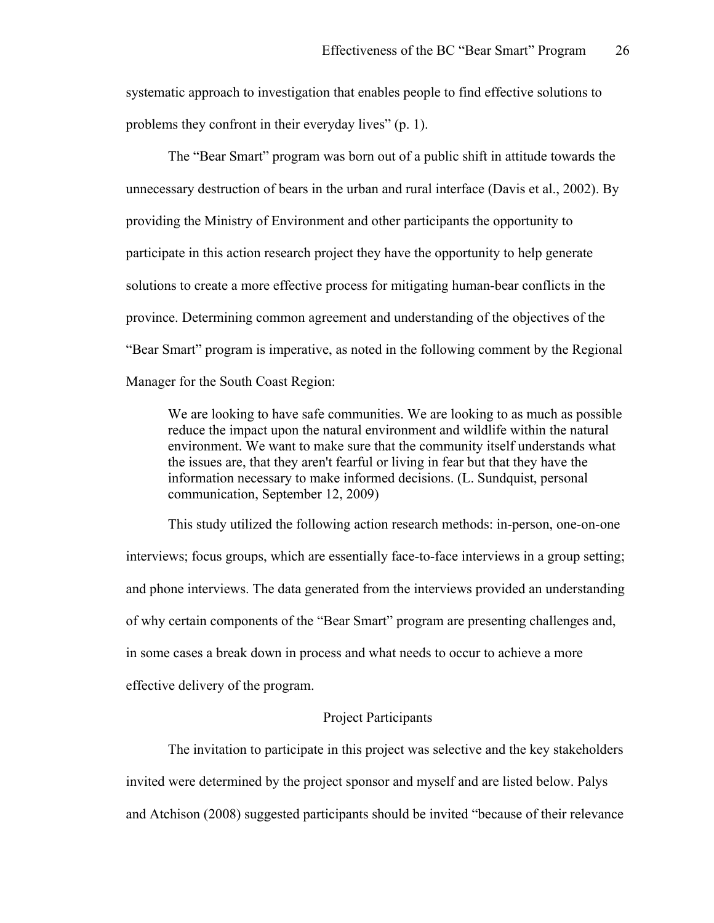systematic approach to investigation that enables people to find effective solutions to problems they confront in their everyday lives" (p. 1).

The "Bear Smart" program was born out of a public shift in attitude towards the unnecessary destruction of bears in the urban and rural interface (Davis et al., 2002). By providing the Ministry of Environment and other participants the opportunity to participate in this action research project they have the opportunity to help generate solutions to create a more effective process for mitigating human-bear conflicts in the province. Determining common agreement and understanding of the objectives of the "Bear Smart" program is imperative, as noted in the following comment by the Regional Manager for the South Coast Region:

We are looking to have safe communities. We are looking to as much as possible reduce the impact upon the natural environment and wildlife within the natural environment. We want to make sure that the community itself understands what the issues are, that they aren't fearful or living in fear but that they have the information necessary to make informed decisions. (L. Sundquist, personal communication, September 12, 2009)

This study utilized the following action research methods: in-person, one-on-one interviews; focus groups, which are essentially face-to-face interviews in a group setting; and phone interviews. The data generated from the interviews provided an understanding of why certain components of the "Bear Smart" program are presenting challenges and, in some cases a break down in process and what needs to occur to achieve a more effective delivery of the program.

### Project Participants

The invitation to participate in this project was selective and the key stakeholders invited were determined by the project sponsor and myself and are listed below. Palys and Atchison (2008) suggested participants should be invited "because of their relevance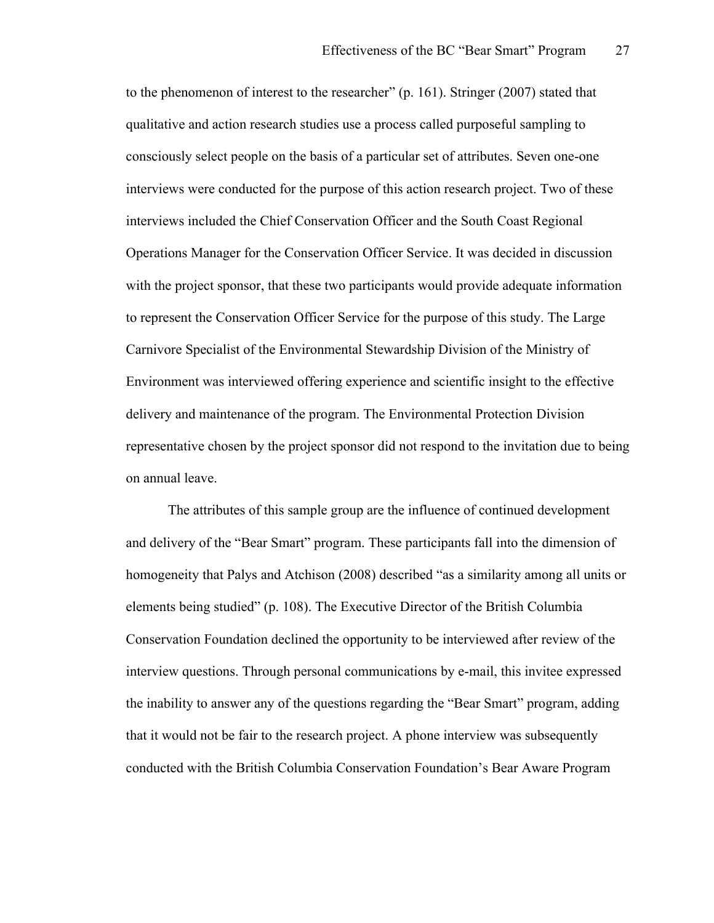to the phenomenon of interest to the researcher" (p. 161). Stringer (2007) stated that qualitative and action research studies use a process called purposeful sampling to consciously select people on the basis of a particular set of attributes. Seven one-one interviews were conducted for the purpose of this action research project. Two of these interviews included the Chief Conservation Officer and the South Coast Regional Operations Manager for the Conservation Officer Service. It was decided in discussion with the project sponsor, that these two participants would provide adequate information to represent the Conservation Officer Service for the purpose of this study. The Large Carnivore Specialist of the Environmental Stewardship Division of the Ministry of Environment was interviewed offering experience and scientific insight to the effective delivery and maintenance of the program. The Environmental Protection Division representative chosen by the project sponsor did not respond to the invitation due to being on annual leave.

The attributes of this sample group are the influence of continued development and delivery of the "Bear Smart" program. These participants fall into the dimension of homogeneity that Palys and Atchison (2008) described "as a similarity among all units or elements being studied" (p. 108). The Executive Director of the British Columbia Conservation Foundation declined the opportunity to be interviewed after review of the interview questions. Through personal communications by e-mail, this invitee expressed the inability to answer any of the questions regarding the "Bear Smart" program, adding that it would not be fair to the research project. A phone interview was subsequently conducted with the British Columbia Conservation Foundation's Bear Aware Program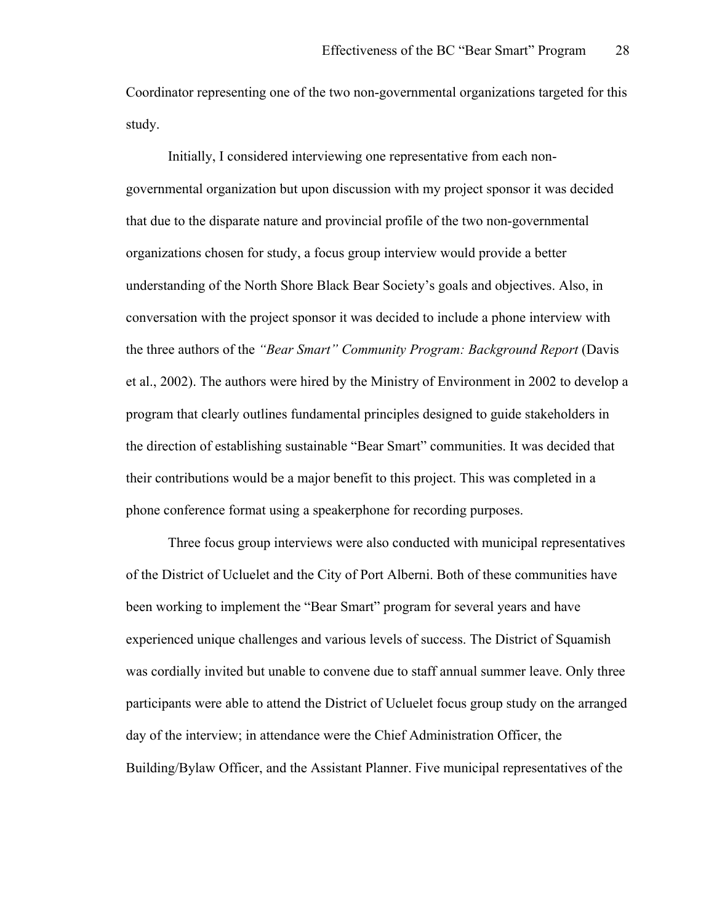Coordinator representing one of the two non-governmental organizations targeted for this study.

Initially, I considered interviewing one representative from each nongovernmental organization but upon discussion with my project sponsor it was decided that due to the disparate nature and provincial profile of the two non-governmental organizations chosen for study, a focus group interview would provide a better understanding of the North Shore Black Bear Society's goals and objectives. Also, in conversation with the project sponsor it was decided to include a phone interview with the three authors of the *"Bear Smart" Community Program: Background Report* (Davis et al., 2002). The authors were hired by the Ministry of Environment in 2002 to develop a program that clearly outlines fundamental principles designed to guide stakeholders in the direction of establishing sustainable "Bear Smart" communities. It was decided that their contributions would be a major benefit to this project. This was completed in a phone conference format using a speakerphone for recording purposes.

Three focus group interviews were also conducted with municipal representatives of the District of Ucluelet and the City of Port Alberni. Both of these communities have been working to implement the "Bear Smart" program for several years and have experienced unique challenges and various levels of success. The District of Squamish was cordially invited but unable to convene due to staff annual summer leave. Only three participants were able to attend the District of Ucluelet focus group study on the arranged day of the interview; in attendance were the Chief Administration Officer, the Building/Bylaw Officer, and the Assistant Planner. Five municipal representatives of the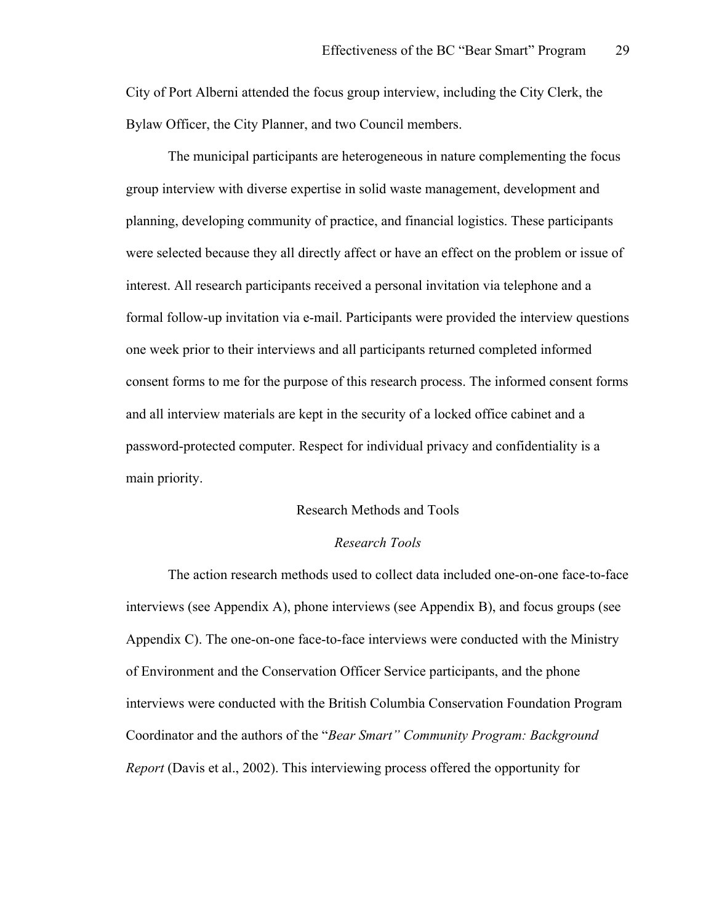City of Port Alberni attended the focus group interview, including the City Clerk, the Bylaw Officer, the City Planner, and two Council members.

The municipal participants are heterogeneous in nature complementing the focus group interview with diverse expertise in solid waste management, development and planning, developing community of practice, and financial logistics. These participants were selected because they all directly affect or have an effect on the problem or issue of interest. All research participants received a personal invitation via telephone and a formal follow-up invitation via e-mail. Participants were provided the interview questions one week prior to their interviews and all participants returned completed informed consent forms to me for the purpose of this research process. The informed consent forms and all interview materials are kept in the security of a locked office cabinet and a password-protected computer. Respect for individual privacy and confidentiality is a main priority.

#### Research Methods and Tools

#### *Research Tools*

The action research methods used to collect data included one-on-one face-to-face interviews (see Appendix A), phone interviews (see Appendix B), and focus groups (see Appendix C). The one-on-one face-to-face interviews were conducted with the Ministry of Environment and the Conservation Officer Service participants, and the phone interviews were conducted with the British Columbia Conservation Foundation Program Coordinator and the authors of the "*Bear Smart" Community Program: Background Report* (Davis et al., 2002). This interviewing process offered the opportunity for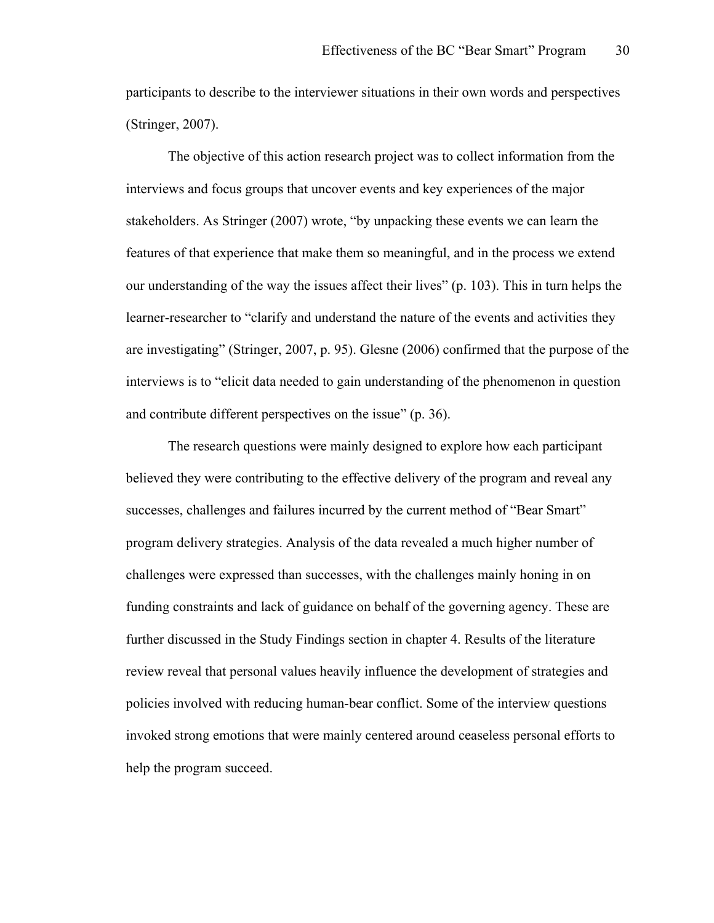participants to describe to the interviewer situations in their own words and perspectives (Stringer, 2007).

The objective of this action research project was to collect information from the interviews and focus groups that uncover events and key experiences of the major stakeholders. As Stringer (2007) wrote, "by unpacking these events we can learn the features of that experience that make them so meaningful, and in the process we extend our understanding of the way the issues affect their lives" (p. 103). This in turn helps the learner-researcher to "clarify and understand the nature of the events and activities they are investigating" (Stringer, 2007, p. 95). Glesne (2006) confirmed that the purpose of the interviews is to "elicit data needed to gain understanding of the phenomenon in question and contribute different perspectives on the issue" (p. 36).

The research questions were mainly designed to explore how each participant believed they were contributing to the effective delivery of the program and reveal any successes, challenges and failures incurred by the current method of "Bear Smart" program delivery strategies. Analysis of the data revealed a much higher number of challenges were expressed than successes, with the challenges mainly honing in on funding constraints and lack of guidance on behalf of the governing agency. These are further discussed in the Study Findings section in chapter 4. Results of the literature review reveal that personal values heavily influence the development of strategies and policies involved with reducing human-bear conflict. Some of the interview questions invoked strong emotions that were mainly centered around ceaseless personal efforts to help the program succeed.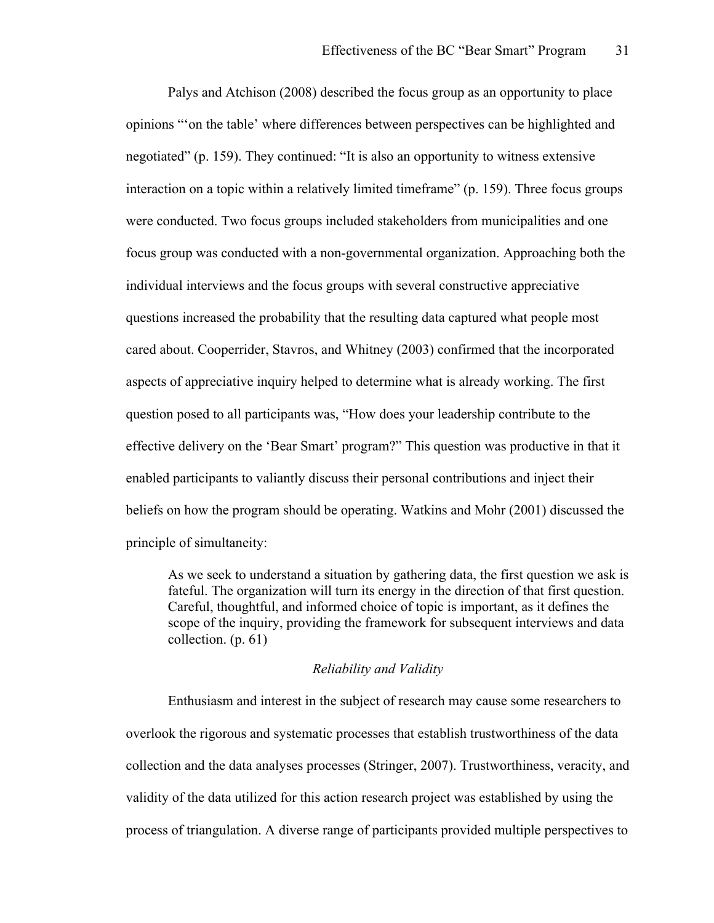Palys and Atchison (2008) described the focus group as an opportunity to place opinions "'on the table' where differences between perspectives can be highlighted and negotiated" (p. 159). They continued: "It is also an opportunity to witness extensive interaction on a topic within a relatively limited timeframe" (p. 159). Three focus groups were conducted. Two focus groups included stakeholders from municipalities and one focus group was conducted with a non-governmental organization. Approaching both the individual interviews and the focus groups with several constructive appreciative questions increased the probability that the resulting data captured what people most cared about. Cooperrider, Stavros, and Whitney (2003) confirmed that the incorporated aspects of appreciative inquiry helped to determine what is already working. The first question posed to all participants was, "How does your leadership contribute to the effective delivery on the 'Bear Smart' program?" This question was productive in that it enabled participants to valiantly discuss their personal contributions and inject their beliefs on how the program should be operating. Watkins and Mohr (2001) discussed the principle of simultaneity:

As we seek to understand a situation by gathering data, the first question we ask is fateful. The organization will turn its energy in the direction of that first question. Careful, thoughtful, and informed choice of topic is important, as it defines the scope of the inquiry, providing the framework for subsequent interviews and data collection. (p. 61)

#### *Reliability and Validity*

Enthusiasm and interest in the subject of research may cause some researchers to overlook the rigorous and systematic processes that establish trustworthiness of the data collection and the data analyses processes (Stringer, 2007). Trustworthiness, veracity, and validity of the data utilized for this action research project was established by using the process of triangulation. A diverse range of participants provided multiple perspectives to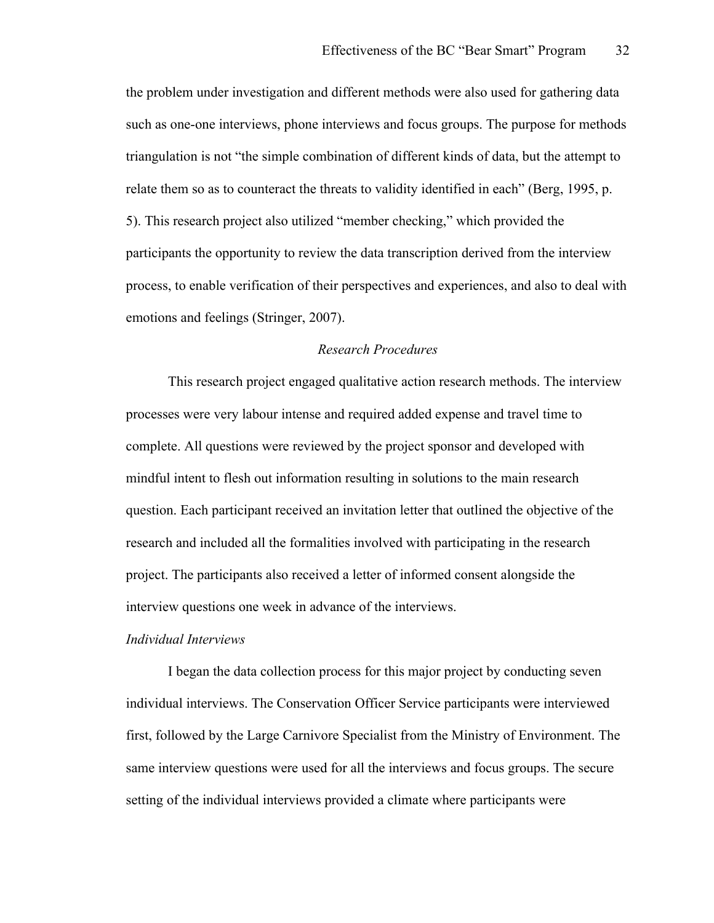the problem under investigation and different methods were also used for gathering data such as one-one interviews, phone interviews and focus groups. The purpose for methods triangulation is not "the simple combination of different kinds of data, but the attempt to relate them so as to counteract the threats to validity identified in each" (Berg, 1995, p. 5). This research project also utilized "member checking," which provided the participants the opportunity to review the data transcription derived from the interview process, to enable verification of their perspectives and experiences, and also to deal with emotions and feelings (Stringer, 2007).

## *Research Procedures*

This research project engaged qualitative action research methods. The interview processes were very labour intense and required added expense and travel time to complete. All questions were reviewed by the project sponsor and developed with mindful intent to flesh out information resulting in solutions to the main research question. Each participant received an invitation letter that outlined the objective of the research and included all the formalities involved with participating in the research project. The participants also received a letter of informed consent alongside the interview questions one week in advance of the interviews.

#### *Individual Interviews*

I began the data collection process for this major project by conducting seven individual interviews. The Conservation Officer Service participants were interviewed first, followed by the Large Carnivore Specialist from the Ministry of Environment. The same interview questions were used for all the interviews and focus groups. The secure setting of the individual interviews provided a climate where participants were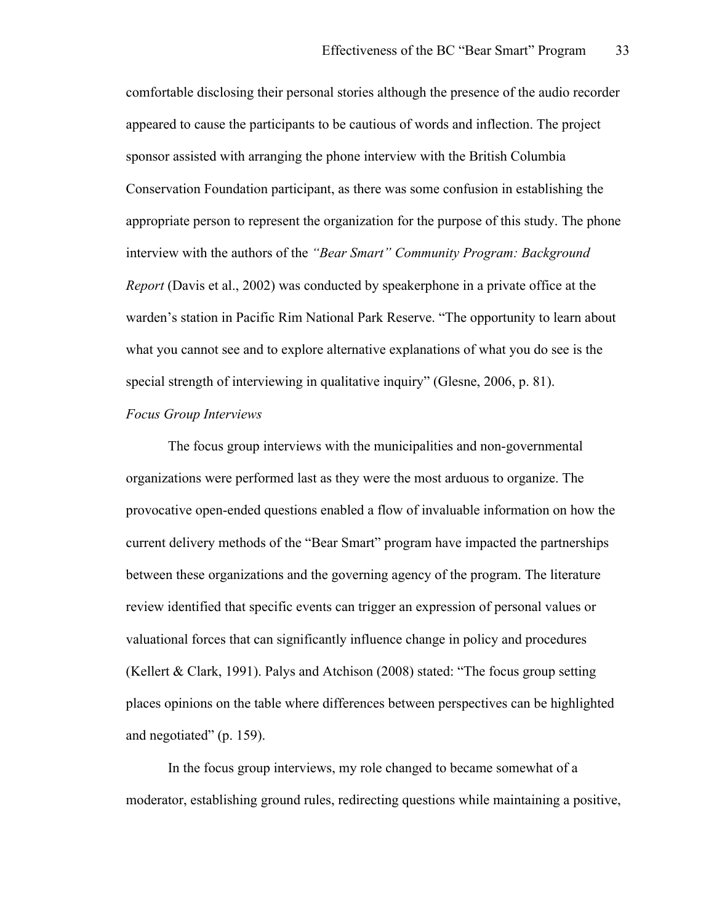comfortable disclosing their personal stories although the presence of the audio recorder appeared to cause the participants to be cautious of words and inflection. The project sponsor assisted with arranging the phone interview with the British Columbia Conservation Foundation participant, as there was some confusion in establishing the appropriate person to represent the organization for the purpose of this study. The phone interview with the authors of the *"Bear Smart" Community Program: Background Report* (Davis et al., 2002) was conducted by speakerphone in a private office at the warden's station in Pacific Rim National Park Reserve. "The opportunity to learn about what you cannot see and to explore alternative explanations of what you do see is the special strength of interviewing in qualitative inquiry" (Glesne, 2006, p. 81).

#### *Focus Group Interviews*

The focus group interviews with the municipalities and non-governmental organizations were performed last as they were the most arduous to organize. The provocative open-ended questions enabled a flow of invaluable information on how the current delivery methods of the "Bear Smart" program have impacted the partnerships between these organizations and the governing agency of the program. The literature review identified that specific events can trigger an expression of personal values or valuational forces that can significantly influence change in policy and procedures (Kellert & Clark, 1991). Palys and Atchison (2008) stated: "The focus group setting places opinions on the table where differences between perspectives can be highlighted and negotiated" (p. 159).

In the focus group interviews, my role changed to became somewhat of a moderator, establishing ground rules, redirecting questions while maintaining a positive,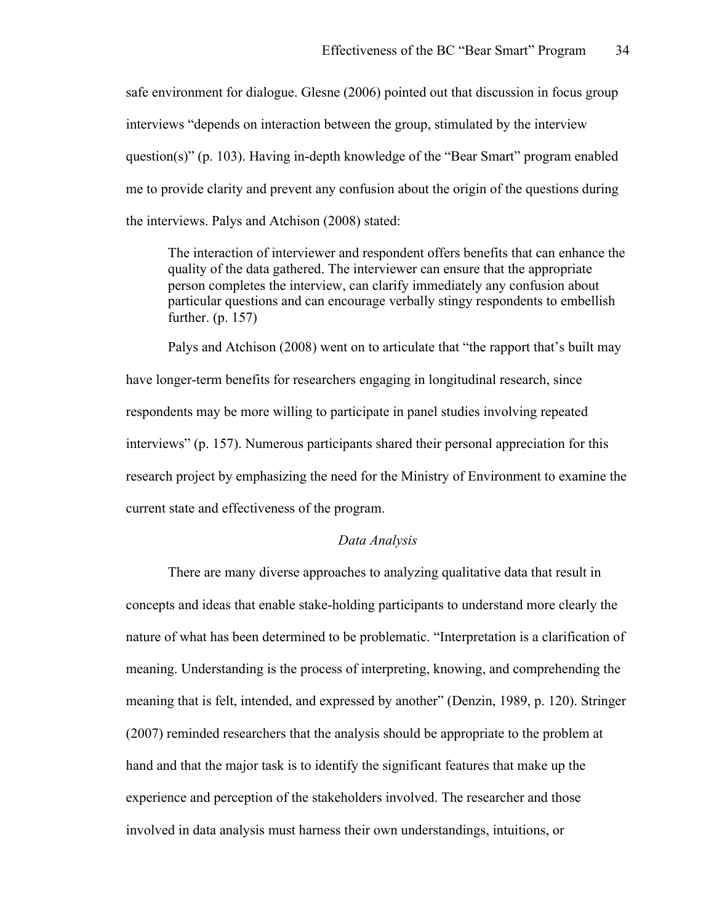safe environment for dialogue. Glesne (2006) pointed out that discussion in focus group interviews "depends on interaction between the group, stimulated by the interview question(s)" (p. 103). Having in-depth knowledge of the "Bear Smart" program enabled me to provide clarity and prevent any confusion about the origin of the questions during the interviews. Palys and Atchison (2008) stated:

The interaction of interviewer and respondent offers benefits that can enhance the quality of the data gathered. The interviewer can ensure that the appropriate person completes the interview, can clarify immediately any confusion about particular questions and can encourage verbally stingy respondents to embellish further. (p. 157)

Palys and Atchison (2008) went on to articulate that "the rapport that's built may have longer-term benefits for researchers engaging in longitudinal research, since respondents may be more willing to participate in panel studies involving repeated interviews" (p. 157). Numerous participants shared their personal appreciation for this research project by emphasizing the need for the Ministry of Environment to examine the current state and effectiveness of the program.

## *Data Analysis*

There are many diverse approaches to analyzing qualitative data that result in concepts and ideas that enable stake-holding participants to understand more clearly the nature of what has been determined to be problematic. "Interpretation is a clarification of meaning. Understanding is the process of interpreting, knowing, and comprehending the meaning that is felt, intended, and expressed by another" (Denzin, 1989, p. 120). Stringer (2007) reminded researchers that the analysis should be appropriate to the problem at hand and that the major task is to identify the significant features that make up the experience and perception of the stakeholders involved. The researcher and those involved in data analysis must harness their own understandings, intuitions, or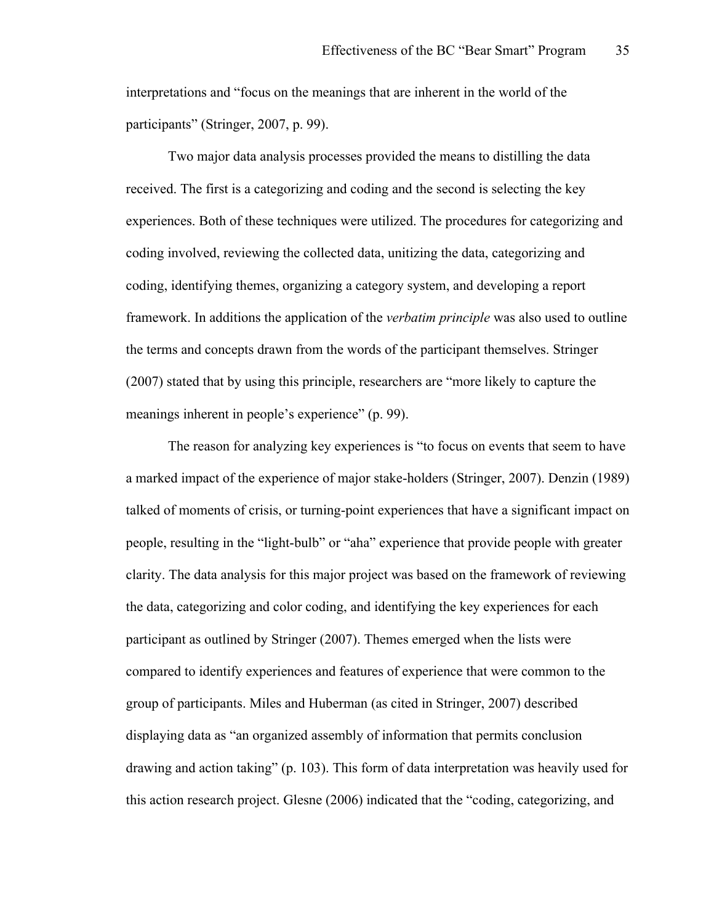interpretations and "focus on the meanings that are inherent in the world of the participants" (Stringer, 2007, p. 99).

Two major data analysis processes provided the means to distilling the data received. The first is a categorizing and coding and the second is selecting the key experiences. Both of these techniques were utilized. The procedures for categorizing and coding involved, reviewing the collected data, unitizing the data, categorizing and coding, identifying themes, organizing a category system, and developing a report framework. In additions the application of the *verbatim principle* was also used to outline the terms and concepts drawn from the words of the participant themselves. Stringer (2007) stated that by using this principle, researchers are "more likely to capture the meanings inherent in people's experience" (p. 99).

The reason for analyzing key experiences is "to focus on events that seem to have a marked impact of the experience of major stake-holders (Stringer, 2007). Denzin (1989) talked of moments of crisis, or turning-point experiences that have a significant impact on people, resulting in the "light-bulb" or "aha" experience that provide people with greater clarity. The data analysis for this major project was based on the framework of reviewing the data, categorizing and color coding, and identifying the key experiences for each participant as outlined by Stringer (2007). Themes emerged when the lists were compared to identify experiences and features of experience that were common to the group of participants. Miles and Huberman (as cited in Stringer, 2007) described displaying data as "an organized assembly of information that permits conclusion drawing and action taking" (p. 103). This form of data interpretation was heavily used for this action research project. Glesne (2006) indicated that the "coding, categorizing, and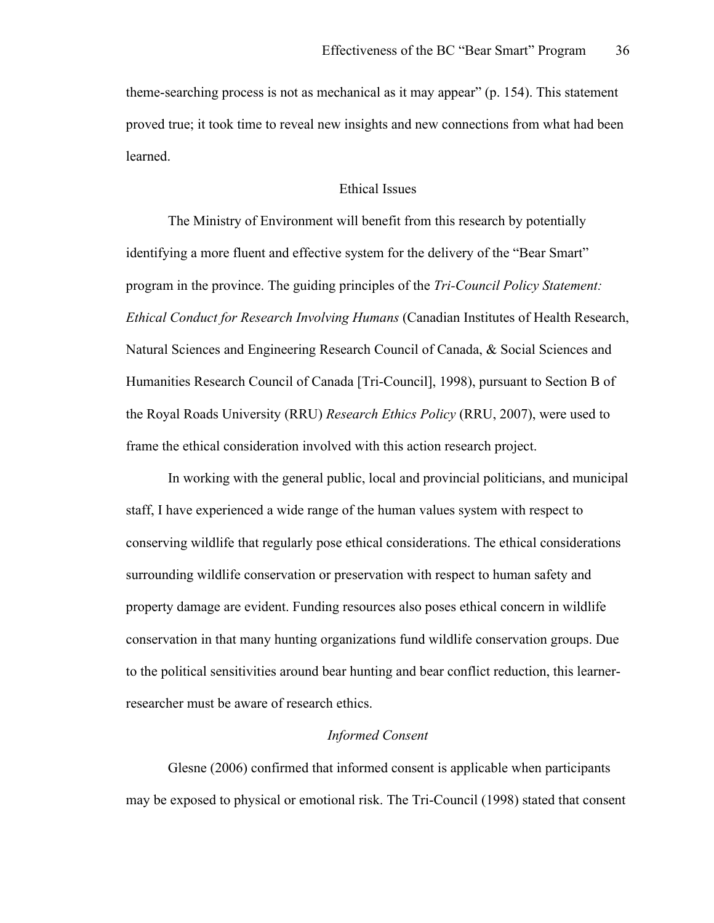theme-searching process is not as mechanical as it may appear" (p. 154). This statement proved true; it took time to reveal new insights and new connections from what had been learned.

## Ethical Issues

The Ministry of Environment will benefit from this research by potentially identifying a more fluent and effective system for the delivery of the "Bear Smart" program in the province. The guiding principles of the *Tri-Council Policy Statement: Ethical Conduct for Research Involving Humans* (Canadian Institutes of Health Research, Natural Sciences and Engineering Research Council of Canada, & Social Sciences and Humanities Research Council of Canada [Tri-Council], 1998), pursuant to Section B of the Royal Roads University (RRU) *Research Ethics Policy* (RRU, 2007), were used to frame the ethical consideration involved with this action research project.

In working with the general public, local and provincial politicians, and municipal staff, I have experienced a wide range of the human values system with respect to conserving wildlife that regularly pose ethical considerations. The ethical considerations surrounding wildlife conservation or preservation with respect to human safety and property damage are evident. Funding resources also poses ethical concern in wildlife conservation in that many hunting organizations fund wildlife conservation groups. Due to the political sensitivities around bear hunting and bear conflict reduction, this learnerresearcher must be aware of research ethics.

## *Informed Consent*

Glesne (2006) confirmed that informed consent is applicable when participants may be exposed to physical or emotional risk. The Tri-Council (1998) stated that consent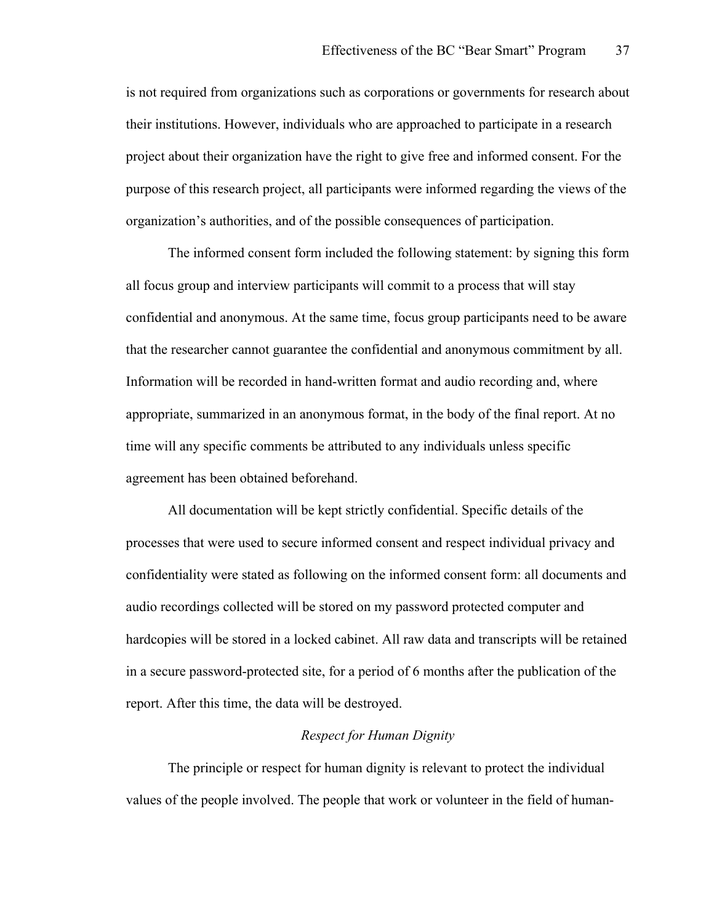is not required from organizations such as corporations or governments for research about their institutions. However, individuals who are approached to participate in a research project about their organization have the right to give free and informed consent. For the purpose of this research project, all participants were informed regarding the views of the organization's authorities, and of the possible consequences of participation.

The informed consent form included the following statement: by signing this form all focus group and interview participants will commit to a process that will stay confidential and anonymous. At the same time, focus group participants need to be aware that the researcher cannot guarantee the confidential and anonymous commitment by all. Information will be recorded in hand-written format and audio recording and, where appropriate, summarized in an anonymous format, in the body of the final report. At no time will any specific comments be attributed to any individuals unless specific agreement has been obtained beforehand.

All documentation will be kept strictly confidential. Specific details of the processes that were used to secure informed consent and respect individual privacy and confidentiality were stated as following on the informed consent form: all documents and audio recordings collected will be stored on my password protected computer and hardcopies will be stored in a locked cabinet. All raw data and transcripts will be retained in a secure password-protected site, for a period of 6 months after the publication of the report. After this time, the data will be destroyed.

#### *Respect for Human Dignity*

The principle or respect for human dignity is relevant to protect the individual values of the people involved. The people that work or volunteer in the field of human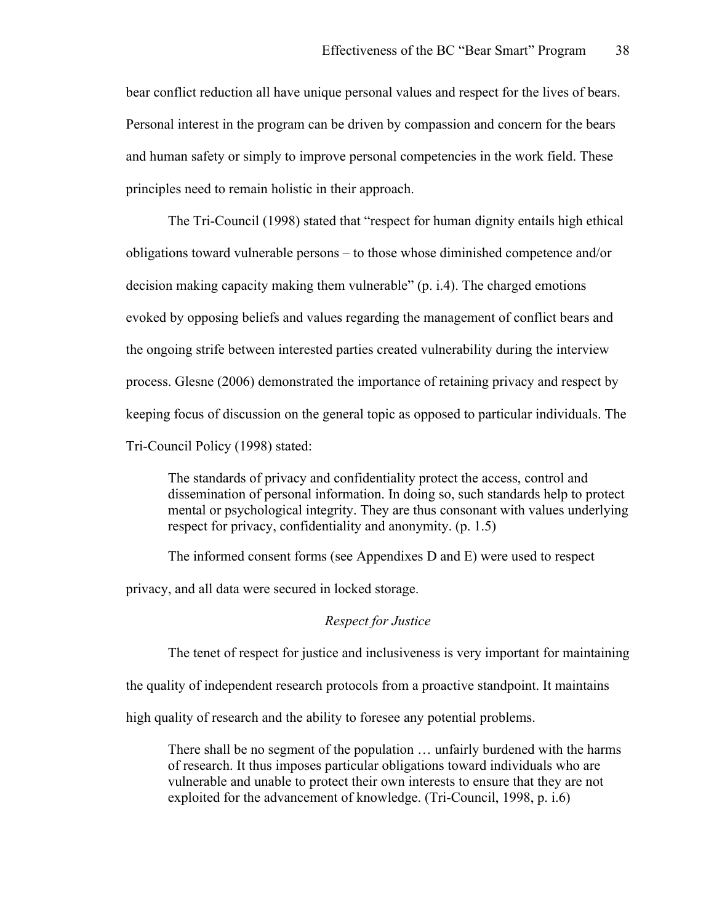bear conflict reduction all have unique personal values and respect for the lives of bears. Personal interest in the program can be driven by compassion and concern for the bears and human safety or simply to improve personal competencies in the work field. These principles need to remain holistic in their approach.

The Tri-Council (1998) stated that "respect for human dignity entails high ethical obligations toward vulnerable persons – to those whose diminished competence and/or decision making capacity making them vulnerable" (p. i.4). The charged emotions evoked by opposing beliefs and values regarding the management of conflict bears and the ongoing strife between interested parties created vulnerability during the interview process. Glesne (2006) demonstrated the importance of retaining privacy and respect by keeping focus of discussion on the general topic as opposed to particular individuals. The Tri-Council Policy (1998) stated:

The standards of privacy and confidentiality protect the access, control and dissemination of personal information. In doing so, such standards help to protect mental or psychological integrity. They are thus consonant with values underlying respect for privacy, confidentiality and anonymity. (p. 1.5)

The informed consent forms (see Appendixes D and E) were used to respect

privacy, and all data were secured in locked storage.

## *Respect for Justice*

The tenet of respect for justice and inclusiveness is very important for maintaining

the quality of independent research protocols from a proactive standpoint. It maintains

high quality of research and the ability to foresee any potential problems.

There shall be no segment of the population … unfairly burdened with the harms of research. It thus imposes particular obligations toward individuals who are vulnerable and unable to protect their own interests to ensure that they are not exploited for the advancement of knowledge. (Tri-Council, 1998, p. i.6)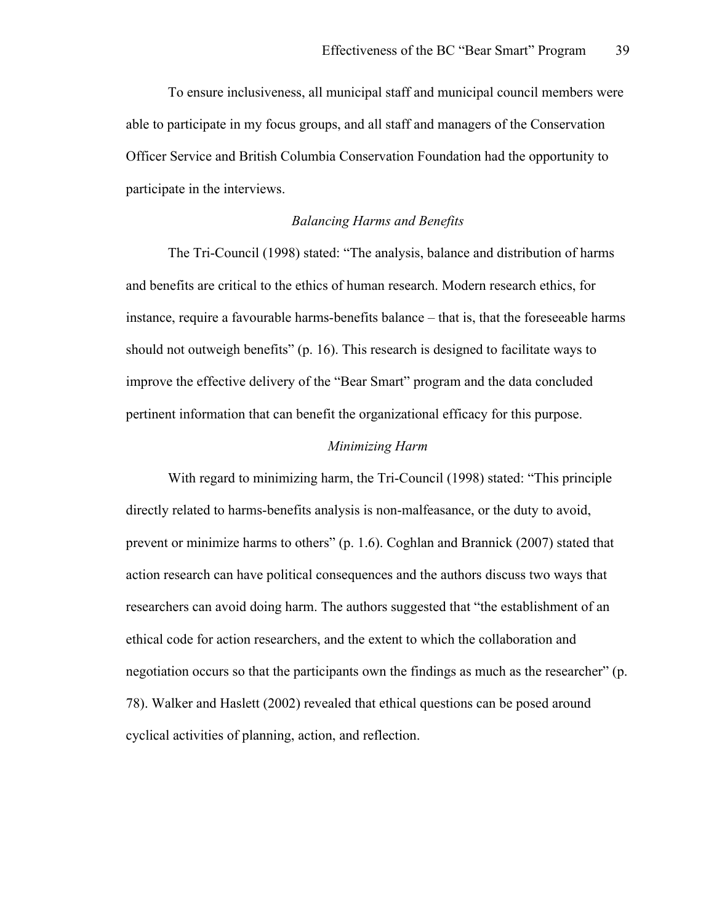To ensure inclusiveness, all municipal staff and municipal council members were able to participate in my focus groups, and all staff and managers of the Conservation Officer Service and British Columbia Conservation Foundation had the opportunity to participate in the interviews.

## *Balancing Harms and Benefits*

The Tri-Council (1998) stated: "The analysis, balance and distribution of harms and benefits are critical to the ethics of human research. Modern research ethics, for instance, require a favourable harms-benefits balance – that is, that the foreseeable harms should not outweigh benefits" (p. 16). This research is designed to facilitate ways to improve the effective delivery of the "Bear Smart" program and the data concluded pertinent information that can benefit the organizational efficacy for this purpose.

#### *Minimizing Harm*

With regard to minimizing harm, the Tri-Council (1998) stated: "This principle directly related to harms-benefits analysis is non-malfeasance, or the duty to avoid, prevent or minimize harms to others" (p. 1.6). Coghlan and Brannick (2007) stated that action research can have political consequences and the authors discuss two ways that researchers can avoid doing harm. The authors suggested that "the establishment of an ethical code for action researchers, and the extent to which the collaboration and negotiation occurs so that the participants own the findings as much as the researcher" (p. 78). Walker and Haslett (2002) revealed that ethical questions can be posed around cyclical activities of planning, action, and reflection.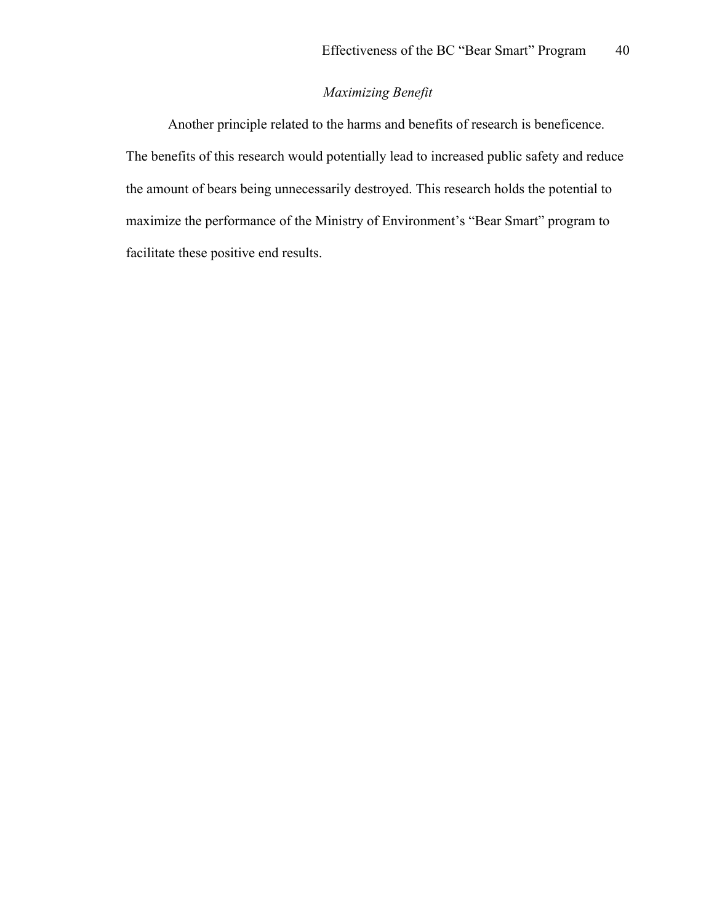## *Maximizing Benefit*

Another principle related to the harms and benefits of research is beneficence. The benefits of this research would potentially lead to increased public safety and reduce the amount of bears being unnecessarily destroyed. This research holds the potential to maximize the performance of the Ministry of Environment's "Bear Smart" program to facilitate these positive end results.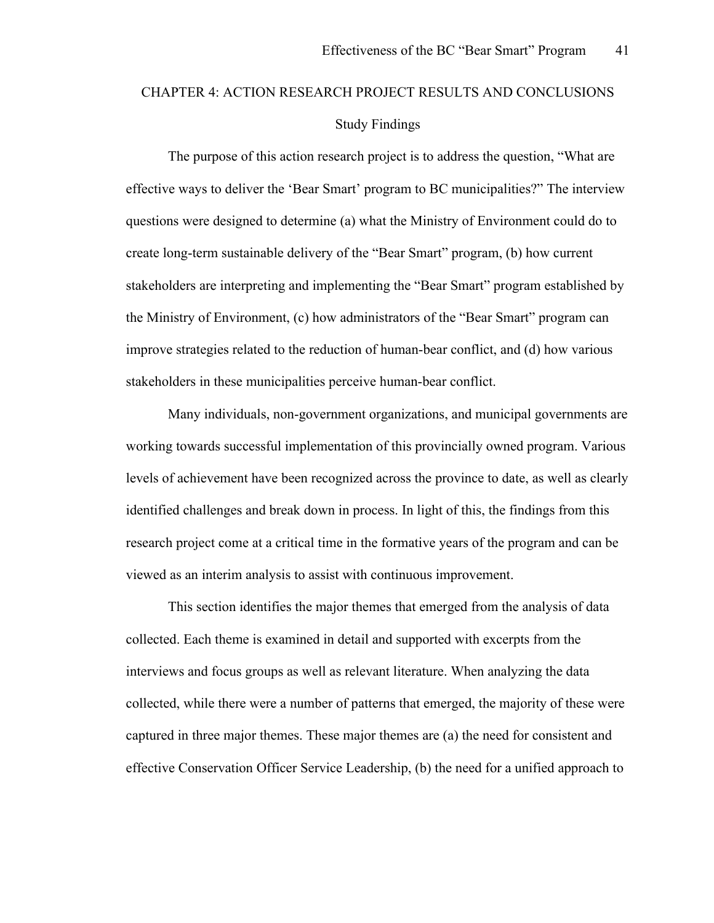# CHAPTER 4: ACTION RESEARCH PROJECT RESULTS AND CONCLUSIONS Study Findings

The purpose of this action research project is to address the question, "What are effective ways to deliver the 'Bear Smart' program to BC municipalities?" The interview questions were designed to determine (a) what the Ministry of Environment could do to create long-term sustainable delivery of the "Bear Smart" program, (b) how current stakeholders are interpreting and implementing the "Bear Smart" program established by the Ministry of Environment, (c) how administrators of the "Bear Smart" program can improve strategies related to the reduction of human-bear conflict, and (d) how various stakeholders in these municipalities perceive human-bear conflict.

Many individuals, non-government organizations, and municipal governments are working towards successful implementation of this provincially owned program. Various levels of achievement have been recognized across the province to date, as well as clearly identified challenges and break down in process. In light of this, the findings from this research project come at a critical time in the formative years of the program and can be viewed as an interim analysis to assist with continuous improvement.

This section identifies the major themes that emerged from the analysis of data collected. Each theme is examined in detail and supported with excerpts from the interviews and focus groups as well as relevant literature. When analyzing the data collected, while there were a number of patterns that emerged, the majority of these were captured in three major themes. These major themes are (a) the need for consistent and effective Conservation Officer Service Leadership, (b) the need for a unified approach to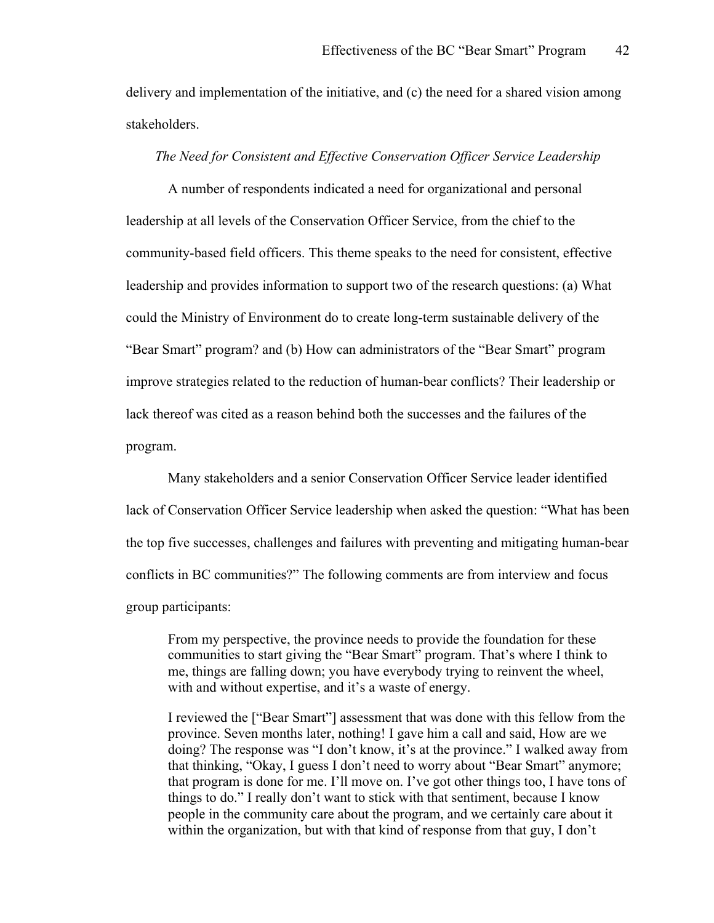delivery and implementation of the initiative, and (c) the need for a shared vision among stakeholders.

## *The Need for Consistent and Effective Conservation Officer Service Leadership*

A number of respondents indicated a need for organizational and personal leadership at all levels of the Conservation Officer Service, from the chief to the community-based field officers. This theme speaks to the need for consistent, effective leadership and provides information to support two of the research questions: (a) What could the Ministry of Environment do to create long-term sustainable delivery of the "Bear Smart" program? and (b) How can administrators of the "Bear Smart" program improve strategies related to the reduction of human-bear conflicts? Their leadership or lack thereof was cited as a reason behind both the successes and the failures of the program.

Many stakeholders and a senior Conservation Officer Service leader identified lack of Conservation Officer Service leadership when asked the question: "What has been the top five successes, challenges and failures with preventing and mitigating human-bear conflicts in BC communities?" The following comments are from interview and focus group participants:

From my perspective, the province needs to provide the foundation for these communities to start giving the "Bear Smart" program. That's where I think to me, things are falling down; you have everybody trying to reinvent the wheel, with and without expertise, and it's a waste of energy.

I reviewed the ["Bear Smart"] assessment that was done with this fellow from the province. Seven months later, nothing! I gave him a call and said, How are we doing? The response was "I don't know, it's at the province." I walked away from that thinking, "Okay, I guess I don't need to worry about "Bear Smart" anymore; that program is done for me. I'll move on. I've got other things too, I have tons of things to do." I really don't want to stick with that sentiment, because I know people in the community care about the program, and we certainly care about it within the organization, but with that kind of response from that guy, I don't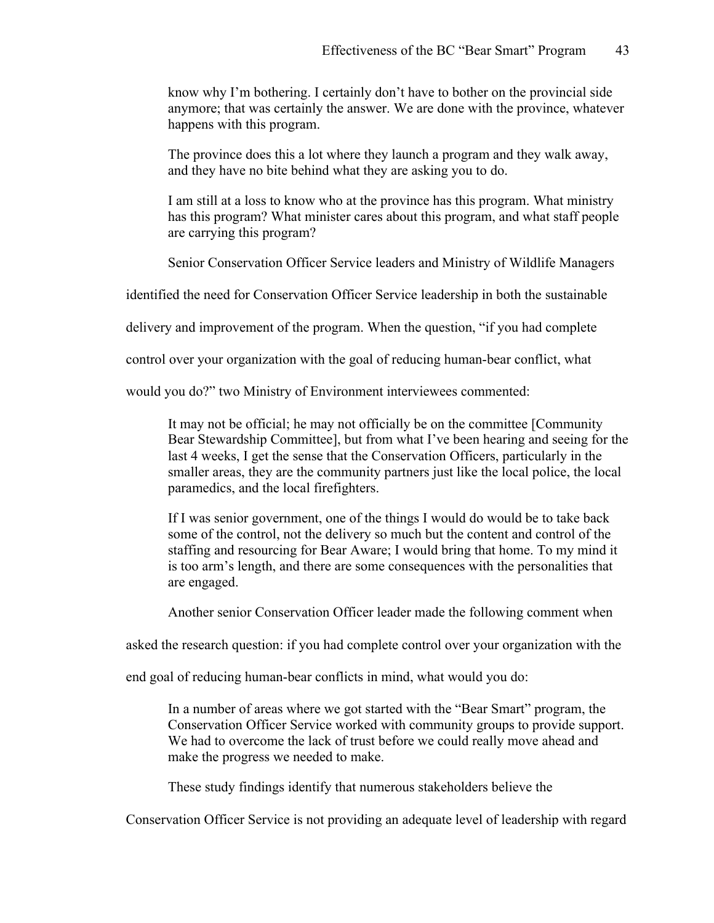know why I'm bothering. I certainly don't have to bother on the provincial side anymore; that was certainly the answer. We are done with the province, whatever happens with this program.

The province does this a lot where they launch a program and they walk away, and they have no bite behind what they are asking you to do.

I am still at a loss to know who at the province has this program. What ministry has this program? What minister cares about this program, and what staff people are carrying this program?

Senior Conservation Officer Service leaders and Ministry of Wildlife Managers

identified the need for Conservation Officer Service leadership in both the sustainable

delivery and improvement of the program. When the question, "if you had complete

control over your organization with the goal of reducing human-bear conflict, what

would you do?" two Ministry of Environment interviewees commented:

It may not be official; he may not officially be on the committee [Community Bear Stewardship Committee], but from what I've been hearing and seeing for the last 4 weeks, I get the sense that the Conservation Officers, particularly in the smaller areas, they are the community partners just like the local police, the local paramedics, and the local firefighters.

If I was senior government, one of the things I would do would be to take back some of the control, not the delivery so much but the content and control of the staffing and resourcing for Bear Aware; I would bring that home. To my mind it is too arm's length, and there are some consequences with the personalities that are engaged.

Another senior Conservation Officer leader made the following comment when

asked the research question: if you had complete control over your organization with the

end goal of reducing human-bear conflicts in mind, what would you do:

In a number of areas where we got started with the "Bear Smart" program, the Conservation Officer Service worked with community groups to provide support. We had to overcome the lack of trust before we could really move ahead and make the progress we needed to make.

These study findings identify that numerous stakeholders believe the

Conservation Officer Service is not providing an adequate level of leadership with regard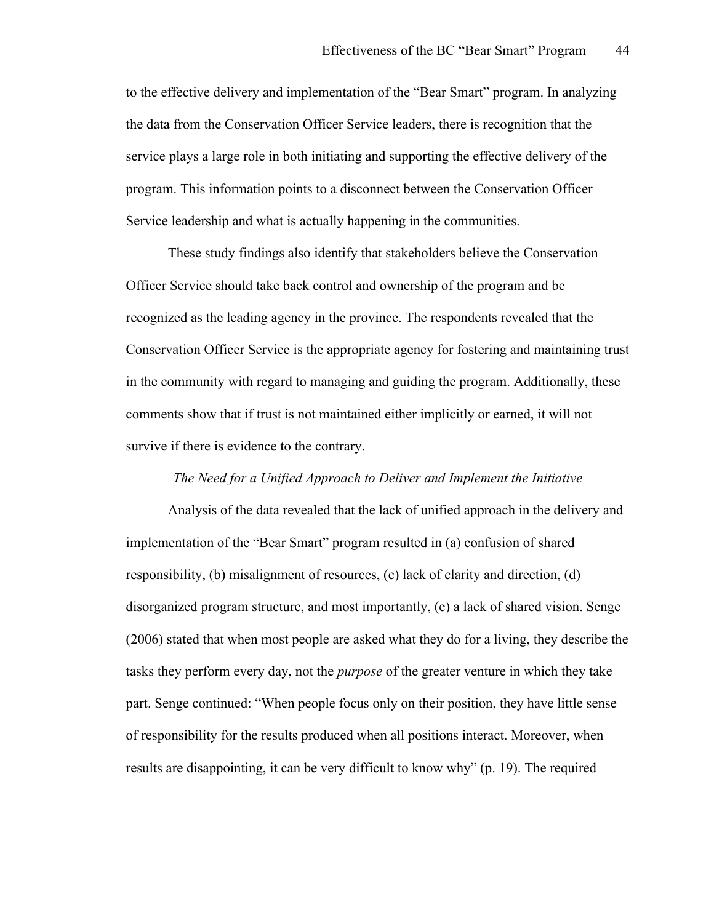to the effective delivery and implementation of the "Bear Smart" program. In analyzing the data from the Conservation Officer Service leaders, there is recognition that the service plays a large role in both initiating and supporting the effective delivery of the program. This information points to a disconnect between the Conservation Officer Service leadership and what is actually happening in the communities.

These study findings also identify that stakeholders believe the Conservation Officer Service should take back control and ownership of the program and be recognized as the leading agency in the province. The respondents revealed that the Conservation Officer Service is the appropriate agency for fostering and maintaining trust in the community with regard to managing and guiding the program. Additionally, these comments show that if trust is not maintained either implicitly or earned, it will not survive if there is evidence to the contrary.

## *The Need for a Unified Approach to Deliver and Implement the Initiative*

Analysis of the data revealed that the lack of unified approach in the delivery and implementation of the "Bear Smart" program resulted in (a) confusion of shared responsibility, (b) misalignment of resources, (c) lack of clarity and direction, (d) disorganized program structure, and most importantly, (e) a lack of shared vision. Senge (2006) stated that when most people are asked what they do for a living, they describe the tasks they perform every day, not the *purpose* of the greater venture in which they take part. Senge continued: "When people focus only on their position, they have little sense of responsibility for the results produced when all positions interact. Moreover, when results are disappointing, it can be very difficult to know why" (p. 19). The required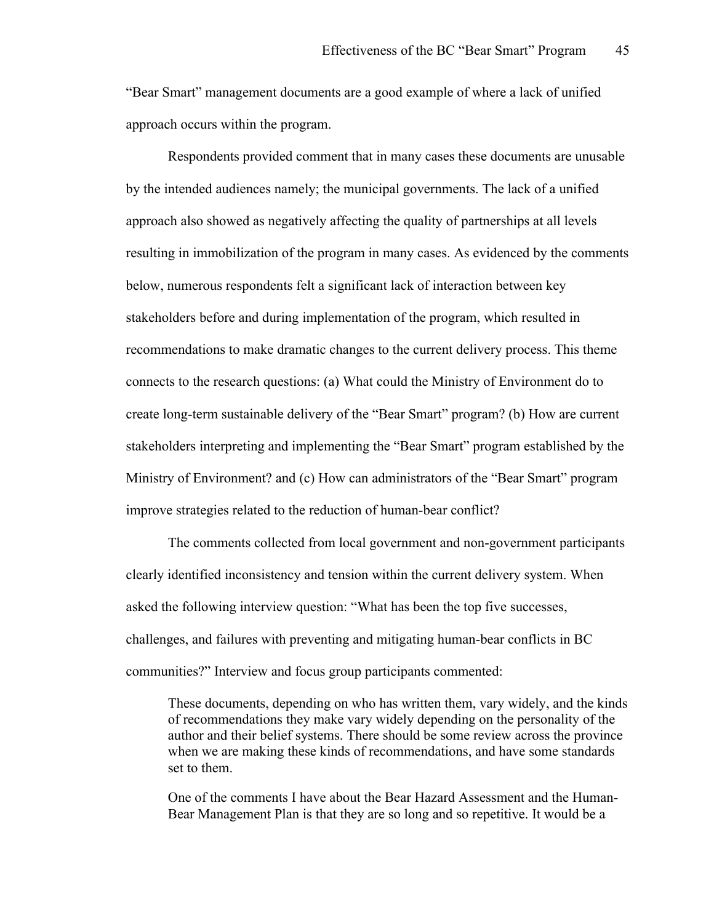"Bear Smart" management documents are a good example of where a lack of unified approach occurs within the program.

Respondents provided comment that in many cases these documents are unusable by the intended audiences namely; the municipal governments. The lack of a unified approach also showed as negatively affecting the quality of partnerships at all levels resulting in immobilization of the program in many cases. As evidenced by the comments below, numerous respondents felt a significant lack of interaction between key stakeholders before and during implementation of the program, which resulted in recommendations to make dramatic changes to the current delivery process. This theme connects to the research questions: (a) What could the Ministry of Environment do to create long-term sustainable delivery of the "Bear Smart" program? (b) How are current stakeholders interpreting and implementing the "Bear Smart" program established by the Ministry of Environment? and (c) How can administrators of the "Bear Smart" program improve strategies related to the reduction of human-bear conflict?

The comments collected from local government and non-government participants clearly identified inconsistency and tension within the current delivery system. When asked the following interview question: "What has been the top five successes, challenges, and failures with preventing and mitigating human-bear conflicts in BC communities?" Interview and focus group participants commented:

These documents, depending on who has written them, vary widely, and the kinds of recommendations they make vary widely depending on the personality of the author and their belief systems. There should be some review across the province when we are making these kinds of recommendations, and have some standards set to them.

One of the comments I have about the Bear Hazard Assessment and the Human-Bear Management Plan is that they are so long and so repetitive. It would be a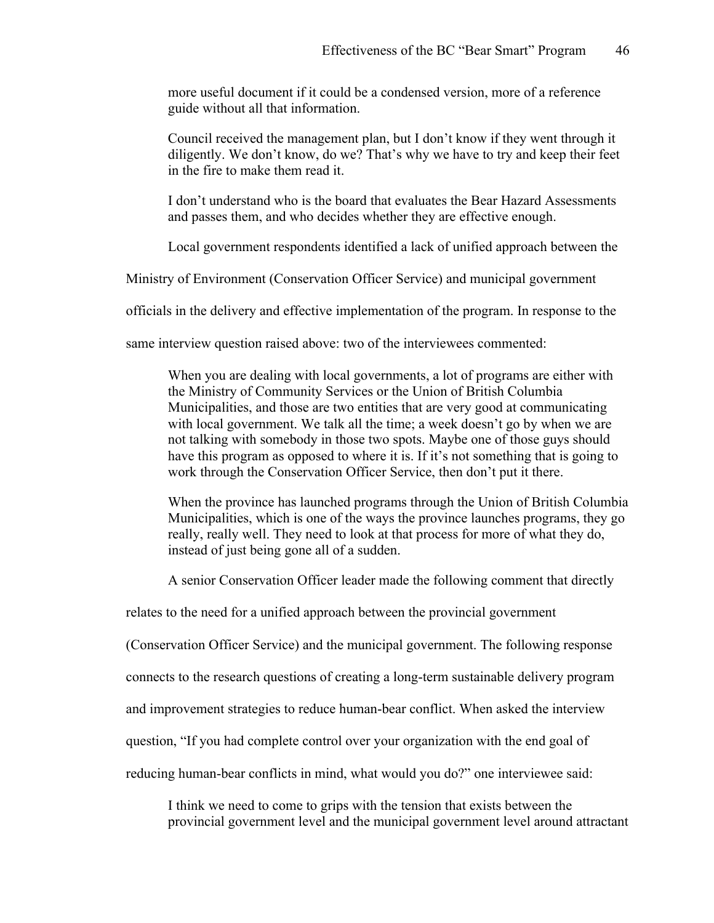more useful document if it could be a condensed version, more of a reference guide without all that information.

Council received the management plan, but I don't know if they went through it diligently. We don't know, do we? That's why we have to try and keep their feet in the fire to make them read it.

I don't understand who is the board that evaluates the Bear Hazard Assessments and passes them, and who decides whether they are effective enough.

Local government respondents identified a lack of unified approach between the

Ministry of Environment (Conservation Officer Service) and municipal government

officials in the delivery and effective implementation of the program. In response to the

same interview question raised above: two of the interviewees commented:

When you are dealing with local governments, a lot of programs are either with the Ministry of Community Services or the Union of British Columbia Municipalities, and those are two entities that are very good at communicating with local government. We talk all the time; a week doesn't go by when we are not talking with somebody in those two spots. Maybe one of those guys should have this program as opposed to where it is. If it's not something that is going to work through the Conservation Officer Service, then don't put it there.

When the province has launched programs through the Union of British Columbia Municipalities, which is one of the ways the province launches programs, they go really, really well. They need to look at that process for more of what they do, instead of just being gone all of a sudden.

A senior Conservation Officer leader made the following comment that directly

relates to the need for a unified approach between the provincial government

(Conservation Officer Service) and the municipal government. The following response

connects to the research questions of creating a long-term sustainable delivery program

and improvement strategies to reduce human-bear conflict. When asked the interview

question, "If you had complete control over your organization with the end goal of

reducing human-bear conflicts in mind, what would you do?" one interviewee said:

I think we need to come to grips with the tension that exists between the provincial government level and the municipal government level around attractant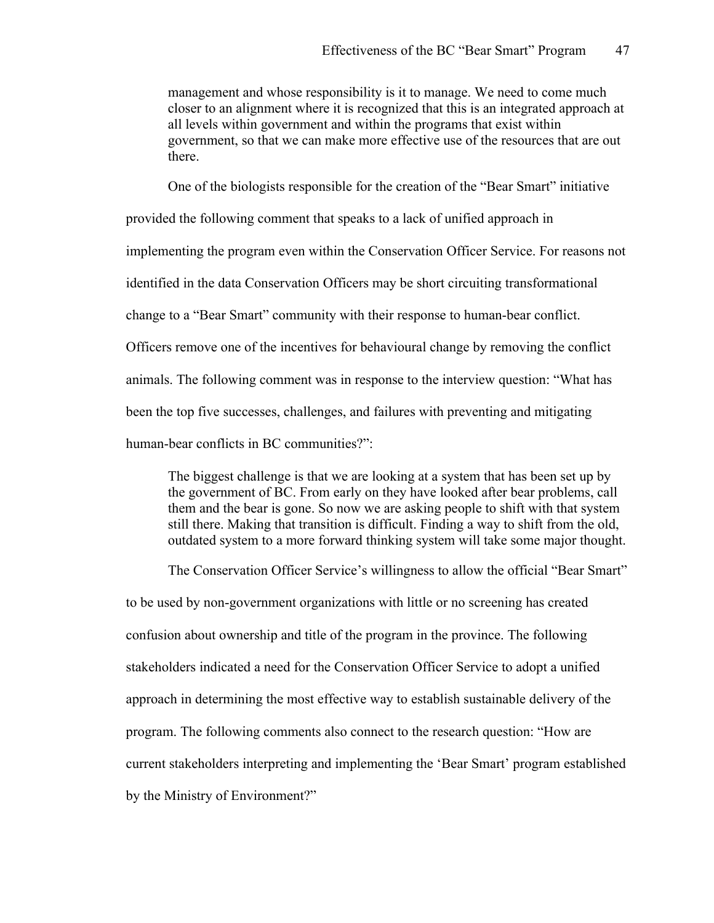management and whose responsibility is it to manage. We need to come much closer to an alignment where it is recognized that this is an integrated approach at all levels within government and within the programs that exist within government, so that we can make more effective use of the resources that are out there.

One of the biologists responsible for the creation of the "Bear Smart" initiative

provided the following comment that speaks to a lack of unified approach in

implementing the program even within the Conservation Officer Service. For reasons not

identified in the data Conservation Officers may be short circuiting transformational

change to a "Bear Smart" community with their response to human-bear conflict.

Officers remove one of the incentives for behavioural change by removing the conflict

animals. The following comment was in response to the interview question: "What has

been the top five successes, challenges, and failures with preventing and mitigating

human-bear conflicts in BC communities?":

The biggest challenge is that we are looking at a system that has been set up by the government of BC. From early on they have looked after bear problems, call them and the bear is gone. So now we are asking people to shift with that system still there. Making that transition is difficult. Finding a way to shift from the old, outdated system to a more forward thinking system will take some major thought.

The Conservation Officer Service's willingness to allow the official "Bear Smart"

to be used by non-government organizations with little or no screening has created confusion about ownership and title of the program in the province. The following stakeholders indicated a need for the Conservation Officer Service to adopt a unified approach in determining the most effective way to establish sustainable delivery of the program. The following comments also connect to the research question: "How are current stakeholders interpreting and implementing the 'Bear Smart' program established by the Ministry of Environment?"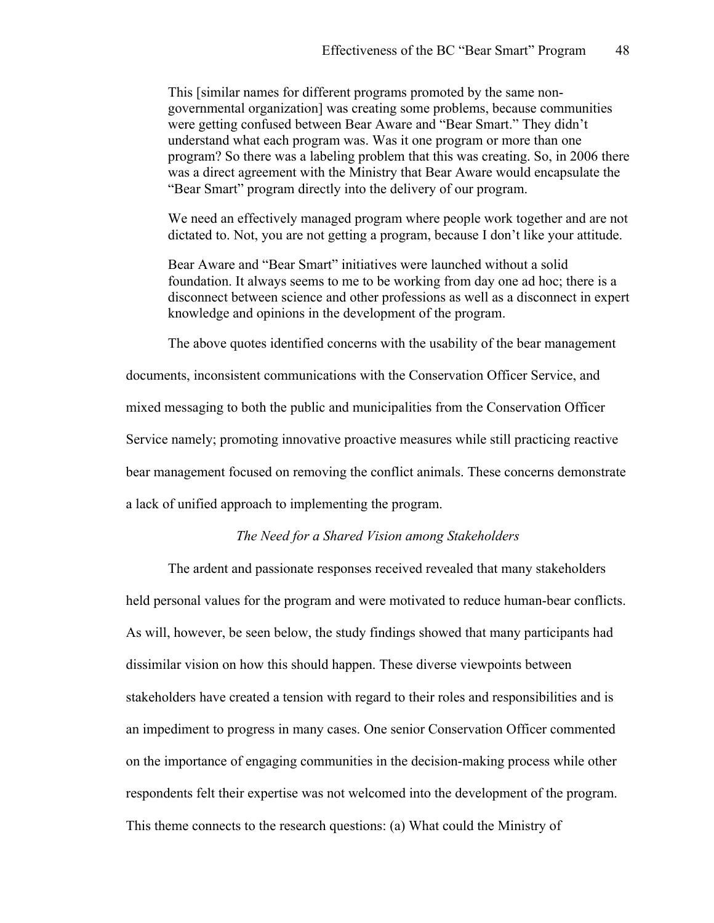This [similar names for different programs promoted by the same nongovernmental organization] was creating some problems, because communities were getting confused between Bear Aware and "Bear Smart." They didn't understand what each program was. Was it one program or more than one program? So there was a labeling problem that this was creating. So, in 2006 there was a direct agreement with the Ministry that Bear Aware would encapsulate the "Bear Smart" program directly into the delivery of our program.

We need an effectively managed program where people work together and are not dictated to. Not, you are not getting a program, because I don't like your attitude.

Bear Aware and "Bear Smart" initiatives were launched without a solid foundation. It always seems to me to be working from day one ad hoc; there is a disconnect between science and other professions as well as a disconnect in expert knowledge and opinions in the development of the program.

The above quotes identified concerns with the usability of the bear management

documents, inconsistent communications with the Conservation Officer Service, and mixed messaging to both the public and municipalities from the Conservation Officer Service namely; promoting innovative proactive measures while still practicing reactive bear management focused on removing the conflict animals. These concerns demonstrate a lack of unified approach to implementing the program.

#### *The Need for a Shared Vision among Stakeholders*

The ardent and passionate responses received revealed that many stakeholders held personal values for the program and were motivated to reduce human-bear conflicts. As will, however, be seen below, the study findings showed that many participants had dissimilar vision on how this should happen. These diverse viewpoints between stakeholders have created a tension with regard to their roles and responsibilities and is an impediment to progress in many cases. One senior Conservation Officer commented on the importance of engaging communities in the decision-making process while other respondents felt their expertise was not welcomed into the development of the program. This theme connects to the research questions: (a) What could the Ministry of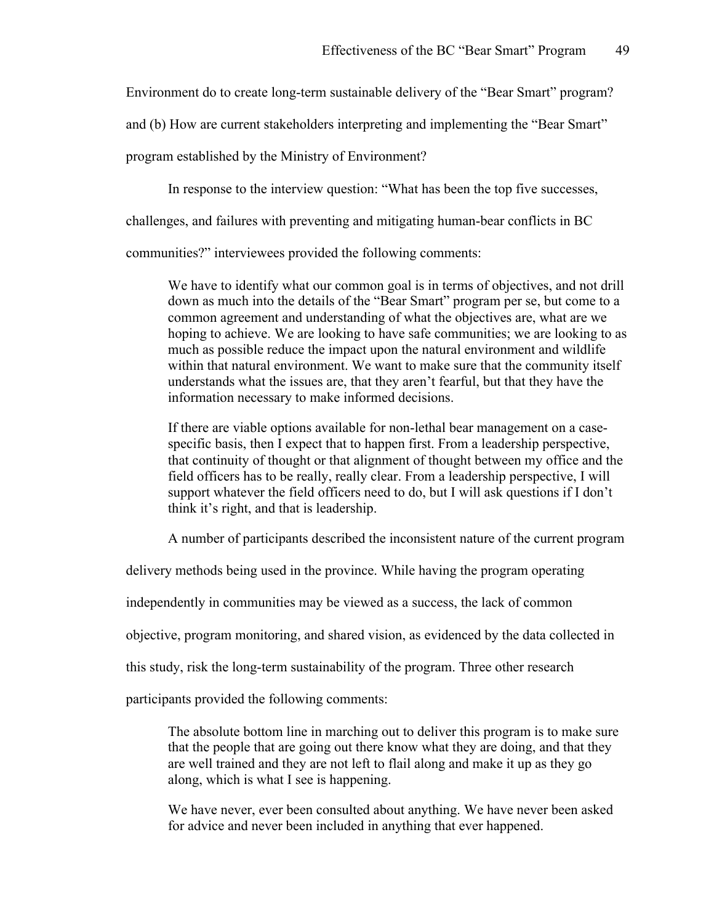Environment do to create long-term sustainable delivery of the "Bear Smart" program?

and (b) How are current stakeholders interpreting and implementing the "Bear Smart"

program established by the Ministry of Environment?

In response to the interview question: "What has been the top five successes,

challenges, and failures with preventing and mitigating human-bear conflicts in BC

communities?" interviewees provided the following comments:

We have to identify what our common goal is in terms of objectives, and not drill down as much into the details of the "Bear Smart" program per se, but come to a common agreement and understanding of what the objectives are, what are we hoping to achieve. We are looking to have safe communities; we are looking to as much as possible reduce the impact upon the natural environment and wildlife within that natural environment. We want to make sure that the community itself understands what the issues are, that they aren't fearful, but that they have the information necessary to make informed decisions.

If there are viable options available for non-lethal bear management on a casespecific basis, then I expect that to happen first. From a leadership perspective, that continuity of thought or that alignment of thought between my office and the field officers has to be really, really clear. From a leadership perspective, I will support whatever the field officers need to do, but I will ask questions if I don't think it's right, and that is leadership.

A number of participants described the inconsistent nature of the current program

delivery methods being used in the province. While having the program operating

independently in communities may be viewed as a success, the lack of common

objective, program monitoring, and shared vision, as evidenced by the data collected in

this study, risk the long-term sustainability of the program. Three other research

participants provided the following comments:

The absolute bottom line in marching out to deliver this program is to make sure that the people that are going out there know what they are doing, and that they are well trained and they are not left to flail along and make it up as they go along, which is what I see is happening.

We have never, ever been consulted about anything. We have never been asked for advice and never been included in anything that ever happened.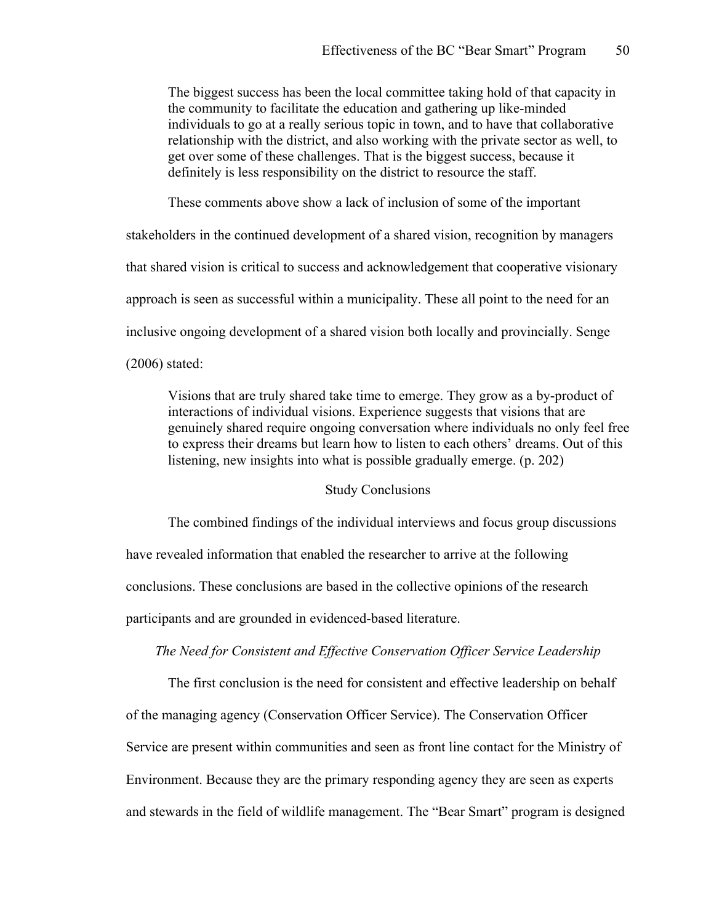The biggest success has been the local committee taking hold of that capacity in the community to facilitate the education and gathering up like-minded individuals to go at a really serious topic in town, and to have that collaborative relationship with the district, and also working with the private sector as well, to get over some of these challenges. That is the biggest success, because it definitely is less responsibility on the district to resource the staff.

These comments above show a lack of inclusion of some of the important

stakeholders in the continued development of a shared vision, recognition by managers that shared vision is critical to success and acknowledgement that cooperative visionary approach is seen as successful within a municipality. These all point to the need for an inclusive ongoing development of a shared vision both locally and provincially. Senge (2006) stated:

Visions that are truly shared take time to emerge. They grow as a by-product of interactions of individual visions. Experience suggests that visions that are genuinely shared require ongoing conversation where individuals no only feel free to express their dreams but learn how to listen to each others' dreams. Out of this listening, new insights into what is possible gradually emerge. (p. 202)

## Study Conclusions

The combined findings of the individual interviews and focus group discussions have revealed information that enabled the researcher to arrive at the following conclusions. These conclusions are based in the collective opinions of the research participants and are grounded in evidenced-based literature.

## *The Need for Consistent and Effective Conservation Officer Service Leadership*

The first conclusion is the need for consistent and effective leadership on behalf of the managing agency (Conservation Officer Service). The Conservation Officer Service are present within communities and seen as front line contact for the Ministry of Environment. Because they are the primary responding agency they are seen as experts and stewards in the field of wildlife management. The "Bear Smart" program is designed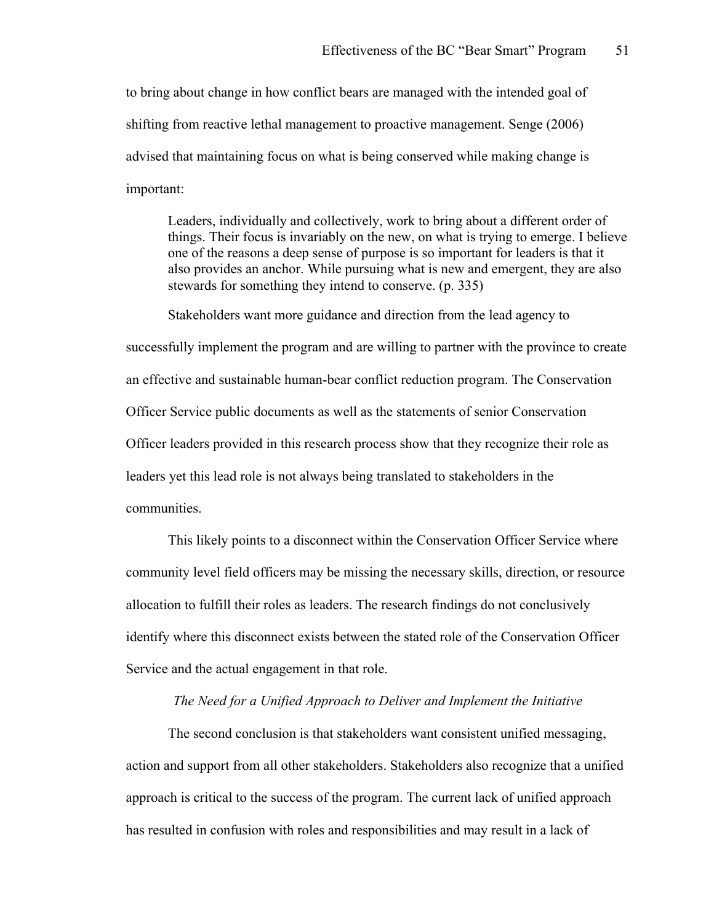to bring about change in how conflict bears are managed with the intended goal of shifting from reactive lethal management to proactive management. Senge (2006) advised that maintaining focus on what is being conserved while making change is important:

Leaders, individually and collectively, work to bring about a different order of things. Their focus is invariably on the new, on what is trying to emerge. I believe one of the reasons a deep sense of purpose is so important for leaders is that it also provides an anchor. While pursuing what is new and emergent, they are also stewards for something they intend to conserve. (p. 335)

Stakeholders want more guidance and direction from the lead agency to successfully implement the program and are willing to partner with the province to create an effective and sustainable human-bear conflict reduction program. The Conservation Officer Service public documents as well as the statements of senior Conservation Officer leaders provided in this research process show that they recognize their role as leaders yet this lead role is not always being translated to stakeholders in the communities.

This likely points to a disconnect within the Conservation Officer Service where community level field officers may be missing the necessary skills, direction, or resource allocation to fulfill their roles as leaders. The research findings do not conclusively identify where this disconnect exists between the stated role of the Conservation Officer Service and the actual engagement in that role.

#### *The Need for a Unified Approach to Deliver and Implement the Initiative*

The second conclusion is that stakeholders want consistent unified messaging, action and support from all other stakeholders. Stakeholders also recognize that a unified approach is critical to the success of the program. The current lack of unified approach has resulted in confusion with roles and responsibilities and may result in a lack of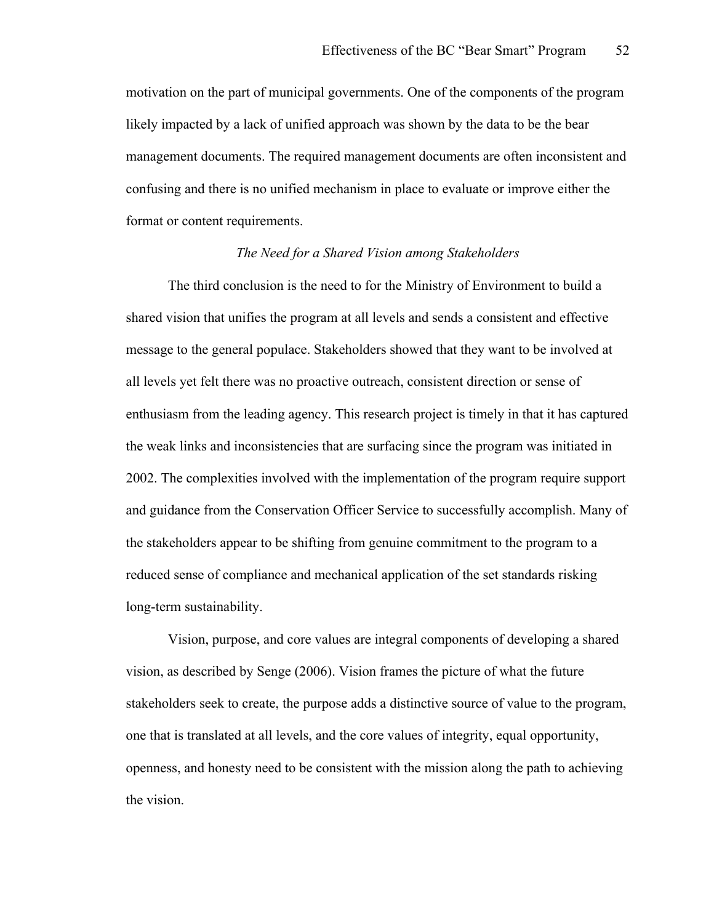motivation on the part of municipal governments. One of the components of the program likely impacted by a lack of unified approach was shown by the data to be the bear management documents. The required management documents are often inconsistent and confusing and there is no unified mechanism in place to evaluate or improve either the format or content requirements.

#### *The Need for a Shared Vision among Stakeholders*

The third conclusion is the need to for the Ministry of Environment to build a shared vision that unifies the program at all levels and sends a consistent and effective message to the general populace. Stakeholders showed that they want to be involved at all levels yet felt there was no proactive outreach, consistent direction or sense of enthusiasm from the leading agency. This research project is timely in that it has captured the weak links and inconsistencies that are surfacing since the program was initiated in 2002. The complexities involved with the implementation of the program require support and guidance from the Conservation Officer Service to successfully accomplish. Many of the stakeholders appear to be shifting from genuine commitment to the program to a reduced sense of compliance and mechanical application of the set standards risking long-term sustainability.

Vision, purpose, and core values are integral components of developing a shared vision, as described by Senge (2006). Vision frames the picture of what the future stakeholders seek to create, the purpose adds a distinctive source of value to the program, one that is translated at all levels, and the core values of integrity, equal opportunity, openness, and honesty need to be consistent with the mission along the path to achieving the vision.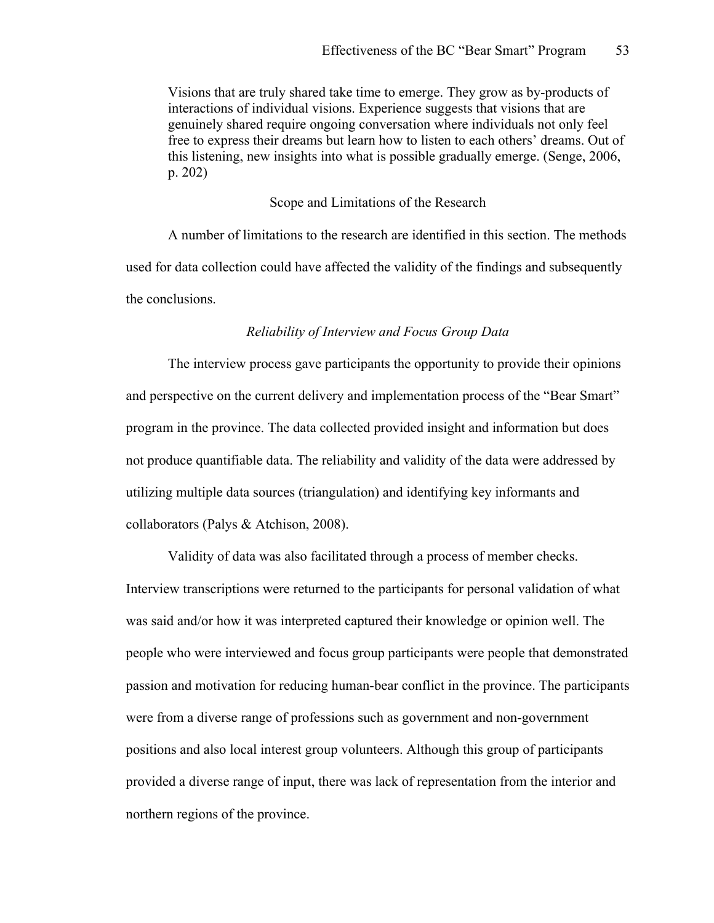Visions that are truly shared take time to emerge. They grow as by-products of interactions of individual visions. Experience suggests that visions that are genuinely shared require ongoing conversation where individuals not only feel free to express their dreams but learn how to listen to each others' dreams. Out of this listening, new insights into what is possible gradually emerge. (Senge, 2006, p. 202)

#### Scope and Limitations of the Research

A number of limitations to the research are identified in this section. The methods used for data collection could have affected the validity of the findings and subsequently the conclusions.

#### *Reliability of Interview and Focus Group Data*

The interview process gave participants the opportunity to provide their opinions and perspective on the current delivery and implementation process of the "Bear Smart" program in the province. The data collected provided insight and information but does not produce quantifiable data. The reliability and validity of the data were addressed by utilizing multiple data sources (triangulation) and identifying key informants and collaborators (Palys & Atchison, 2008).

Validity of data was also facilitated through a process of member checks. Interview transcriptions were returned to the participants for personal validation of what was said and/or how it was interpreted captured their knowledge or opinion well. The people who were interviewed and focus group participants were people that demonstrated passion and motivation for reducing human-bear conflict in the province. The participants were from a diverse range of professions such as government and non-government positions and also local interest group volunteers. Although this group of participants provided a diverse range of input, there was lack of representation from the interior and northern regions of the province.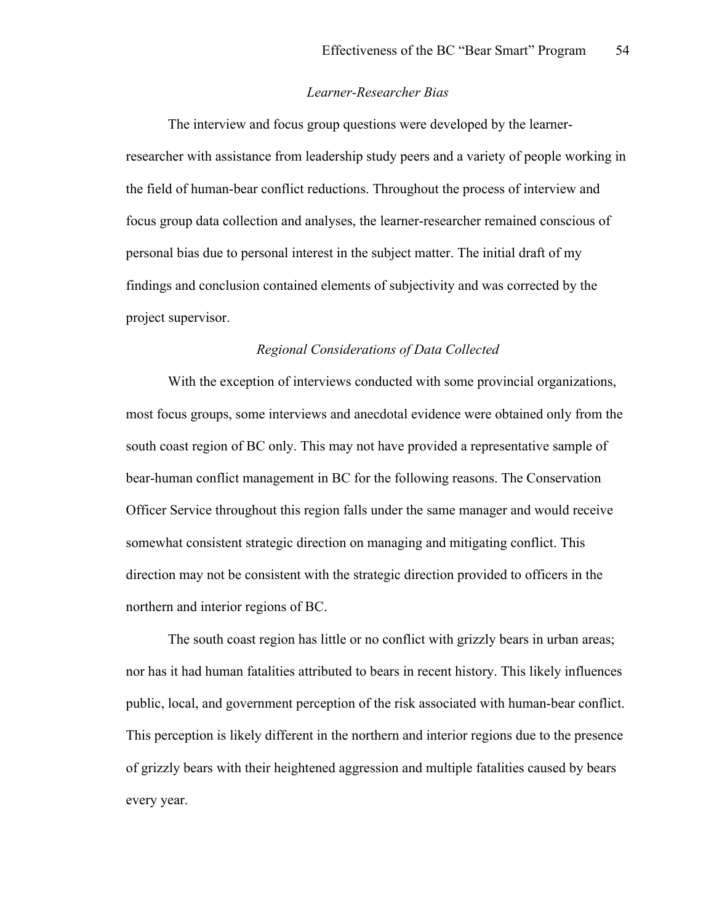#### *Learner-Researcher Bias*

The interview and focus group questions were developed by the learnerresearcher with assistance from leadership study peers and a variety of people working in the field of human-bear conflict reductions. Throughout the process of interview and focus group data collection and analyses, the learner-researcher remained conscious of personal bias due to personal interest in the subject matter. The initial draft of my findings and conclusion contained elements of subjectivity and was corrected by the project supervisor.

### *Regional Considerations of Data Collected*

With the exception of interviews conducted with some provincial organizations, most focus groups, some interviews and anecdotal evidence were obtained only from the south coast region of BC only. This may not have provided a representative sample of bear-human conflict management in BC for the following reasons. The Conservation Officer Service throughout this region falls under the same manager and would receive somewhat consistent strategic direction on managing and mitigating conflict. This direction may not be consistent with the strategic direction provided to officers in the northern and interior regions of BC.

The south coast region has little or no conflict with grizzly bears in urban areas; nor has it had human fatalities attributed to bears in recent history. This likely influences public, local, and government perception of the risk associated with human-bear conflict. This perception is likely different in the northern and interior regions due to the presence of grizzly bears with their heightened aggression and multiple fatalities caused by bears every year.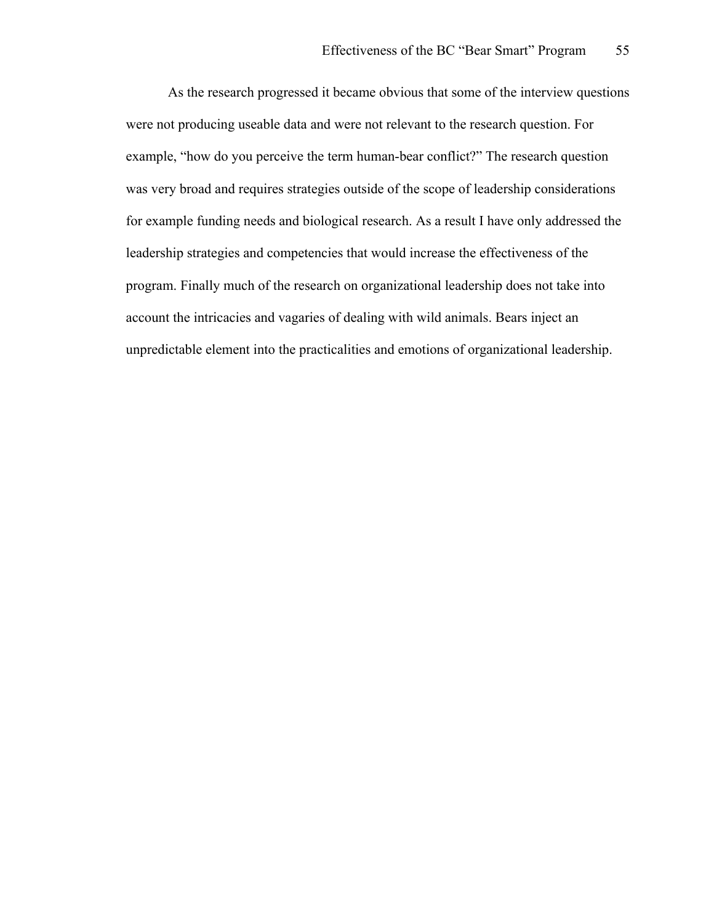As the research progressed it became obvious that some of the interview questions were not producing useable data and were not relevant to the research question. For example, "how do you perceive the term human-bear conflict?" The research question was very broad and requires strategies outside of the scope of leadership considerations for example funding needs and biological research. As a result I have only addressed the leadership strategies and competencies that would increase the effectiveness of the program. Finally much of the research on organizational leadership does not take into account the intricacies and vagaries of dealing with wild animals. Bears inject an unpredictable element into the practicalities and emotions of organizational leadership.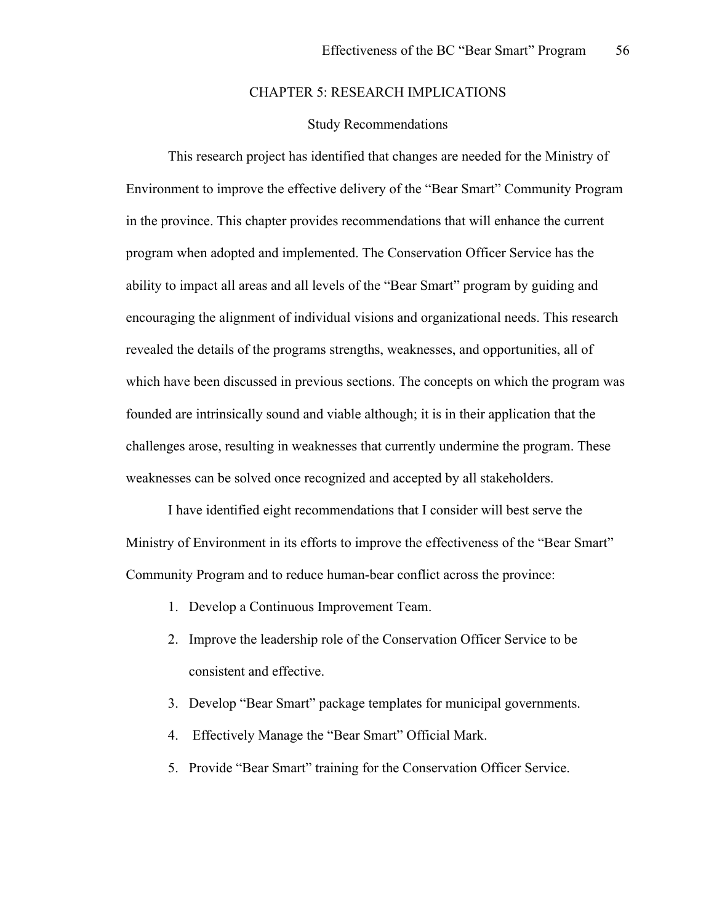## CHAPTER 5: RESEARCH IMPLICATIONS

## Study Recommendations

This research project has identified that changes are needed for the Ministry of Environment to improve the effective delivery of the "Bear Smart" Community Program in the province. This chapter provides recommendations that will enhance the current program when adopted and implemented. The Conservation Officer Service has the ability to impact all areas and all levels of the "Bear Smart" program by guiding and encouraging the alignment of individual visions and organizational needs. This research revealed the details of the programs strengths, weaknesses, and opportunities, all of which have been discussed in previous sections. The concepts on which the program was founded are intrinsically sound and viable although; it is in their application that the challenges arose, resulting in weaknesses that currently undermine the program. These weaknesses can be solved once recognized and accepted by all stakeholders.

I have identified eight recommendations that I consider will best serve the Ministry of Environment in its efforts to improve the effectiveness of the "Bear Smart" Community Program and to reduce human-bear conflict across the province:

- 1. Develop a Continuous Improvement Team.
- 2. Improve the leadership role of the Conservation Officer Service to be consistent and effective.
- 3. Develop "Bear Smart" package templates for municipal governments.
- 4. Effectively Manage the "Bear Smart" Official Mark.
- 5. Provide "Bear Smart" training for the Conservation Officer Service.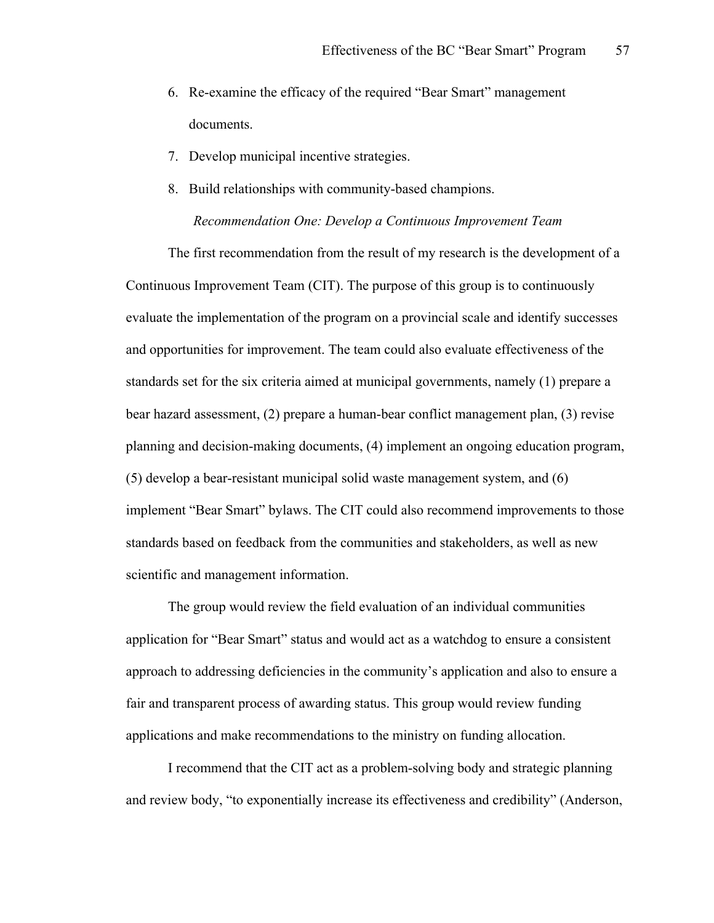- 6. Re-examine the efficacy of the required "Bear Smart" management documents.
- 7. Develop municipal incentive strategies.
- 8. Build relationships with community-based champions. *Recommendation One: Develop a Continuous Improvement Team*

The first recommendation from the result of my research is the development of a Continuous Improvement Team (CIT). The purpose of this group is to continuously evaluate the implementation of the program on a provincial scale and identify successes and opportunities for improvement. The team could also evaluate effectiveness of the standards set for the six criteria aimed at municipal governments, namely (1) prepare a bear hazard assessment, (2) prepare a human-bear conflict management plan, (3) revise planning and decision-making documents, (4) implement an ongoing education program, (5) develop a bear-resistant municipal solid waste management system, and (6) implement "Bear Smart" bylaws. The CIT could also recommend improvements to those standards based on feedback from the communities and stakeholders, as well as new scientific and management information.

The group would review the field evaluation of an individual communities application for "Bear Smart" status and would act as a watchdog to ensure a consistent approach to addressing deficiencies in the community's application and also to ensure a fair and transparent process of awarding status. This group would review funding applications and make recommendations to the ministry on funding allocation.

I recommend that the CIT act as a problem-solving body and strategic planning and review body, "to exponentially increase its effectiveness and credibility" (Anderson,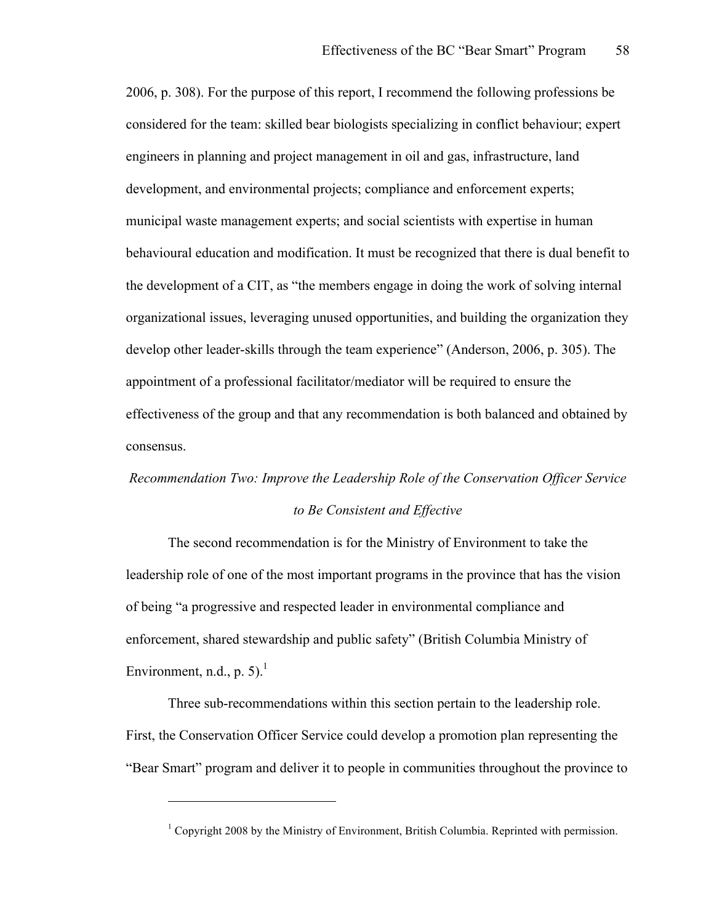2006, p. 308). For the purpose of this report, I recommend the following professions be considered for the team: skilled bear biologists specializing in conflict behaviour; expert engineers in planning and project management in oil and gas, infrastructure, land development, and environmental projects; compliance and enforcement experts; municipal waste management experts; and social scientists with expertise in human behavioural education and modification. It must be recognized that there is dual benefit to the development of a CIT, as "the members engage in doing the work of solving internal organizational issues, leveraging unused opportunities, and building the organization they develop other leader-skills through the team experience" (Anderson, 2006, p. 305). The appointment of a professional facilitator/mediator will be required to ensure the effectiveness of the group and that any recommendation is both balanced and obtained by consensus.

## *Recommendation Two: Improve the Leadership Role of the Conservation Officer Service to Be Consistent and Effective*

The second recommendation is for the Ministry of Environment to take the leadership role of one of the most important programs in the province that has the vision of being "a progressive and respected leader in environmental compliance and enforcement, shared stewardship and public safety" (British Columbia Ministry of Environment, n.d., p. 5).<sup>1</sup>

Three sub-recommendations within this section pertain to the leadership role. First, the Conservation Officer Service could develop a promotion plan representing the "Bear Smart" program and deliver it to people in communities throughout the province to

 $\overline{a}$ 

 $1$  Copyright 2008 by the Ministry of Environment, British Columbia. Reprinted with permission.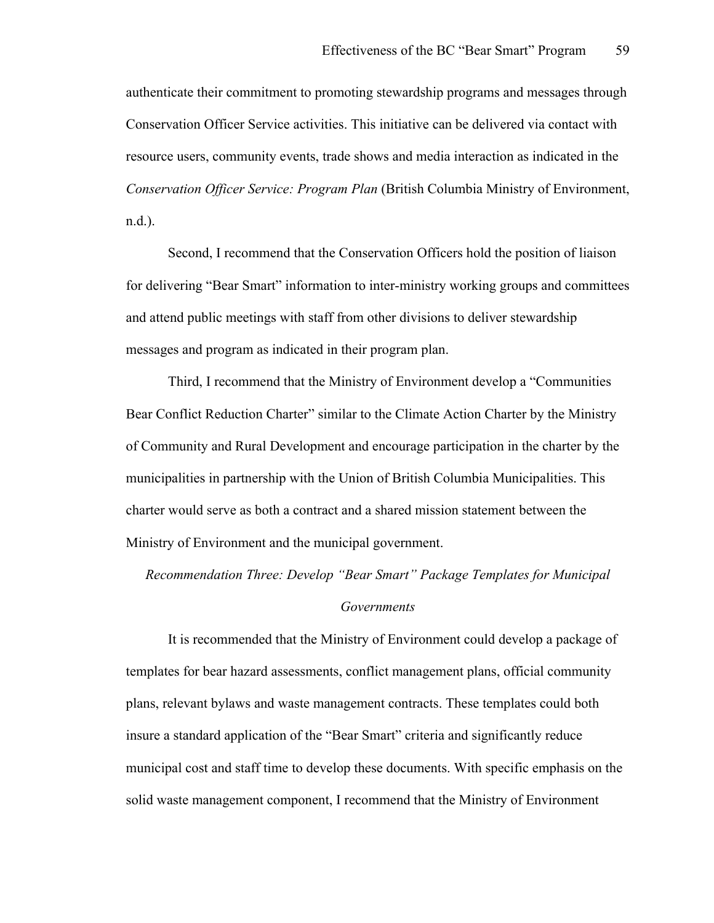authenticate their commitment to promoting stewardship programs and messages through Conservation Officer Service activities. This initiative can be delivered via contact with resource users, community events, trade shows and media interaction as indicated in the *Conservation Officer Service: Program Plan* (British Columbia Ministry of Environment, n.d.).

Second, I recommend that the Conservation Officers hold the position of liaison for delivering "Bear Smart" information to inter-ministry working groups and committees and attend public meetings with staff from other divisions to deliver stewardship messages and program as indicated in their program plan.

Third, I recommend that the Ministry of Environment develop a "Communities Bear Conflict Reduction Charter" similar to the Climate Action Charter by the Ministry of Community and Rural Development and encourage participation in the charter by the municipalities in partnership with the Union of British Columbia Municipalities. This charter would serve as both a contract and a shared mission statement between the Ministry of Environment and the municipal government.

*Recommendation Three: Develop "Bear Smart" Package Templates for Municipal Governments*

It is recommended that the Ministry of Environment could develop a package of templates for bear hazard assessments, conflict management plans, official community plans, relevant bylaws and waste management contracts. These templates could both insure a standard application of the "Bear Smart" criteria and significantly reduce municipal cost and staff time to develop these documents. With specific emphasis on the solid waste management component, I recommend that the Ministry of Environment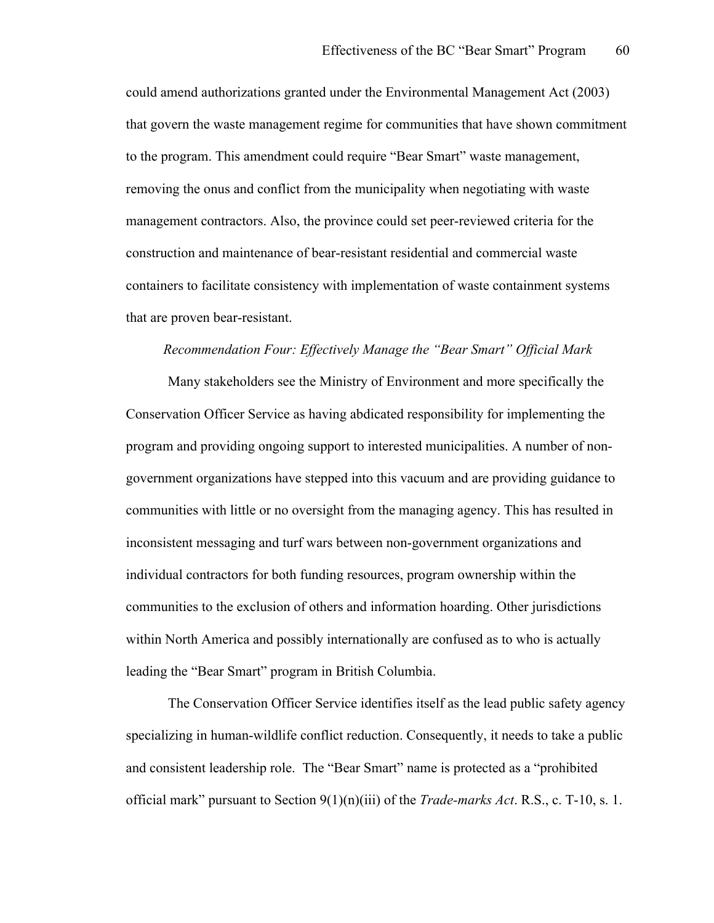could amend authorizations granted under the Environmental Management Act (2003) that govern the waste management regime for communities that have shown commitment to the program. This amendment could require "Bear Smart" waste management, removing the onus and conflict from the municipality when negotiating with waste management contractors. Also, the province could set peer-reviewed criteria for the construction and maintenance of bear-resistant residential and commercial waste containers to facilitate consistency with implementation of waste containment systems that are proven bear-resistant.

#### *Recommendation Four: Effectively Manage the "Bear Smart" Official Mark*

Many stakeholders see the Ministry of Environment and more specifically the Conservation Officer Service as having abdicated responsibility for implementing the program and providing ongoing support to interested municipalities. A number of nongovernment organizations have stepped into this vacuum and are providing guidance to communities with little or no oversight from the managing agency. This has resulted in inconsistent messaging and turf wars between non-government organizations and individual contractors for both funding resources, program ownership within the communities to the exclusion of others and information hoarding. Other jurisdictions within North America and possibly internationally are confused as to who is actually leading the "Bear Smart" program in British Columbia.

The Conservation Officer Service identifies itself as the lead public safety agency specializing in human-wildlife conflict reduction. Consequently, it needs to take a public and consistent leadership role. The "Bear Smart" name is protected as a "prohibited official mark" pursuant to Section 9(1)(n)(iii) of the *Trade-marks Act*. R.S., c. T-10, s. 1.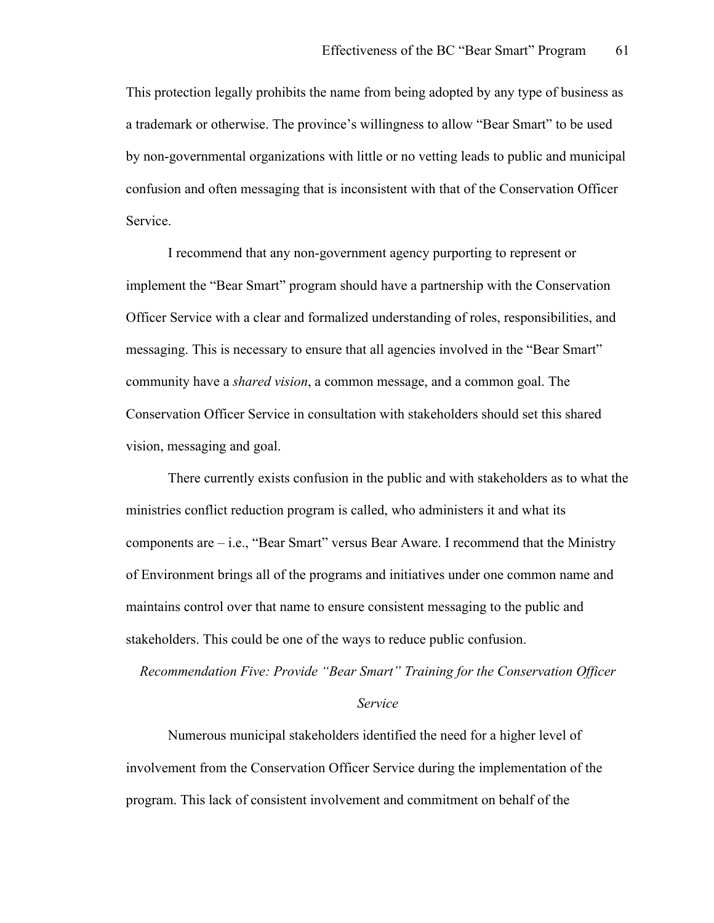This protection legally prohibits the name from being adopted by any type of business as a trademark or otherwise. The province's willingness to allow "Bear Smart" to be used by non-governmental organizations with little or no vetting leads to public and municipal confusion and often messaging that is inconsistent with that of the Conservation Officer Service.

I recommend that any non-government agency purporting to represent or implement the "Bear Smart" program should have a partnership with the Conservation Officer Service with a clear and formalized understanding of roles, responsibilities, and messaging. This is necessary to ensure that all agencies involved in the "Bear Smart" community have a *shared vision*, a common message, and a common goal. The Conservation Officer Service in consultation with stakeholders should set this shared vision, messaging and goal.

There currently exists confusion in the public and with stakeholders as to what the ministries conflict reduction program is called, who administers it and what its components are – i.e., "Bear Smart" versus Bear Aware. I recommend that the Ministry of Environment brings all of the programs and initiatives under one common name and maintains control over that name to ensure consistent messaging to the public and stakeholders. This could be one of the ways to reduce public confusion.

*Recommendation Five: Provide "Bear Smart" Training for the Conservation Officer* 

#### *Service*

Numerous municipal stakeholders identified the need for a higher level of involvement from the Conservation Officer Service during the implementation of the program. This lack of consistent involvement and commitment on behalf of the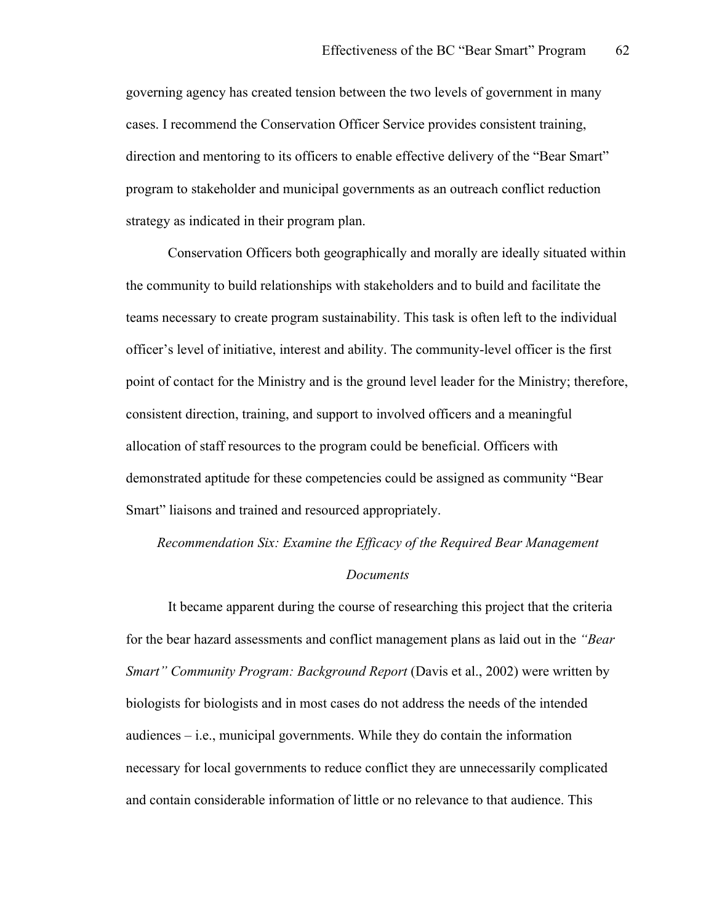governing agency has created tension between the two levels of government in many cases. I recommend the Conservation Officer Service provides consistent training, direction and mentoring to its officers to enable effective delivery of the "Bear Smart" program to stakeholder and municipal governments as an outreach conflict reduction strategy as indicated in their program plan.

Conservation Officers both geographically and morally are ideally situated within the community to build relationships with stakeholders and to build and facilitate the teams necessary to create program sustainability. This task is often left to the individual officer's level of initiative, interest and ability. The community-level officer is the first point of contact for the Ministry and is the ground level leader for the Ministry; therefore, consistent direction, training, and support to involved officers and a meaningful allocation of staff resources to the program could be beneficial. Officers with demonstrated aptitude for these competencies could be assigned as community "Bear Smart" liaisons and trained and resourced appropriately.

*Recommendation Six: Examine the Efficacy of the Required Bear Management* 

#### *Documents*

It became apparent during the course of researching this project that the criteria for the bear hazard assessments and conflict management plans as laid out in the *"Bear Smart" Community Program: Background Report* (Davis et al., 2002) were written by biologists for biologists and in most cases do not address the needs of the intended audiences – i.e., municipal governments. While they do contain the information necessary for local governments to reduce conflict they are unnecessarily complicated and contain considerable information of little or no relevance to that audience. This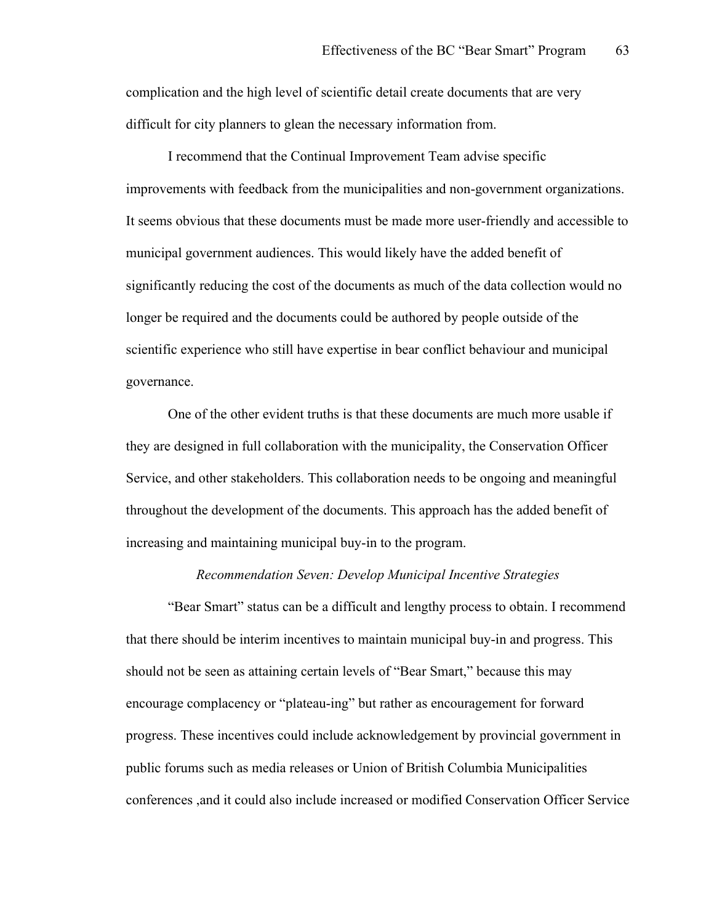complication and the high level of scientific detail create documents that are very difficult for city planners to glean the necessary information from.

I recommend that the Continual Improvement Team advise specific improvements with feedback from the municipalities and non-government organizations. It seems obvious that these documents must be made more user-friendly and accessible to municipal government audiences. This would likely have the added benefit of significantly reducing the cost of the documents as much of the data collection would no longer be required and the documents could be authored by people outside of the scientific experience who still have expertise in bear conflict behaviour and municipal governance.

One of the other evident truths is that these documents are much more usable if they are designed in full collaboration with the municipality, the Conservation Officer Service, and other stakeholders. This collaboration needs to be ongoing and meaningful throughout the development of the documents. This approach has the added benefit of increasing and maintaining municipal buy-in to the program.

#### *Recommendation Seven: Develop Municipal Incentive Strategies*

"Bear Smart" status can be a difficult and lengthy process to obtain. I recommend that there should be interim incentives to maintain municipal buy-in and progress. This should not be seen as attaining certain levels of "Bear Smart," because this may encourage complacency or "plateau-ing" but rather as encouragement for forward progress. These incentives could include acknowledgement by provincial government in public forums such as media releases or Union of British Columbia Municipalities conferences ,and it could also include increased or modified Conservation Officer Service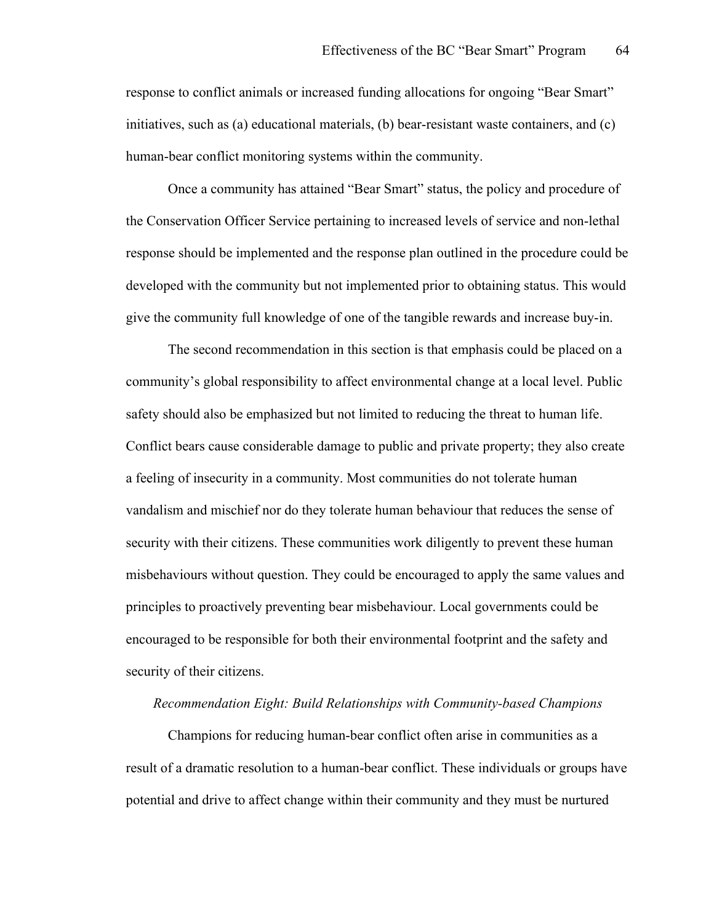response to conflict animals or increased funding allocations for ongoing "Bear Smart" initiatives, such as (a) educational materials, (b) bear-resistant waste containers, and  $(c)$ human-bear conflict monitoring systems within the community.

Once a community has attained "Bear Smart" status, the policy and procedure of the Conservation Officer Service pertaining to increased levels of service and non-lethal response should be implemented and the response plan outlined in the procedure could be developed with the community but not implemented prior to obtaining status. This would give the community full knowledge of one of the tangible rewards and increase buy-in.

The second recommendation in this section is that emphasis could be placed on a community's global responsibility to affect environmental change at a local level. Public safety should also be emphasized but not limited to reducing the threat to human life. Conflict bears cause considerable damage to public and private property; they also create a feeling of insecurity in a community. Most communities do not tolerate human vandalism and mischief nor do they tolerate human behaviour that reduces the sense of security with their citizens. These communities work diligently to prevent these human misbehaviours without question. They could be encouraged to apply the same values and principles to proactively preventing bear misbehaviour. Local governments could be encouraged to be responsible for both their environmental footprint and the safety and security of their citizens.

#### *Recommendation Eight: Build Relationships with Community-based Champions*

Champions for reducing human-bear conflict often arise in communities as a result of a dramatic resolution to a human-bear conflict. These individuals or groups have potential and drive to affect change within their community and they must be nurtured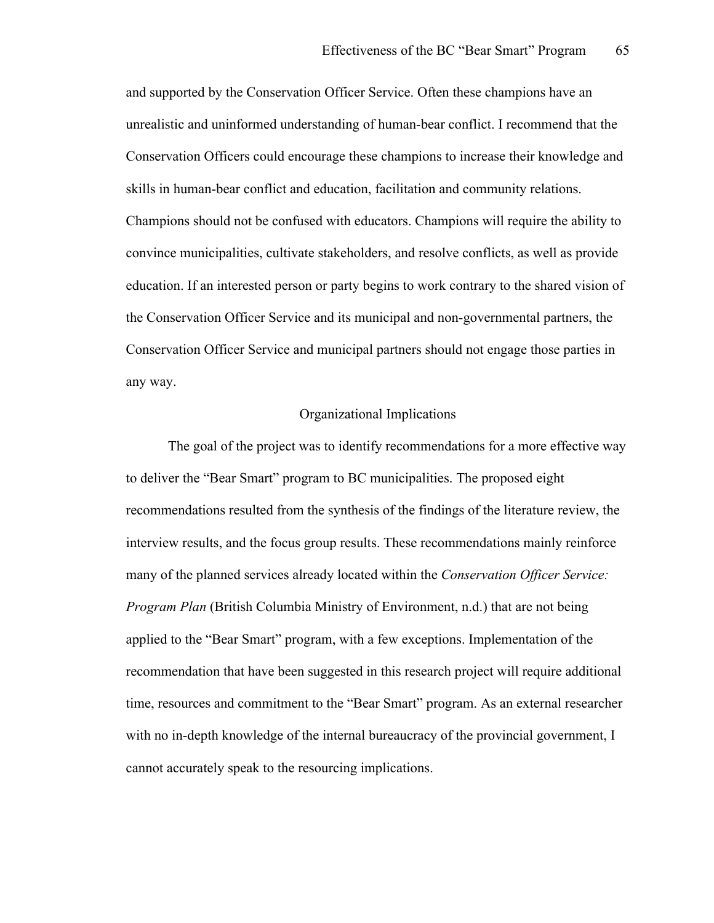and supported by the Conservation Officer Service. Often these champions have an unrealistic and uninformed understanding of human-bear conflict. I recommend that the Conservation Officers could encourage these champions to increase their knowledge and skills in human-bear conflict and education, facilitation and community relations. Champions should not be confused with educators. Champions will require the ability to convince municipalities, cultivate stakeholders, and resolve conflicts, as well as provide education. If an interested person or party begins to work contrary to the shared vision of the Conservation Officer Service and its municipal and non-governmental partners, the Conservation Officer Service and municipal partners should not engage those parties in any way.

## Organizational Implications

The goal of the project was to identify recommendations for a more effective way to deliver the "Bear Smart" program to BC municipalities. The proposed eight recommendations resulted from the synthesis of the findings of the literature review, the interview results, and the focus group results. These recommendations mainly reinforce many of the planned services already located within the *Conservation Officer Service: Program Plan* (British Columbia Ministry of Environment, n.d.) that are not being applied to the "Bear Smart" program, with a few exceptions. Implementation of the recommendation that have been suggested in this research project will require additional time, resources and commitment to the "Bear Smart" program. As an external researcher with no in-depth knowledge of the internal bureaucracy of the provincial government, I cannot accurately speak to the resourcing implications.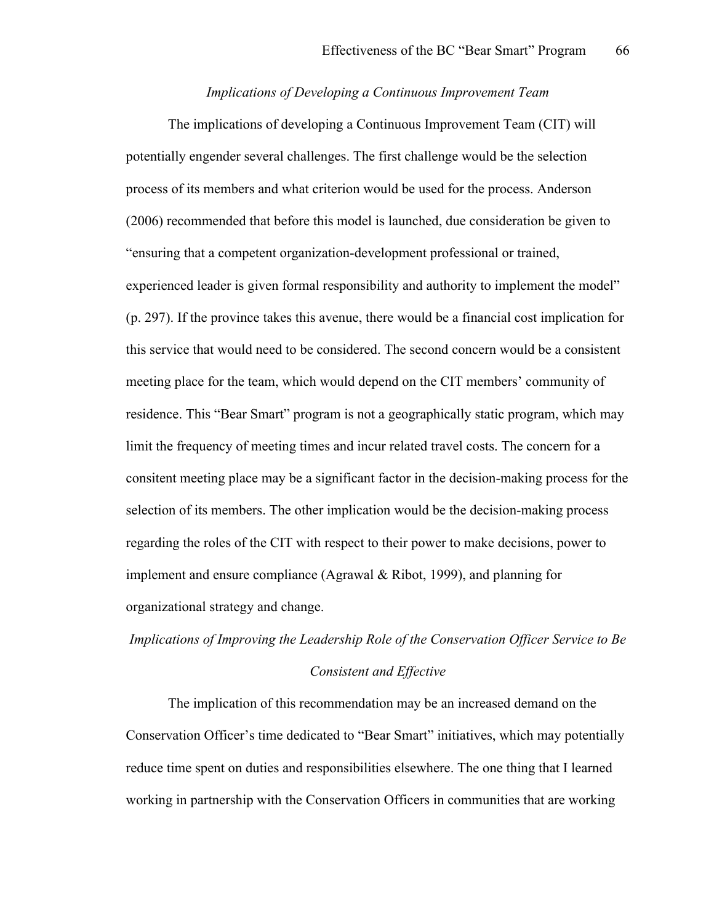## *Implications of Developing a Continuous Improvement Team*

The implications of developing a Continuous Improvement Team (CIT) will potentially engender several challenges. The first challenge would be the selection process of its members and what criterion would be used for the process. Anderson (2006) recommended that before this model is launched, due consideration be given to "ensuring that a competent organization-development professional or trained, experienced leader is given formal responsibility and authority to implement the model" (p. 297). If the province takes this avenue, there would be a financial cost implication for this service that would need to be considered. The second concern would be a consistent meeting place for the team, which would depend on the CIT members' community of residence. This "Bear Smart" program is not a geographically static program, which may limit the frequency of meeting times and incur related travel costs. The concern for a consitent meeting place may be a significant factor in the decision-making process for the selection of its members. The other implication would be the decision-making process regarding the roles of the CIT with respect to their power to make decisions, power to implement and ensure compliance (Agrawal & Ribot, 1999), and planning for organizational strategy and change.

# *Implications of Improving the Leadership Role of the Conservation Officer Service to Be*

#### *Consistent and Effective*

The implication of this recommendation may be an increased demand on the Conservation Officer's time dedicated to "Bear Smart" initiatives, which may potentially reduce time spent on duties and responsibilities elsewhere. The one thing that I learned working in partnership with the Conservation Officers in communities that are working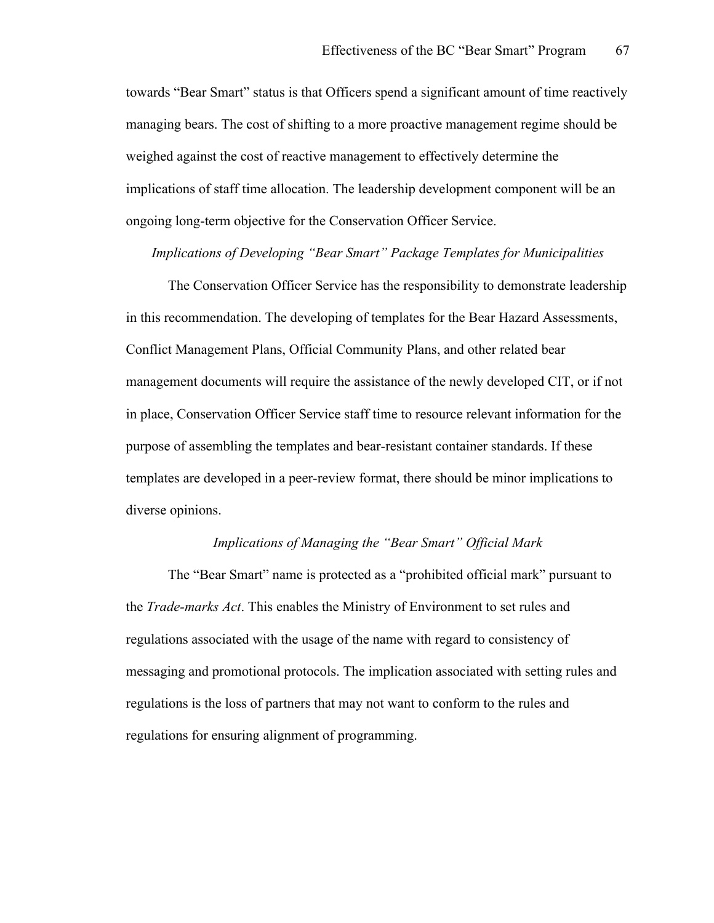towards "Bear Smart" status is that Officers spend a significant amount of time reactively managing bears. The cost of shifting to a more proactive management regime should be weighed against the cost of reactive management to effectively determine the implications of staff time allocation. The leadership development component will be an ongoing long-term objective for the Conservation Officer Service.

*Implications of Developing "Bear Smart" Package Templates for Municipalities*

The Conservation Officer Service has the responsibility to demonstrate leadership in this recommendation. The developing of templates for the Bear Hazard Assessments, Conflict Management Plans, Official Community Plans, and other related bear management documents will require the assistance of the newly developed CIT, or if not in place, Conservation Officer Service staff time to resource relevant information for the purpose of assembling the templates and bear-resistant container standards. If these templates are developed in a peer-review format, there should be minor implications to diverse opinions.

#### *Implications of Managing the "Bear Smart" Official Mark*

The "Bear Smart" name is protected as a "prohibited official mark" pursuant to the *Trade-marks Act*. This enables the Ministry of Environment to set rules and regulations associated with the usage of the name with regard to consistency of messaging and promotional protocols. The implication associated with setting rules and regulations is the loss of partners that may not want to conform to the rules and regulations for ensuring alignment of programming.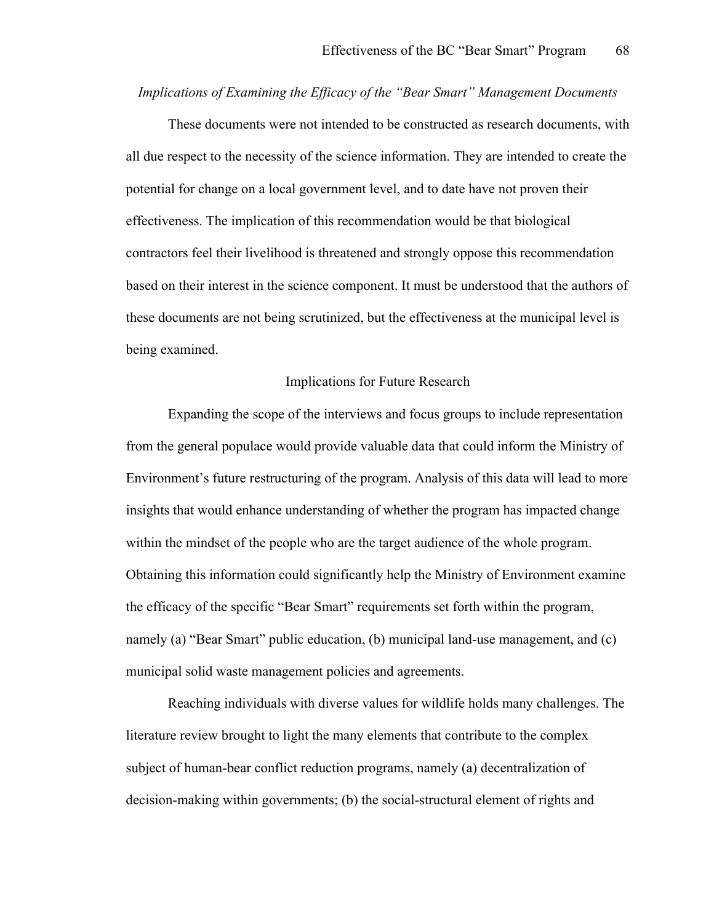#### *Implications of Examining the Efficacy of the "Bear Smart" Management Documents*

These documents were not intended to be constructed as research documents, with all due respect to the necessity of the science information. They are intended to create the potential for change on a local government level, and to date have not proven their effectiveness. The implication of this recommendation would be that biological contractors feel their livelihood is threatened and strongly oppose this recommendation based on their interest in the science component. It must be understood that the authors of these documents are not being scrutinized, but the effectiveness at the municipal level is being examined.

## Implications for Future Research

Expanding the scope of the interviews and focus groups to include representation from the general populace would provide valuable data that could inform the Ministry of Environment's future restructuring of the program. Analysis of this data will lead to more insights that would enhance understanding of whether the program has impacted change within the mindset of the people who are the target audience of the whole program. Obtaining this information could significantly help the Ministry of Environment examine the efficacy of the specific "Bear Smart" requirements set forth within the program, namely (a) "Bear Smart" public education, (b) municipal land-use management, and (c) municipal solid waste management policies and agreements.

Reaching individuals with diverse values for wildlife holds many challenges. The literature review brought to light the many elements that contribute to the complex subject of human-bear conflict reduction programs, namely (a) decentralization of decision-making within governments; (b) the social-structural element of rights and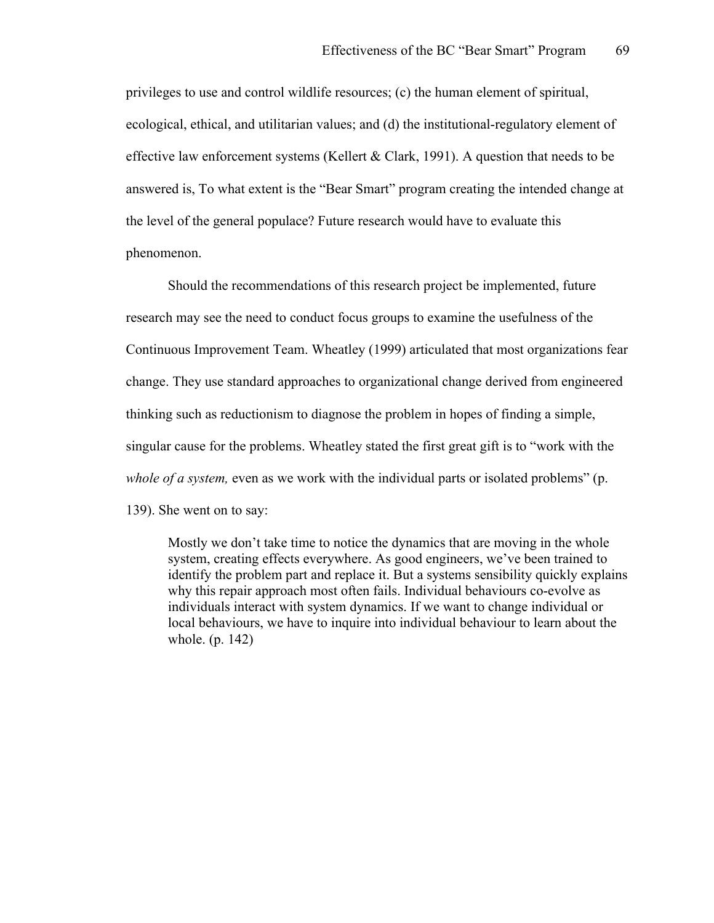privileges to use and control wildlife resources; (c) the human element of spiritual, ecological, ethical, and utilitarian values; and (d) the institutional-regulatory element of effective law enforcement systems (Kellert  $& Clark, 1991$ ). A question that needs to be answered is, To what extent is the "Bear Smart" program creating the intended change at the level of the general populace? Future research would have to evaluate this phenomenon.

Should the recommendations of this research project be implemented, future research may see the need to conduct focus groups to examine the usefulness of the Continuous Improvement Team. Wheatley (1999) articulated that most organizations fear change. They use standard approaches to organizational change derived from engineered thinking such as reductionism to diagnose the problem in hopes of finding a simple, singular cause for the problems. Wheatley stated the first great gift is to "work with the *whole of a system, even as we work with the individual parts or isolated problems*" (p. 139). She went on to say:

Mostly we don't take time to notice the dynamics that are moving in the whole system, creating effects everywhere. As good engineers, we've been trained to identify the problem part and replace it. But a systems sensibility quickly explains why this repair approach most often fails. Individual behaviours co-evolve as individuals interact with system dynamics. If we want to change individual or local behaviours, we have to inquire into individual behaviour to learn about the whole. (p. 142)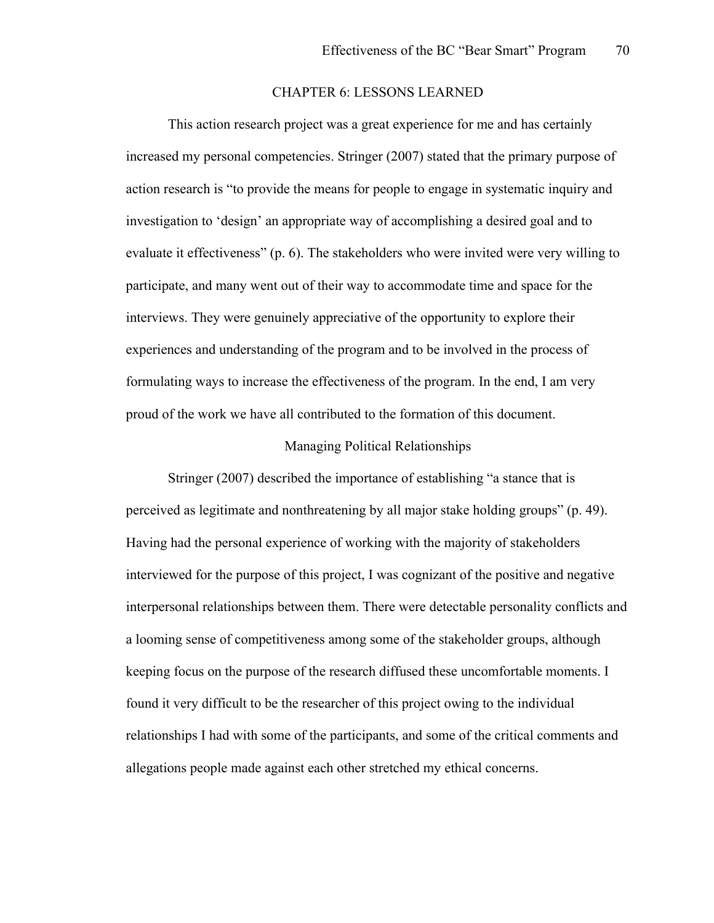## CHAPTER 6: LESSONS LEARNED

This action research project was a great experience for me and has certainly increased my personal competencies. Stringer (2007) stated that the primary purpose of action research is "to provide the means for people to engage in systematic inquiry and investigation to 'design' an appropriate way of accomplishing a desired goal and to evaluate it effectiveness" (p. 6). The stakeholders who were invited were very willing to participate, and many went out of their way to accommodate time and space for the interviews. They were genuinely appreciative of the opportunity to explore their experiences and understanding of the program and to be involved in the process of formulating ways to increase the effectiveness of the program. In the end, I am very proud of the work we have all contributed to the formation of this document.

## Managing Political Relationships

Stringer (2007) described the importance of establishing "a stance that is perceived as legitimate and nonthreatening by all major stake holding groups" (p. 49). Having had the personal experience of working with the majority of stakeholders interviewed for the purpose of this project, I was cognizant of the positive and negative interpersonal relationships between them. There were detectable personality conflicts and a looming sense of competitiveness among some of the stakeholder groups, although keeping focus on the purpose of the research diffused these uncomfortable moments. I found it very difficult to be the researcher of this project owing to the individual relationships I had with some of the participants, and some of the critical comments and allegations people made against each other stretched my ethical concerns.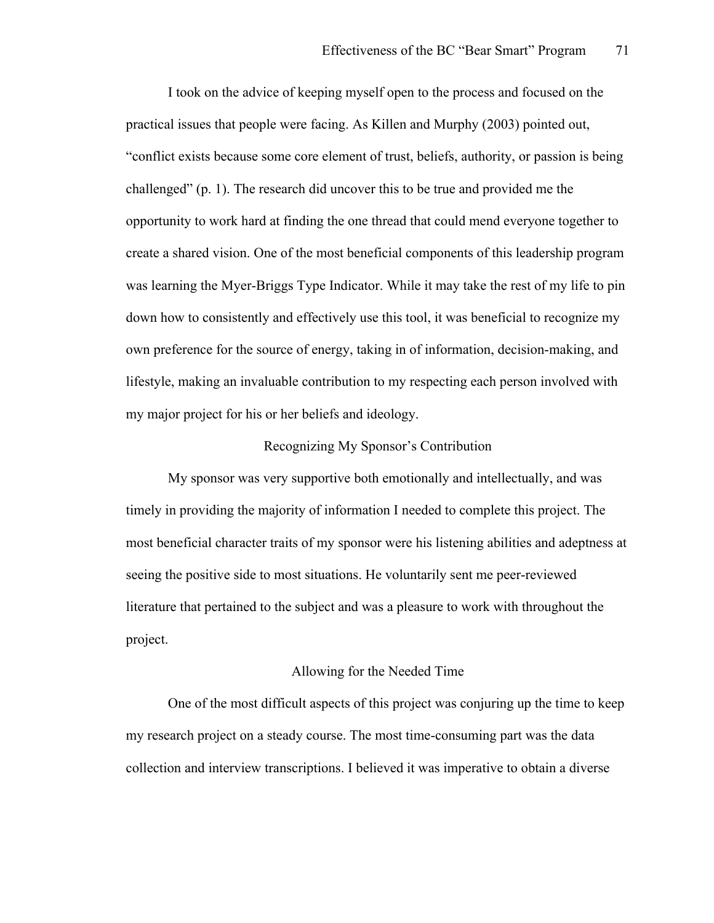I took on the advice of keeping myself open to the process and focused on the practical issues that people were facing. As Killen and Murphy (2003) pointed out, "conflict exists because some core element of trust, beliefs, authority, or passion is being challenged" (p. 1). The research did uncover this to be true and provided me the opportunity to work hard at finding the one thread that could mend everyone together to create a shared vision. One of the most beneficial components of this leadership program was learning the Myer-Briggs Type Indicator. While it may take the rest of my life to pin down how to consistently and effectively use this tool, it was beneficial to recognize my own preference for the source of energy, taking in of information, decision-making, and lifestyle, making an invaluable contribution to my respecting each person involved with my major project for his or her beliefs and ideology.

## Recognizing My Sponsor's Contribution

My sponsor was very supportive both emotionally and intellectually, and was timely in providing the majority of information I needed to complete this project. The most beneficial character traits of my sponsor were his listening abilities and adeptness at seeing the positive side to most situations. He voluntarily sent me peer-reviewed literature that pertained to the subject and was a pleasure to work with throughout the project.

## Allowing for the Needed Time

One of the most difficult aspects of this project was conjuring up the time to keep my research project on a steady course. The most time-consuming part was the data collection and interview transcriptions. I believed it was imperative to obtain a diverse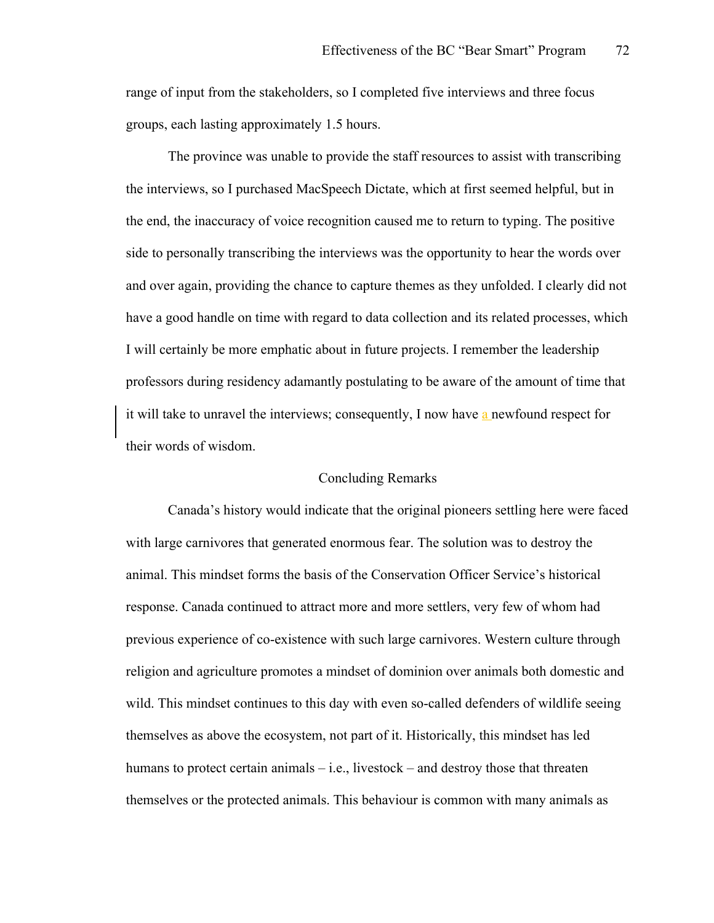range of input from the stakeholders, so I completed five interviews and three focus groups, each lasting approximately 1.5 hours.

The province was unable to provide the staff resources to assist with transcribing the interviews, so I purchased MacSpeech Dictate, which at first seemed helpful, but in the end, the inaccuracy of voice recognition caused me to return to typing. The positive side to personally transcribing the interviews was the opportunity to hear the words over and over again, providing the chance to capture themes as they unfolded. I clearly did not have a good handle on time with regard to data collection and its related processes, which I will certainly be more emphatic about in future projects. I remember the leadership professors during residency adamantly postulating to be aware of the amount of time that it will take to unravel the interviews; consequently, I now have a newfound respect for their words of wisdom.

## Concluding Remarks

Canada's history would indicate that the original pioneers settling here were faced with large carnivores that generated enormous fear. The solution was to destroy the animal. This mindset forms the basis of the Conservation Officer Service's historical response. Canada continued to attract more and more settlers, very few of whom had previous experience of co-existence with such large carnivores. Western culture through religion and agriculture promotes a mindset of dominion over animals both domestic and wild. This mindset continues to this day with even so-called defenders of wildlife seeing themselves as above the ecosystem, not part of it. Historically, this mindset has led humans to protect certain animals – i.e., livestock – and destroy those that threaten themselves or the protected animals. This behaviour is common with many animals as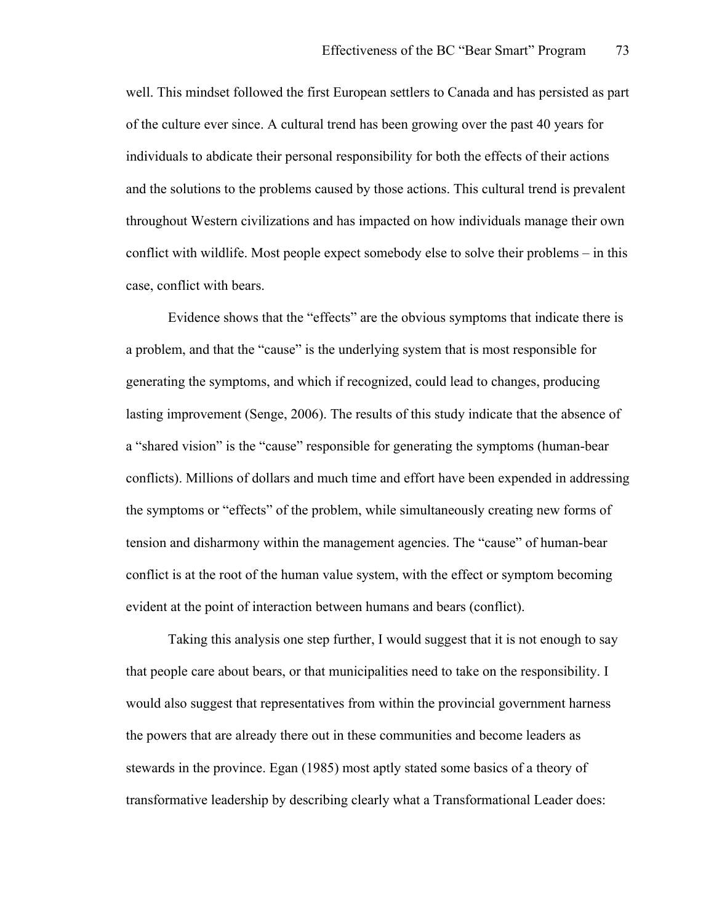well. This mindset followed the first European settlers to Canada and has persisted as part of the culture ever since. A cultural trend has been growing over the past 40 years for individuals to abdicate their personal responsibility for both the effects of their actions and the solutions to the problems caused by those actions. This cultural trend is prevalent throughout Western civilizations and has impacted on how individuals manage their own conflict with wildlife. Most people expect somebody else to solve their problems – in this case, conflict with bears.

Evidence shows that the "effects" are the obvious symptoms that indicate there is a problem, and that the "cause" is the underlying system that is most responsible for generating the symptoms, and which if recognized, could lead to changes, producing lasting improvement (Senge, 2006). The results of this study indicate that the absence of a "shared vision" is the "cause" responsible for generating the symptoms (human-bear conflicts). Millions of dollars and much time and effort have been expended in addressing the symptoms or "effects" of the problem, while simultaneously creating new forms of tension and disharmony within the management agencies. The "cause" of human-bear conflict is at the root of the human value system, with the effect or symptom becoming evident at the point of interaction between humans and bears (conflict).

Taking this analysis one step further, I would suggest that it is not enough to say that people care about bears, or that municipalities need to take on the responsibility. I would also suggest that representatives from within the provincial government harness the powers that are already there out in these communities and become leaders as stewards in the province. Egan (1985) most aptly stated some basics of a theory of transformative leadership by describing clearly what a Transformational Leader does: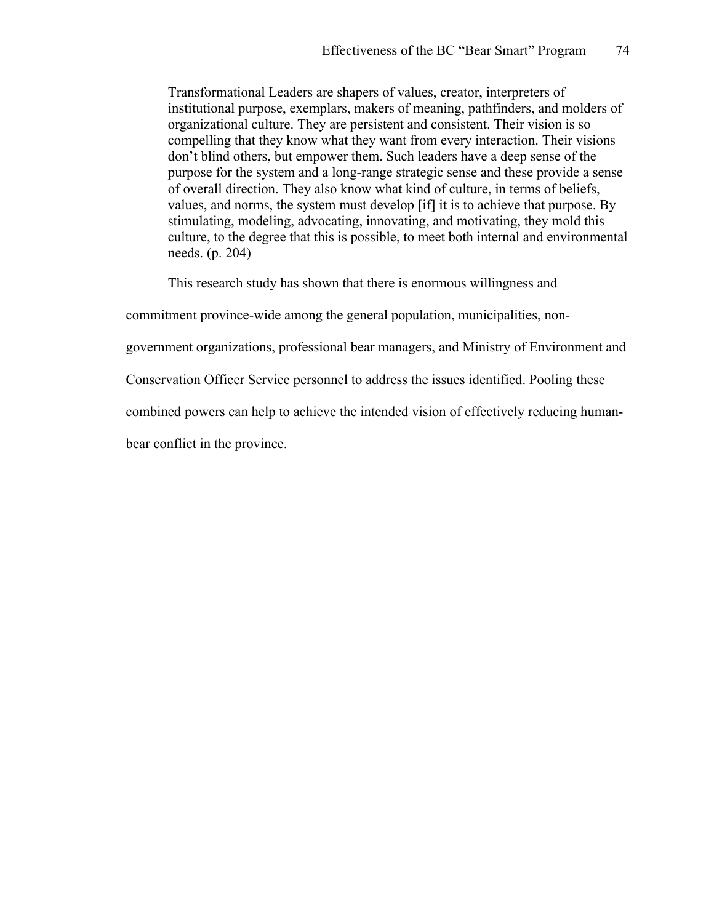Transformational Leaders are shapers of values, creator, interpreters of institutional purpose, exemplars, makers of meaning, pathfinders, and molders of organizational culture. They are persistent and consistent. Their vision is so compelling that they know what they want from every interaction. Their visions don't blind others, but empower them. Such leaders have a deep sense of the purpose for the system and a long-range strategic sense and these provide a sense of overall direction. They also know what kind of culture, in terms of beliefs, values, and norms, the system must develop [if] it is to achieve that purpose. By stimulating, modeling, advocating, innovating, and motivating, they mold this culture, to the degree that this is possible, to meet both internal and environmental needs. (p. 204)

This research study has shown that there is enormous willingness and

commitment province-wide among the general population, municipalities, non-

government organizations, professional bear managers, and Ministry of Environment and

Conservation Officer Service personnel to address the issues identified. Pooling these

combined powers can help to achieve the intended vision of effectively reducing human-

bear conflict in the province.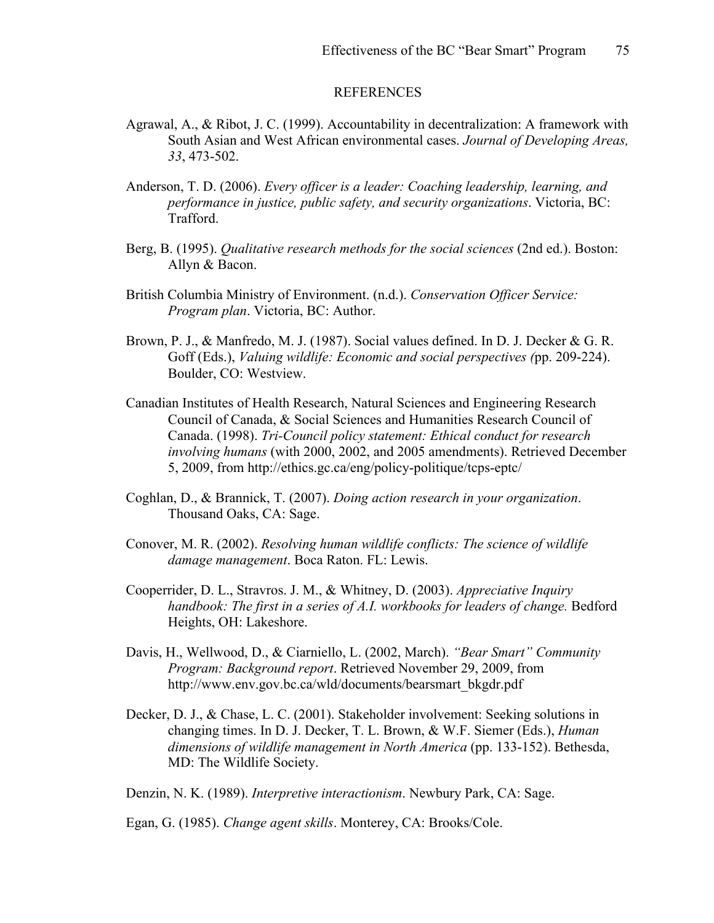#### REFERENCES

- Agrawal, A., & Ribot, J. C. (1999). Accountability in decentralization: A framework with South Asian and West African environmental cases. *Journal of Developing Areas, 33*, 473-502.
- Anderson, T. D. (2006). *Every officer is a leader: Coaching leadership, learning, and performance in justice, public safety, and security organizations*. Victoria, BC: Trafford.
- Berg, B. (1995). *Qualitative research methods for the social sciences* (2nd ed.). Boston: Allyn & Bacon.
- British Columbia Ministry of Environment. (n.d.). *Conservation Officer Service: Program plan*. Victoria, BC: Author.
- Brown, P. J., & Manfredo, M. J. (1987). Social values defined. In D. J. Decker & G. R. Goff (Eds.), *Valuing wildlife: Economic and social perspectives (*pp. 209-224). Boulder, CO: Westview.
- Canadian Institutes of Health Research, Natural Sciences and Engineering Research Council of Canada, & Social Sciences and Humanities Research Council of Canada. (1998). *Tri-Council policy statement: Ethical conduct for research involving humans* (with 2000, 2002, and 2005 amendments). Retrieved December 5, 2009, from http://ethics.gc.ca/eng/policy-politique/tcps-eptc/
- Coghlan, D., & Brannick, T. (2007). *Doing action research in your organization*. Thousand Oaks, CA: Sage.
- Conover, M. R. (2002). *Resolving human wildlife conflicts: The science of wildlife damage management*. Boca Raton. FL: Lewis.
- Cooperrider, D. L., Stravros. J. M., & Whitney, D. (2003). *Appreciative Inquiry handbook: The first in a series of A.I. workbooks for leaders of change. Bedford* Heights, OH: Lakeshore.
- Davis, H., Wellwood, D., & Ciarniello, L. (2002, March). *"Bear Smart" Community Program: Background report*. Retrieved November 29, 2009, from http://www.env.gov.bc.ca/wld/documents/bearsmart\_bkgdr.pdf
- Decker, D. J., & Chase, L. C. (2001). Stakeholder involvement: Seeking solutions in changing times. In D. J. Decker, T. L. Brown, & W.F. Siemer (Eds.), *Human dimensions of wildlife management in North America* (pp. 133-152). Bethesda, MD: The Wildlife Society.

Denzin, N. K. (1989). *Interpretive interactionism*. Newbury Park, CA: Sage.

Egan, G. (1985). *Change agent skills*. Monterey, CA: Brooks/Cole.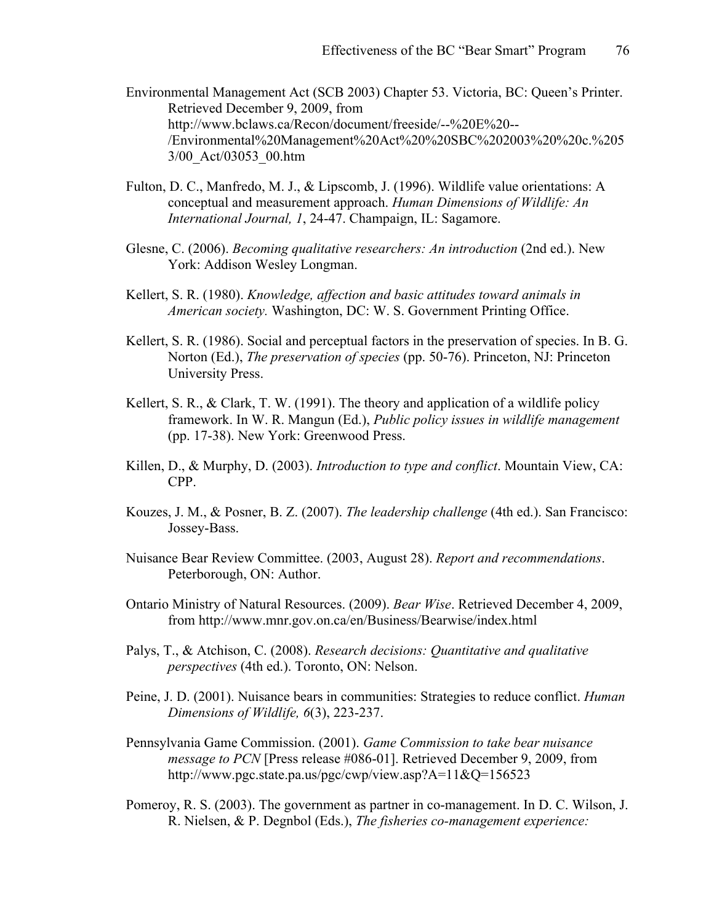- Environmental Management Act (SCB 2003) Chapter 53. Victoria, BC: Queen's Printer. Retrieved December 9, 2009, from http://www.bclaws.ca/Recon/document/freeside/--%20E%20-- /Environmental%20Management%20Act%20%20SBC%202003%20%20c.%205 3/00\_Act/03053\_00.htm
- Fulton, D. C., Manfredo, M. J., & Lipscomb, J. (1996). Wildlife value orientations: A conceptual and measurement approach. *Human Dimensions of Wildlife: An International Journal, 1*, 24-47. Champaign, IL: Sagamore.
- Glesne, C. (2006). *Becoming qualitative researchers: An introduction* (2nd ed.). New York: Addison Wesley Longman.
- Kellert, S. R. (1980). *Knowledge, affection and basic attitudes toward animals in American society.* Washington, DC: W. S. Government Printing Office.
- Kellert, S. R. (1986). Social and perceptual factors in the preservation of species. In B. G. Norton (Ed.), *The preservation of species* (pp. 50-76). Princeton, NJ: Princeton University Press.
- Kellert, S. R., & Clark, T. W. (1991). The theory and application of a wildlife policy framework. In W. R. Mangun (Ed.), *Public policy issues in wildlife management*  (pp. 17-38). New York: Greenwood Press.
- Killen, D., & Murphy, D. (2003). *Introduction to type and conflict*. Mountain View, CA: CPP.
- Kouzes, J. M., & Posner, B. Z. (2007). *The leadership challenge* (4th ed.). San Francisco: Jossey-Bass.
- Nuisance Bear Review Committee. (2003, August 28). *Report and recommendations*. Peterborough, ON: Author.
- Ontario Ministry of Natural Resources. (2009). *Bear Wise*. Retrieved December 4, 2009, from http://www.mnr.gov.on.ca/en/Business/Bearwise/index.html
- Palys, T., & Atchison, C. (2008). *Research decisions: Quantitative and qualitative perspectives* (4th ed.). Toronto, ON: Nelson.
- Peine, J. D. (2001). Nuisance bears in communities: Strategies to reduce conflict. *Human Dimensions of Wildlife, 6*(3), 223-237.
- Pennsylvania Game Commission. (2001). *Game Commission to take bear nuisance message to PCN* [Press release #086-01]. Retrieved December 9, 2009, from http://www.pgc.state.pa.us/pgc/cwp/view.asp?A=11&Q=156523
- Pomeroy, R. S. (2003). The government as partner in co-management. In D. C. Wilson, J. R. Nielsen, & P. Degnbol (Eds.), *The fisheries co-management experience:*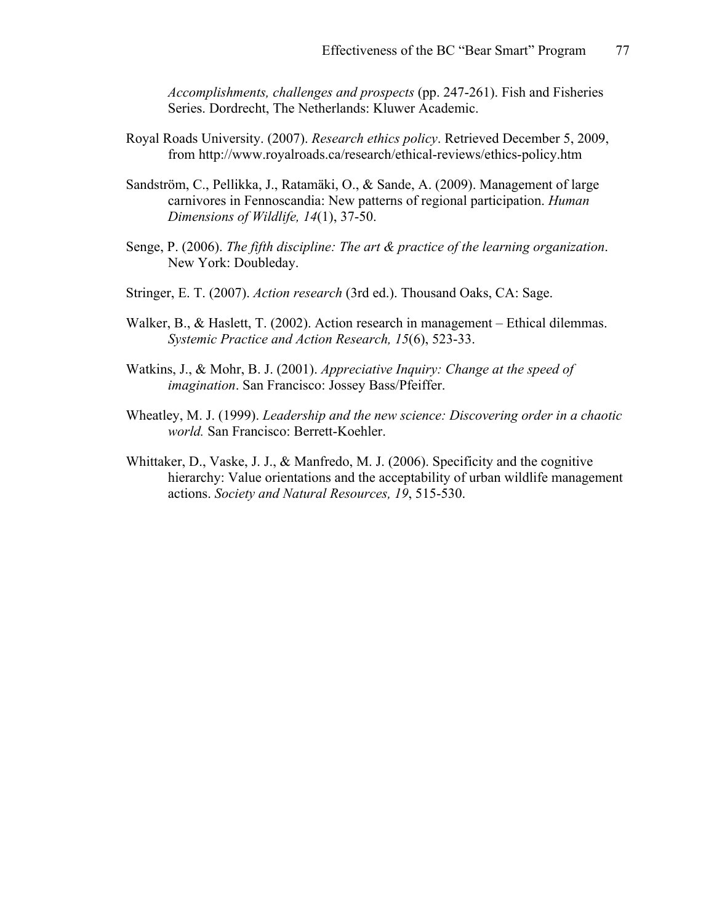*Accomplishments, challenges and prospects* (pp. 247-261). Fish and Fisheries Series. Dordrecht, The Netherlands: Kluwer Academic.

- Royal Roads University. (2007). *Research ethics policy*. Retrieved December 5, 2009, from http://www.royalroads.ca/research/ethical-reviews/ethics-policy.htm
- Sandström, C., Pellikka, J., Ratamäki, O., & Sande, A. (2009). Management of large carnivores in Fennoscandia: New patterns of regional participation. *Human Dimensions of Wildlife, 14*(1), 37-50.
- Senge, P. (2006). *The fifth discipline: The art & practice of the learning organization*. New York: Doubleday.
- Stringer, E. T. (2007). *Action research* (3rd ed.). Thousand Oaks, CA: Sage.
- Walker, B., & Haslett, T. (2002). Action research in management Ethical dilemmas. *Systemic Practice and Action Research, 15*(6), 523-33.
- Watkins, J., & Mohr, B. J. (2001). *Appreciative Inquiry: Change at the speed of imagination*. San Francisco: Jossey Bass/Pfeiffer.
- Wheatley, M. J. (1999). *Leadership and the new science: Discovering order in a chaotic world.* San Francisco: Berrett-Koehler.
- Whittaker, D., Vaske, J. J., & Manfredo, M. J. (2006). Specificity and the cognitive hierarchy: Value orientations and the acceptability of urban wildlife management actions. *Society and Natural Resources, 19*, 515-530.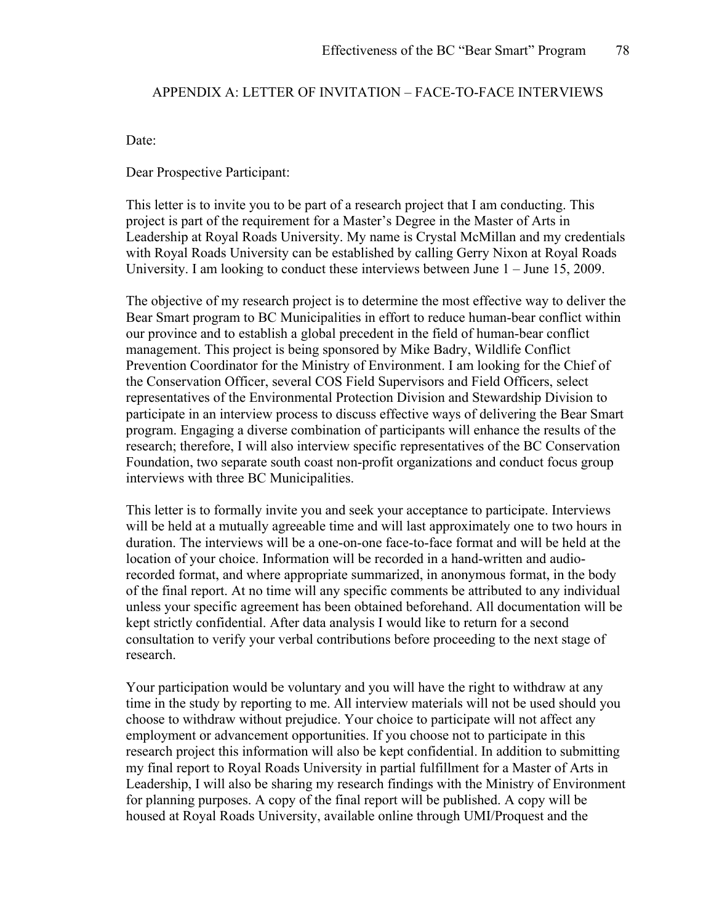# APPENDIX A: LETTER OF INVITATION – FACE-TO-FACE INTERVIEWS

Date:

Dear Prospective Participant:

This letter is to invite you to be part of a research project that I am conducting. This project is part of the requirement for a Master's Degree in the Master of Arts in Leadership at Royal Roads University. My name is Crystal McMillan and my credentials with Royal Roads University can be established by calling Gerry Nixon at Royal Roads University. I am looking to conduct these interviews between June  $1 -$  June 15, 2009.

The objective of my research project is to determine the most effective way to deliver the Bear Smart program to BC Municipalities in effort to reduce human-bear conflict within our province and to establish a global precedent in the field of human-bear conflict management. This project is being sponsored by Mike Badry, Wildlife Conflict Prevention Coordinator for the Ministry of Environment. I am looking for the Chief of the Conservation Officer, several COS Field Supervisors and Field Officers, select representatives of the Environmental Protection Division and Stewardship Division to participate in an interview process to discuss effective ways of delivering the Bear Smart program. Engaging a diverse combination of participants will enhance the results of the research; therefore, I will also interview specific representatives of the BC Conservation Foundation, two separate south coast non-profit organizations and conduct focus group interviews with three BC Municipalities.

This letter is to formally invite you and seek your acceptance to participate. Interviews will be held at a mutually agreeable time and will last approximately one to two hours in duration. The interviews will be a one-on-one face-to-face format and will be held at the location of your choice. Information will be recorded in a hand-written and audiorecorded format, and where appropriate summarized, in anonymous format, in the body of the final report. At no time will any specific comments be attributed to any individual unless your specific agreement has been obtained beforehand. All documentation will be kept strictly confidential. After data analysis I would like to return for a second consultation to verify your verbal contributions before proceeding to the next stage of research.

Your participation would be voluntary and you will have the right to withdraw at any time in the study by reporting to me. All interview materials will not be used should you choose to withdraw without prejudice. Your choice to participate will not affect any employment or advancement opportunities. If you choose not to participate in this research project this information will also be kept confidential. In addition to submitting my final report to Royal Roads University in partial fulfillment for a Master of Arts in Leadership, I will also be sharing my research findings with the Ministry of Environment for planning purposes. A copy of the final report will be published. A copy will be housed at Royal Roads University, available online through UMI/Proquest and the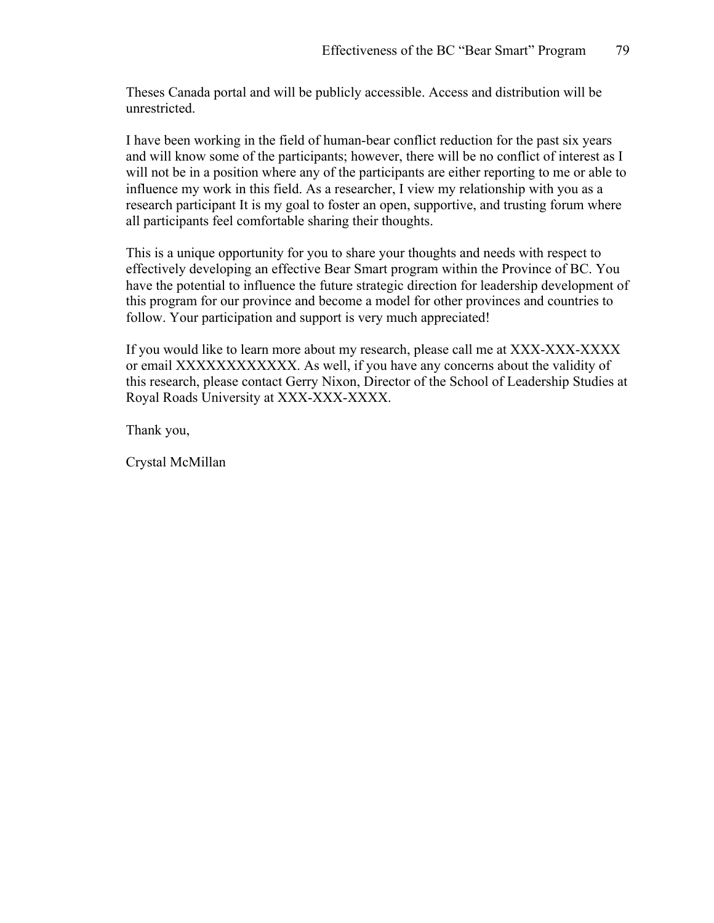Theses Canada portal and will be publicly accessible. Access and distribution will be unrestricted.

I have been working in the field of human-bear conflict reduction for the past six years and will know some of the participants; however, there will be no conflict of interest as I will not be in a position where any of the participants are either reporting to me or able to influence my work in this field. As a researcher, I view my relationship with you as a research participant It is my goal to foster an open, supportive, and trusting forum where all participants feel comfortable sharing their thoughts.

This is a unique opportunity for you to share your thoughts and needs with respect to effectively developing an effective Bear Smart program within the Province of BC. You have the potential to influence the future strategic direction for leadership development of this program for our province and become a model for other provinces and countries to follow. Your participation and support is very much appreciated!

If you would like to learn more about my research, please call me at XXX-XXX-XXXX or email XXXXXXXXXXXX. As well, if you have any concerns about the validity of this research, please contact Gerry Nixon, Director of the School of Leadership Studies at Royal Roads University at XXX-XXX-XXXX.

Thank you,

Crystal McMillan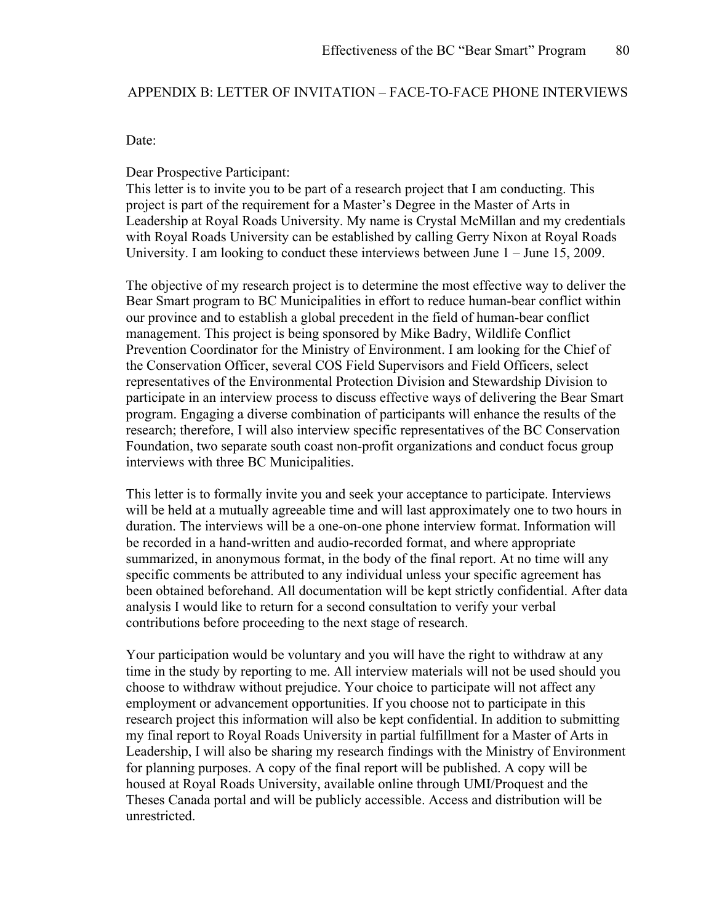# APPENDIX B: LETTER OF INVITATION – FACE-TO-FACE PHONE INTERVIEWS

#### Date:

## Dear Prospective Participant:

This letter is to invite you to be part of a research project that I am conducting. This project is part of the requirement for a Master's Degree in the Master of Arts in Leadership at Royal Roads University. My name is Crystal McMillan and my credentials with Royal Roads University can be established by calling Gerry Nixon at Royal Roads University. I am looking to conduct these interviews between June  $1 -$  June 15, 2009.

The objective of my research project is to determine the most effective way to deliver the Bear Smart program to BC Municipalities in effort to reduce human-bear conflict within our province and to establish a global precedent in the field of human-bear conflict management. This project is being sponsored by Mike Badry, Wildlife Conflict Prevention Coordinator for the Ministry of Environment. I am looking for the Chief of the Conservation Officer, several COS Field Supervisors and Field Officers, select representatives of the Environmental Protection Division and Stewardship Division to participate in an interview process to discuss effective ways of delivering the Bear Smart program. Engaging a diverse combination of participants will enhance the results of the research; therefore, I will also interview specific representatives of the BC Conservation Foundation, two separate south coast non-profit organizations and conduct focus group interviews with three BC Municipalities.

This letter is to formally invite you and seek your acceptance to participate. Interviews will be held at a mutually agreeable time and will last approximately one to two hours in duration. The interviews will be a one-on-one phone interview format. Information will be recorded in a hand-written and audio-recorded format, and where appropriate summarized, in anonymous format, in the body of the final report. At no time will any specific comments be attributed to any individual unless your specific agreement has been obtained beforehand. All documentation will be kept strictly confidential. After data analysis I would like to return for a second consultation to verify your verbal contributions before proceeding to the next stage of research.

Your participation would be voluntary and you will have the right to withdraw at any time in the study by reporting to me. All interview materials will not be used should you choose to withdraw without prejudice. Your choice to participate will not affect any employment or advancement opportunities. If you choose not to participate in this research project this information will also be kept confidential. In addition to submitting my final report to Royal Roads University in partial fulfillment for a Master of Arts in Leadership, I will also be sharing my research findings with the Ministry of Environment for planning purposes. A copy of the final report will be published. A copy will be housed at Royal Roads University, available online through UMI/Proquest and the Theses Canada portal and will be publicly accessible. Access and distribution will be unrestricted.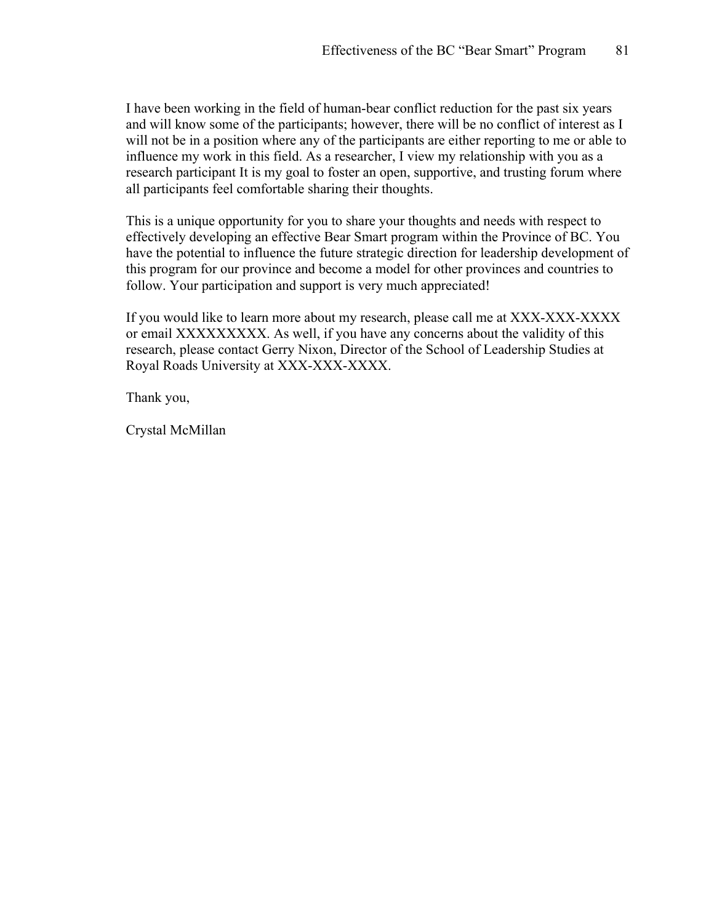I have been working in the field of human-bear conflict reduction for the past six years and will know some of the participants; however, there will be no conflict of interest as I will not be in a position where any of the participants are either reporting to me or able to influence my work in this field. As a researcher, I view my relationship with you as a research participant It is my goal to foster an open, supportive, and trusting forum where all participants feel comfortable sharing their thoughts.

This is a unique opportunity for you to share your thoughts and needs with respect to effectively developing an effective Bear Smart program within the Province of BC. You have the potential to influence the future strategic direction for leadership development of this program for our province and become a model for other provinces and countries to follow. Your participation and support is very much appreciated!

If you would like to learn more about my research, please call me at XXX-XXX-XXXX or email XXXXXXXXX. As well, if you have any concerns about the validity of this research, please contact Gerry Nixon, Director of the School of Leadership Studies at Royal Roads University at XXX-XXX-XXXX.

Thank you,

Crystal McMillan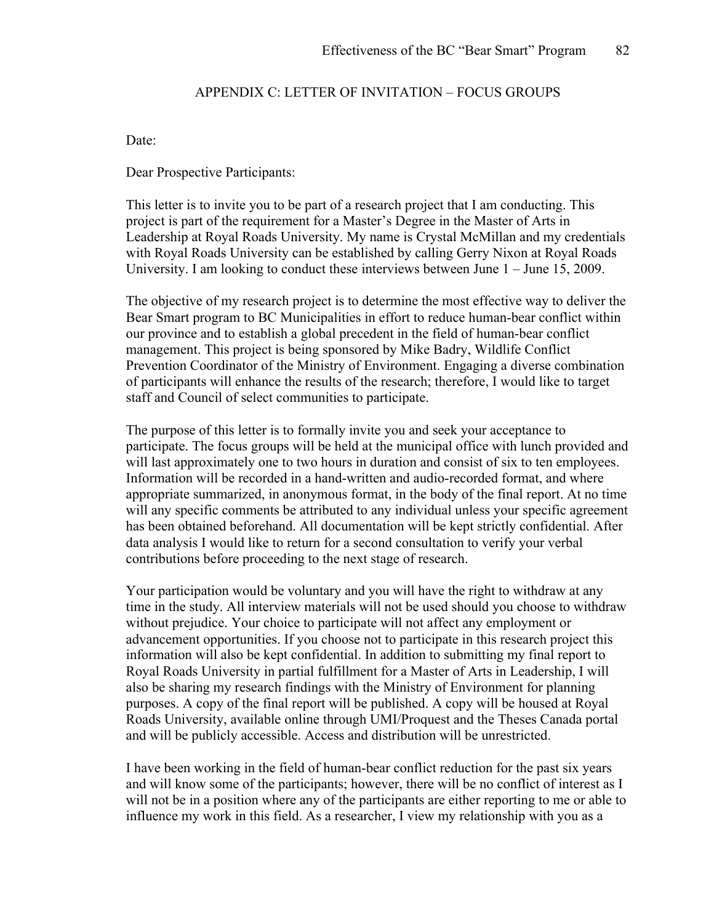# APPENDIX C: LETTER OF INVITATION – FOCUS GROUPS

Date:

Dear Prospective Participants:

This letter is to invite you to be part of a research project that I am conducting. This project is part of the requirement for a Master's Degree in the Master of Arts in Leadership at Royal Roads University. My name is Crystal McMillan and my credentials with Royal Roads University can be established by calling Gerry Nixon at Royal Roads University. I am looking to conduct these interviews between June  $1 -$  June 15, 2009.

The objective of my research project is to determine the most effective way to deliver the Bear Smart program to BC Municipalities in effort to reduce human-bear conflict within our province and to establish a global precedent in the field of human-bear conflict management. This project is being sponsored by Mike Badry, Wildlife Conflict Prevention Coordinator of the Ministry of Environment. Engaging a diverse combination of participants will enhance the results of the research; therefore, I would like to target staff and Council of select communities to participate.

The purpose of this letter is to formally invite you and seek your acceptance to participate. The focus groups will be held at the municipal office with lunch provided and will last approximately one to two hours in duration and consist of six to ten employees. Information will be recorded in a hand-written and audio-recorded format, and where appropriate summarized, in anonymous format, in the body of the final report. At no time will any specific comments be attributed to any individual unless your specific agreement has been obtained beforehand. All documentation will be kept strictly confidential. After data analysis I would like to return for a second consultation to verify your verbal contributions before proceeding to the next stage of research.

Your participation would be voluntary and you will have the right to withdraw at any time in the study. All interview materials will not be used should you choose to withdraw without prejudice. Your choice to participate will not affect any employment or advancement opportunities. If you choose not to participate in this research project this information will also be kept confidential. In addition to submitting my final report to Royal Roads University in partial fulfillment for a Master of Arts in Leadership, I will also be sharing my research findings with the Ministry of Environment for planning purposes. A copy of the final report will be published. A copy will be housed at Royal Roads University, available online through UMI/Proquest and the Theses Canada portal and will be publicly accessible. Access and distribution will be unrestricted.

I have been working in the field of human-bear conflict reduction for the past six years and will know some of the participants; however, there will be no conflict of interest as I will not be in a position where any of the participants are either reporting to me or able to influence my work in this field. As a researcher, I view my relationship with you as a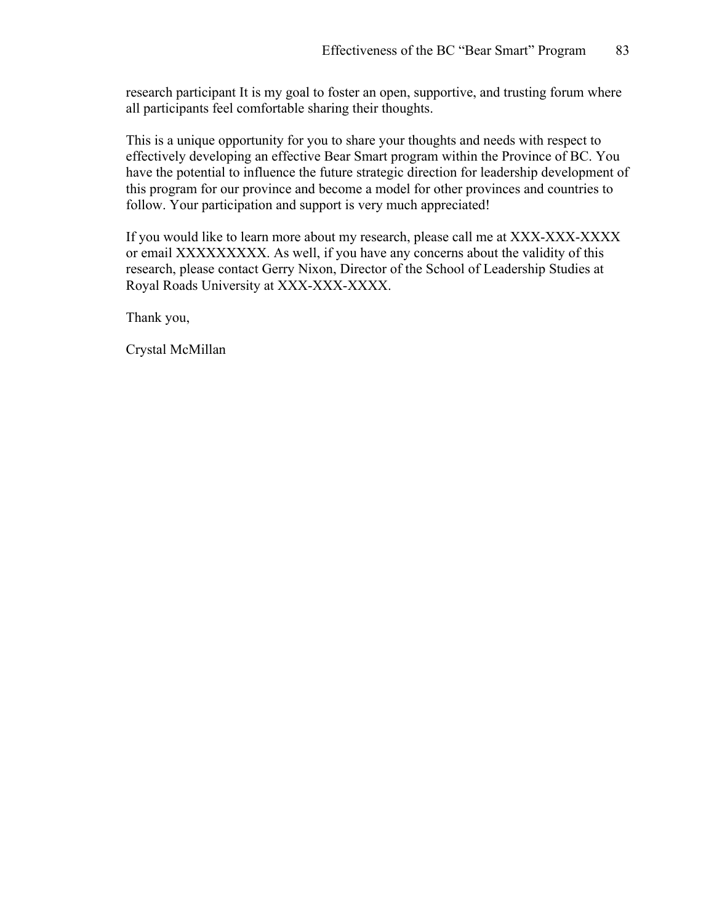research participant It is my goal to foster an open, supportive, and trusting forum where all participants feel comfortable sharing their thoughts.

This is a unique opportunity for you to share your thoughts and needs with respect to effectively developing an effective Bear Smart program within the Province of BC. You have the potential to influence the future strategic direction for leadership development of this program for our province and become a model for other provinces and countries to follow. Your participation and support is very much appreciated!

If you would like to learn more about my research, please call me at XXX-XXX-XXXX or email XXXXXXXXX. As well, if you have any concerns about the validity of this research, please contact Gerry Nixon, Director of the School of Leadership Studies at Royal Roads University at XXX-XXX-XXXX.

Thank you,

Crystal McMillan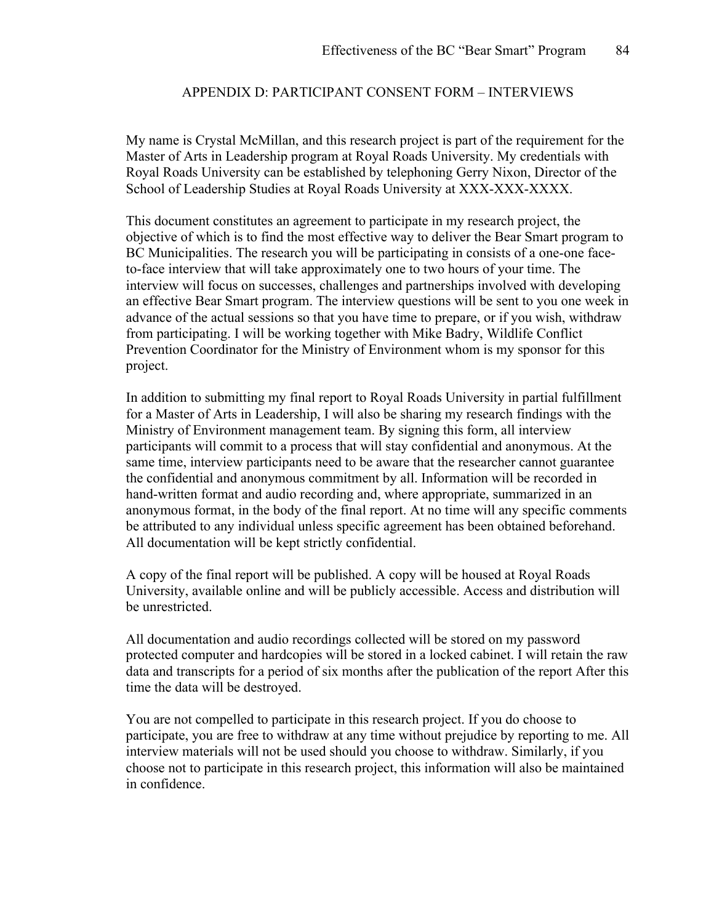# APPENDIX D: PARTICIPANT CONSENT FORM – INTERVIEWS

My name is Crystal McMillan, and this research project is part of the requirement for the Master of Arts in Leadership program at Royal Roads University. My credentials with Royal Roads University can be established by telephoning Gerry Nixon, Director of the School of Leadership Studies at Royal Roads University at XXX-XXX-XXXX.

This document constitutes an agreement to participate in my research project, the objective of which is to find the most effective way to deliver the Bear Smart program to BC Municipalities. The research you will be participating in consists of a one-one faceto-face interview that will take approximately one to two hours of your time. The interview will focus on successes, challenges and partnerships involved with developing an effective Bear Smart program. The interview questions will be sent to you one week in advance of the actual sessions so that you have time to prepare, or if you wish, withdraw from participating. I will be working together with Mike Badry, Wildlife Conflict Prevention Coordinator for the Ministry of Environment whom is my sponsor for this project.

In addition to submitting my final report to Royal Roads University in partial fulfillment for a Master of Arts in Leadership, I will also be sharing my research findings with the Ministry of Environment management team. By signing this form, all interview participants will commit to a process that will stay confidential and anonymous. At the same time, interview participants need to be aware that the researcher cannot guarantee the confidential and anonymous commitment by all. Information will be recorded in hand-written format and audio recording and, where appropriate, summarized in an anonymous format, in the body of the final report. At no time will any specific comments be attributed to any individual unless specific agreement has been obtained beforehand. All documentation will be kept strictly confidential.

A copy of the final report will be published. A copy will be housed at Royal Roads University, available online and will be publicly accessible. Access and distribution will be unrestricted.

All documentation and audio recordings collected will be stored on my password protected computer and hardcopies will be stored in a locked cabinet. I will retain the raw data and transcripts for a period of six months after the publication of the report After this time the data will be destroyed.

You are not compelled to participate in this research project. If you do choose to participate, you are free to withdraw at any time without prejudice by reporting to me. All interview materials will not be used should you choose to withdraw. Similarly, if you choose not to participate in this research project, this information will also be maintained in confidence.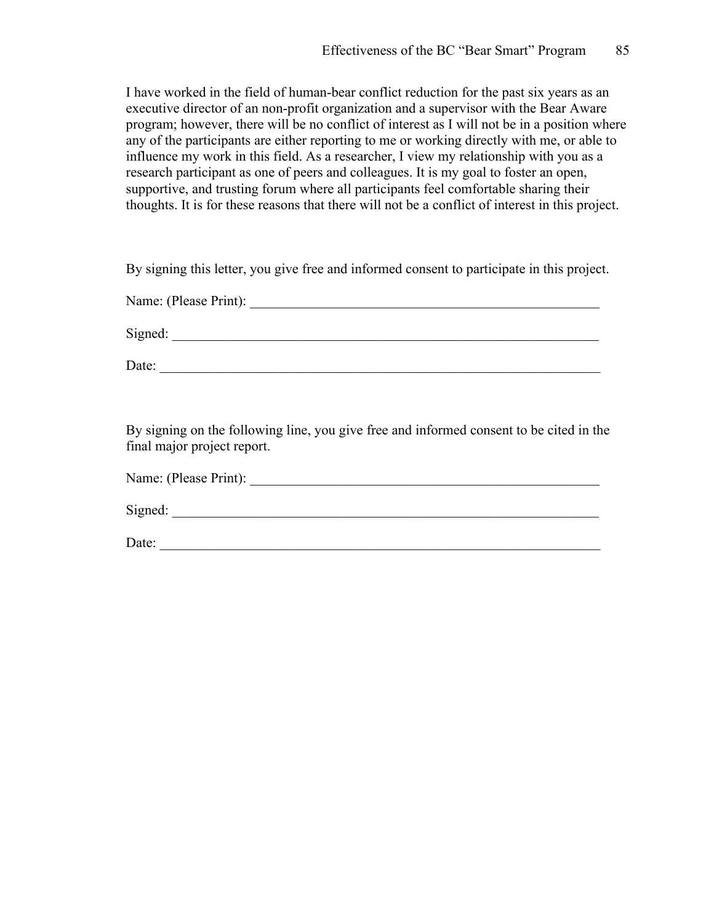I have worked in the field of human-bear conflict reduction for the past six years as an executive director of an non-profit organization and a supervisor with the Bear Aware program; however, there will be no conflict of interest as I will not be in a position where any of the participants are either reporting to me or working directly with me, or able to influence my work in this field. As a researcher, I view my relationship with you as a research participant as one of peers and colleagues. It is my goal to foster an open, supportive, and trusting forum where all participants feel comfortable sharing their thoughts. It is for these reasons that there will not be a conflict of interest in this project.

By signing this letter, you give free and informed consent to participate in this project.

Name: (Please Print):

Signed:

Date:

By signing on the following line, you give free and informed consent to be cited in the final major project report.

| Name: (Please Print): |  |  |
|-----------------------|--|--|
|                       |  |  |
| Signed:               |  |  |
|                       |  |  |

Date: \_\_\_\_\_\_\_\_\_\_\_\_\_\_\_\_\_\_\_\_\_\_\_\_\_\_\_\_\_\_\_\_\_\_\_\_\_\_\_\_\_\_\_\_\_\_\_\_\_\_\_\_\_\_\_\_\_\_\_\_\_\_\_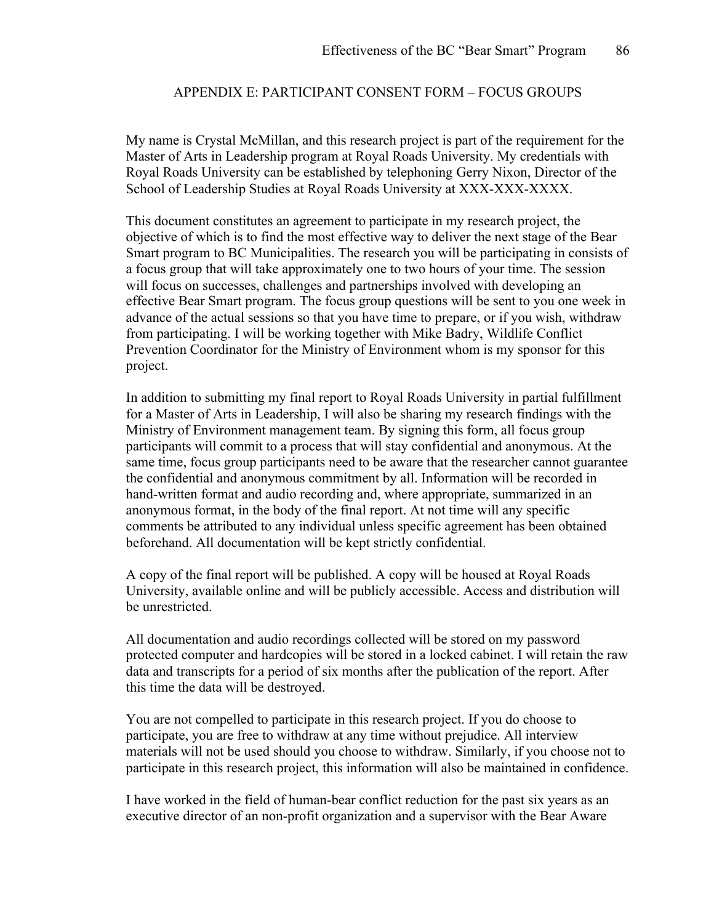# APPENDIX E: PARTICIPANT CONSENT FORM – FOCUS GROUPS

My name is Crystal McMillan, and this research project is part of the requirement for the Master of Arts in Leadership program at Royal Roads University. My credentials with Royal Roads University can be established by telephoning Gerry Nixon, Director of the School of Leadership Studies at Royal Roads University at XXX-XXX-XXXX.

This document constitutes an agreement to participate in my research project, the objective of which is to find the most effective way to deliver the next stage of the Bear Smart program to BC Municipalities. The research you will be participating in consists of a focus group that will take approximately one to two hours of your time. The session will focus on successes, challenges and partnerships involved with developing an effective Bear Smart program. The focus group questions will be sent to you one week in advance of the actual sessions so that you have time to prepare, or if you wish, withdraw from participating. I will be working together with Mike Badry, Wildlife Conflict Prevention Coordinator for the Ministry of Environment whom is my sponsor for this project.

In addition to submitting my final report to Royal Roads University in partial fulfillment for a Master of Arts in Leadership, I will also be sharing my research findings with the Ministry of Environment management team. By signing this form, all focus group participants will commit to a process that will stay confidential and anonymous. At the same time, focus group participants need to be aware that the researcher cannot guarantee the confidential and anonymous commitment by all. Information will be recorded in hand-written format and audio recording and, where appropriate, summarized in an anonymous format, in the body of the final report. At not time will any specific comments be attributed to any individual unless specific agreement has been obtained beforehand. All documentation will be kept strictly confidential.

A copy of the final report will be published. A copy will be housed at Royal Roads University, available online and will be publicly accessible. Access and distribution will be unrestricted.

All documentation and audio recordings collected will be stored on my password protected computer and hardcopies will be stored in a locked cabinet. I will retain the raw data and transcripts for a period of six months after the publication of the report. After this time the data will be destroyed.

You are not compelled to participate in this research project. If you do choose to participate, you are free to withdraw at any time without prejudice. All interview materials will not be used should you choose to withdraw. Similarly, if you choose not to participate in this research project, this information will also be maintained in confidence.

I have worked in the field of human-bear conflict reduction for the past six years as an executive director of an non-profit organization and a supervisor with the Bear Aware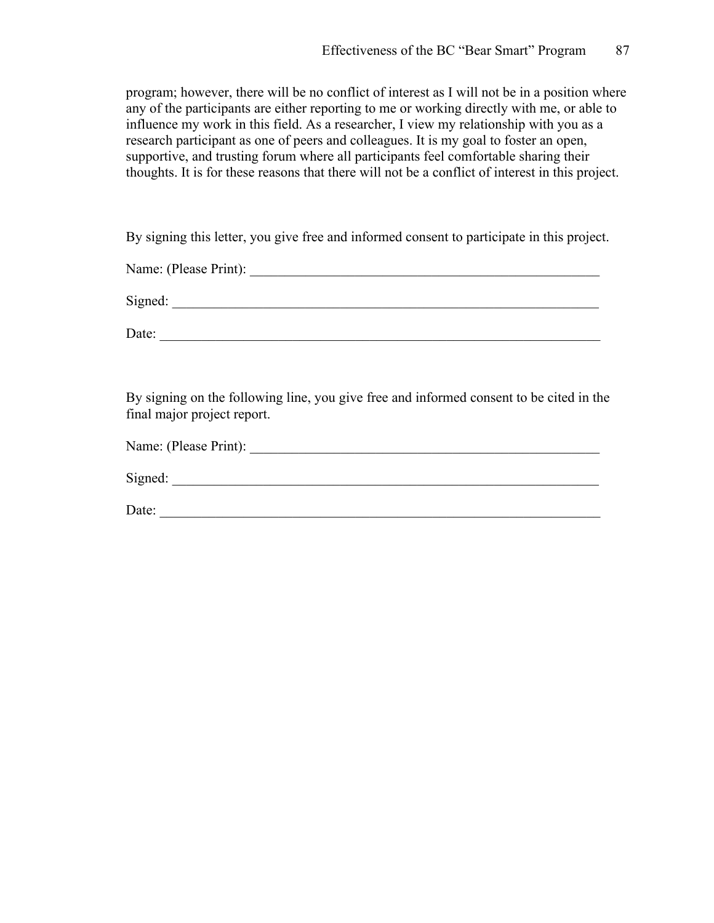program; however, there will be no conflict of interest as I will not be in a position where any of the participants are either reporting to me or working directly with me, or able to influence my work in this field. As a researcher, I view my relationship with you as a research participant as one of peers and colleagues. It is my goal to foster an open, supportive, and trusting forum where all participants feel comfortable sharing their thoughts. It is for these reasons that there will not be a conflict of interest in this project.

By signing this letter, you give free and informed consent to participate in this project.

Name: (Please Print): \_\_\_\_\_\_\_\_\_\_\_\_\_\_\_\_\_\_\_\_\_\_\_\_\_\_\_\_\_\_\_\_\_\_\_\_\_\_\_\_\_\_\_\_\_\_\_\_\_\_

 $Signed:$ 

Date: \_\_\_\_\_\_\_\_\_\_\_\_\_\_\_\_\_\_\_\_\_\_\_\_\_\_\_\_\_\_\_\_\_\_\_\_\_\_\_\_\_\_\_\_\_\_\_\_\_\_\_\_\_\_\_\_\_\_\_\_\_\_\_

By signing on the following line, you give free and informed consent to be cited in the final major project report.

| Name: (Please Print): |  |
|-----------------------|--|
|                       |  |

Signed:

Date: \_\_\_\_\_\_\_\_\_\_\_\_\_\_\_\_\_\_\_\_\_\_\_\_\_\_\_\_\_\_\_\_\_\_\_\_\_\_\_\_\_\_\_\_\_\_\_\_\_\_\_\_\_\_\_\_\_\_\_\_\_\_\_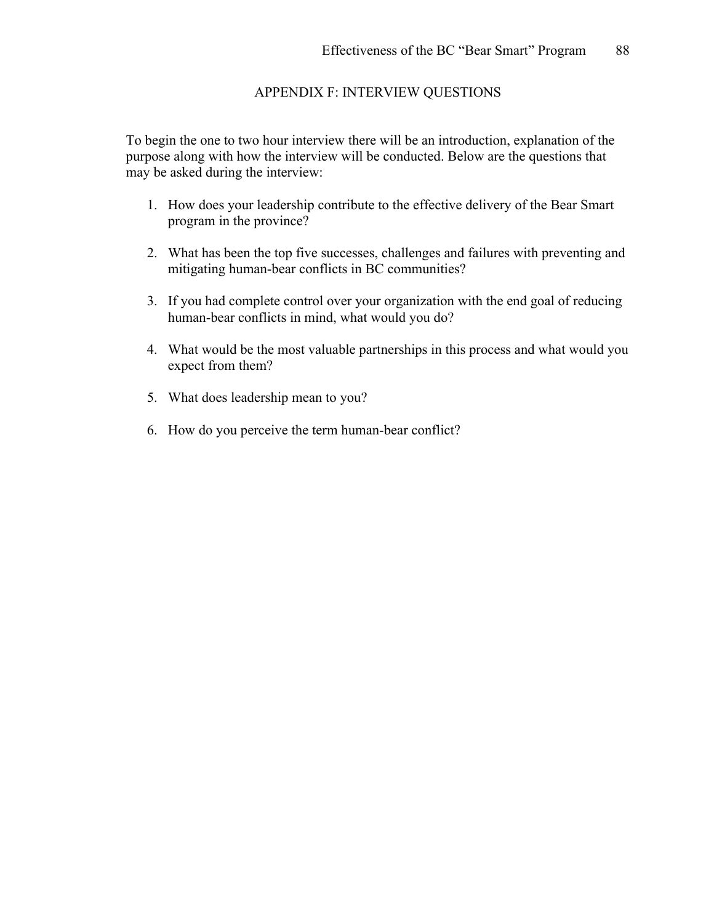# APPENDIX F: INTERVIEW QUESTIONS

To begin the one to two hour interview there will be an introduction, explanation of the purpose along with how the interview will be conducted. Below are the questions that may be asked during the interview:

- 1. How does your leadership contribute to the effective delivery of the Bear Smart program in the province?
- 2. What has been the top five successes, challenges and failures with preventing and mitigating human-bear conflicts in BC communities?
- 3. If you had complete control over your organization with the end goal of reducing human-bear conflicts in mind, what would you do?
- 4. What would be the most valuable partnerships in this process and what would you expect from them?
- 5. What does leadership mean to you?
- 6. How do you perceive the term human-bear conflict?